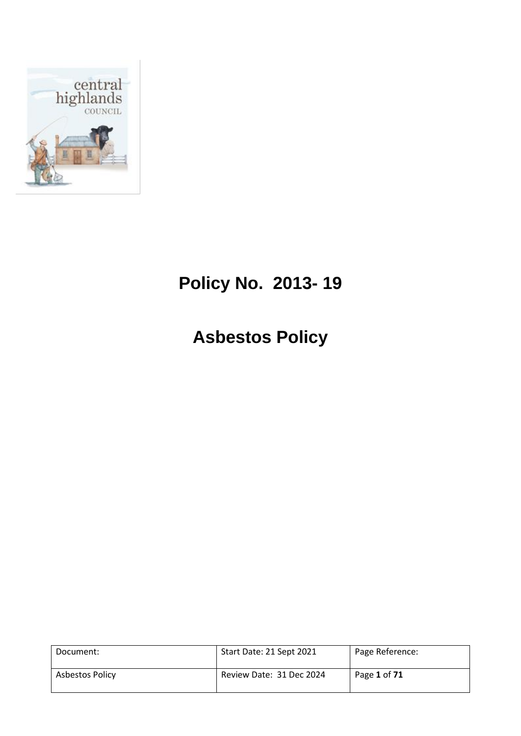

# **Policy No. 2013- 19**

**Asbestos Policy**

| Document:       | Start Date: 21 Sept 2021 | Page Reference: |
|-----------------|--------------------------|-----------------|
| Asbestos Policy | Review Date: 31 Dec 2024 | Page 1 of 71    |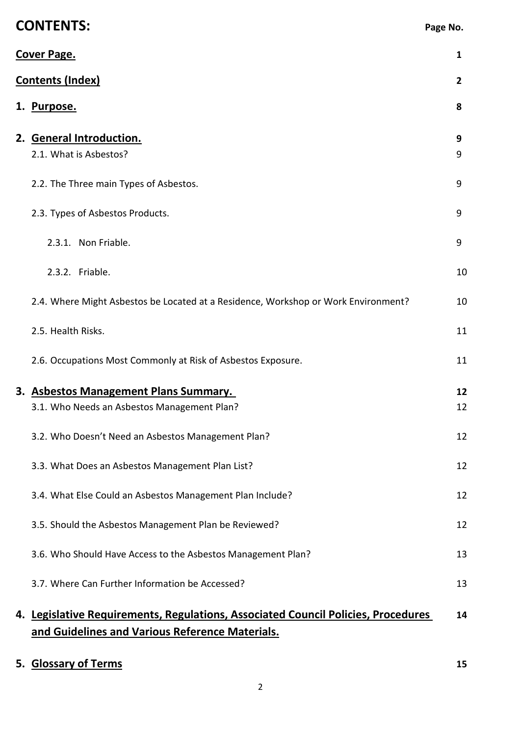| <b>CONTENTS:</b>                                                                                                                     | Page No.       |
|--------------------------------------------------------------------------------------------------------------------------------------|----------------|
| <b>Cover Page.</b>                                                                                                                   | 1              |
| <b>Contents (Index)</b>                                                                                                              | $\overline{2}$ |
| 1. Purpose.                                                                                                                          | 8              |
| 2. General Introduction.<br>2.1. What is Asbestos?                                                                                   | 9<br>9         |
| 2.2. The Three main Types of Asbestos.                                                                                               | 9              |
| 2.3. Types of Asbestos Products.                                                                                                     | 9              |
| 2.3.1. Non Friable.                                                                                                                  | 9              |
| 2.3.2. Friable.                                                                                                                      | 10             |
| 2.4. Where Might Asbestos be Located at a Residence, Workshop or Work Environment?                                                   | 10             |
| 2.5. Health Risks.                                                                                                                   | 11             |
| 2.6. Occupations Most Commonly at Risk of Asbestos Exposure.                                                                         | 11             |
| 3. Asbestos Management Plans Summary.                                                                                                | 12             |
| 3.1. Who Needs an Asbestos Management Plan?                                                                                          | 12             |
| 3.2. Who Doesn't Need an Asbestos Management Plan?                                                                                   | 12             |
| 3.3. What Does an Asbestos Management Plan List?                                                                                     | 12             |
| 3.4. What Else Could an Asbestos Management Plan Include?                                                                            | 12             |
| 3.5. Should the Asbestos Management Plan be Reviewed?                                                                                | 12             |
| 3.6. Who Should Have Access to the Asbestos Management Plan?                                                                         | 13             |
| 3.7. Where Can Further Information be Accessed?                                                                                      | 13             |
| 4. Legislative Requirements, Regulations, Associated Council Policies, Procedures<br>and Guidelines and Various Reference Materials. | 14             |
| 5. Glossary of Terms                                                                                                                 | 15             |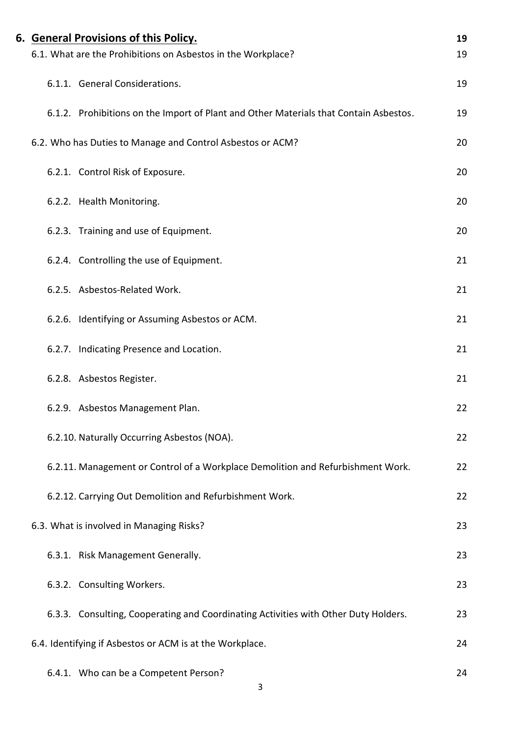| 6. General Provisions of this Policy.                                                 | 19 |
|---------------------------------------------------------------------------------------|----|
| 6.1. What are the Prohibitions on Asbestos in the Workplace?                          | 19 |
| 6.1.1. General Considerations.                                                        | 19 |
| 6.1.2. Prohibitions on the Import of Plant and Other Materials that Contain Asbestos. | 19 |
| 6.2. Who has Duties to Manage and Control Asbestos or ACM?                            | 20 |
| 6.2.1. Control Risk of Exposure.                                                      | 20 |
| 6.2.2. Health Monitoring.                                                             | 20 |
| 6.2.3. Training and use of Equipment.                                                 | 20 |
| 6.2.4. Controlling the use of Equipment.                                              | 21 |
| 6.2.5. Asbestos-Related Work.                                                         | 21 |
| 6.2.6. Identifying or Assuming Asbestos or ACM.                                       | 21 |
| 6.2.7. Indicating Presence and Location.                                              | 21 |
| 6.2.8. Asbestos Register.                                                             | 21 |
| 6.2.9. Asbestos Management Plan.                                                      | 22 |
| 6.2.10. Naturally Occurring Asbestos (NOA).                                           | 22 |
| 6.2.11. Management or Control of a Workplace Demolition and Refurbishment Work.       | 22 |
| 6.2.12. Carrying Out Demolition and Refurbishment Work.                               | 22 |
| 6.3. What is involved in Managing Risks?                                              | 23 |
| 6.3.1. Risk Management Generally.                                                     | 23 |
| 6.3.2. Consulting Workers.                                                            | 23 |
| 6.3.3. Consulting, Cooperating and Coordinating Activities with Other Duty Holders.   | 23 |
| 6.4. Identifying if Asbestos or ACM is at the Workplace.                              | 24 |
| 6.4.1. Who can be a Competent Person?                                                 | 24 |
| 3                                                                                     |    |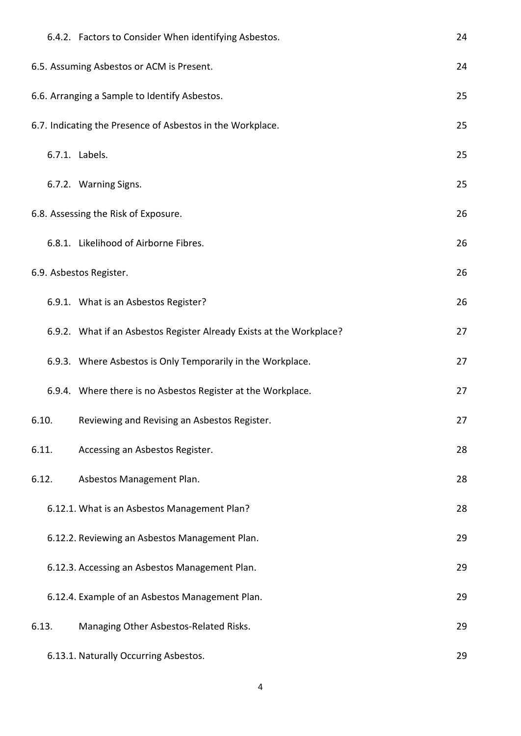|       | 6.4.2. Factors to Consider When identifying Asbestos.                | 24 |
|-------|----------------------------------------------------------------------|----|
|       | 6.5. Assuming Asbestos or ACM is Present.                            | 24 |
|       | 6.6. Arranging a Sample to Identify Asbestos.                        | 25 |
|       | 6.7. Indicating the Presence of Asbestos in the Workplace.           | 25 |
|       | 6.7.1. Labels.                                                       | 25 |
|       | 6.7.2. Warning Signs.                                                | 25 |
|       | 6.8. Assessing the Risk of Exposure.                                 | 26 |
|       | 6.8.1. Likelihood of Airborne Fibres.                                | 26 |
|       | 6.9. Asbestos Register.                                              | 26 |
|       | 6.9.1. What is an Asbestos Register?                                 | 26 |
|       | 6.9.2. What if an Asbestos Register Already Exists at the Workplace? | 27 |
|       | 6.9.3. Where Asbestos is Only Temporarily in the Workplace.          | 27 |
|       | 6.9.4. Where there is no Asbestos Register at the Workplace.         | 27 |
| 6.10. | Reviewing and Revising an Asbestos Register.                         | 27 |
| 6.11. | Accessing an Asbestos Register.                                      | 28 |
| 6.12. | Asbestos Management Plan.                                            | 28 |
|       | 6.12.1. What is an Asbestos Management Plan?                         | 28 |
|       | 6.12.2. Reviewing an Asbestos Management Plan.                       | 29 |
|       | 6.12.3. Accessing an Asbestos Management Plan.                       | 29 |
|       | 6.12.4. Example of an Asbestos Management Plan.                      | 29 |
| 6.13. | Managing Other Asbestos-Related Risks.                               | 29 |
|       | 6.13.1. Naturally Occurring Asbestos.                                | 29 |

4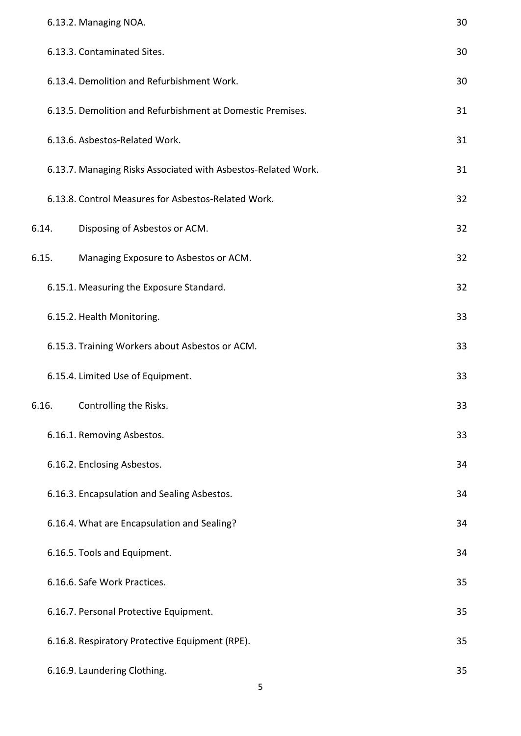|       | 6.13.2. Managing NOA.                                         | 30 |
|-------|---------------------------------------------------------------|----|
|       | 6.13.3. Contaminated Sites.                                   | 30 |
|       | 6.13.4. Demolition and Refurbishment Work.                    | 30 |
|       | 6.13.5. Demolition and Refurbishment at Domestic Premises.    | 31 |
|       | 6.13.6. Asbestos-Related Work.                                | 31 |
|       | 6.13.7. Managing Risks Associated with Asbestos-Related Work. | 31 |
|       | 6.13.8. Control Measures for Asbestos-Related Work.           | 32 |
| 6.14. | Disposing of Asbestos or ACM.                                 | 32 |
| 6.15. | Managing Exposure to Asbestos or ACM.                         | 32 |
|       | 6.15.1. Measuring the Exposure Standard.                      | 32 |
|       | 6.15.2. Health Monitoring.                                    | 33 |
|       | 6.15.3. Training Workers about Asbestos or ACM.               | 33 |
|       | 6.15.4. Limited Use of Equipment.                             | 33 |
| 6.16. | Controlling the Risks.                                        | 33 |
|       | 6.16.1. Removing Asbestos.                                    | 33 |
|       | 6.16.2. Enclosing Asbestos.                                   | 34 |
|       | 6.16.3. Encapsulation and Sealing Asbestos.                   | 34 |
|       | 6.16.4. What are Encapsulation and Sealing?                   | 34 |
|       | 6.16.5. Tools and Equipment.                                  | 34 |
|       | 6.16.6. Safe Work Practices.                                  | 35 |
|       | 6.16.7. Personal Protective Equipment.                        | 35 |
|       | 6.16.8. Respiratory Protective Equipment (RPE).               | 35 |
|       | 6.16.9. Laundering Clothing.                                  | 35 |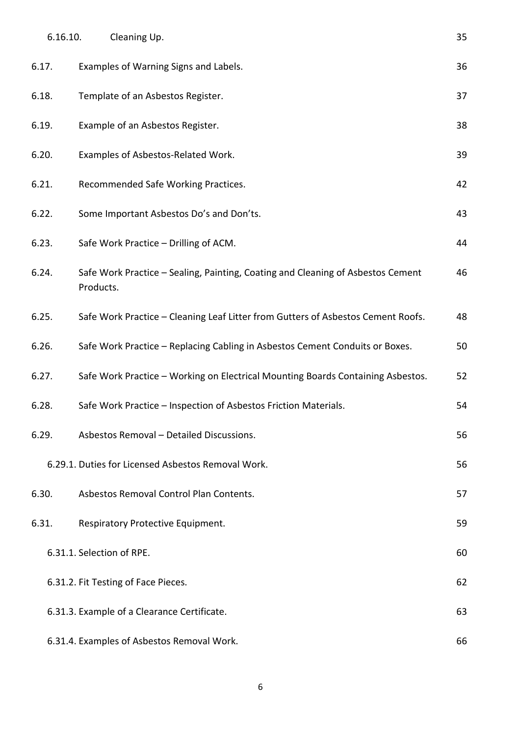| 6.16.10. | Cleaning Up.                                                                                 | 35 |
|----------|----------------------------------------------------------------------------------------------|----|
| 6.17.    | Examples of Warning Signs and Labels.                                                        | 36 |
| 6.18.    | Template of an Asbestos Register.                                                            | 37 |
| 6.19.    | Example of an Asbestos Register.                                                             | 38 |
| 6.20.    | Examples of Asbestos-Related Work.                                                           | 39 |
| 6.21.    | Recommended Safe Working Practices.                                                          | 42 |
| 6.22.    | Some Important Asbestos Do's and Don'ts.                                                     | 43 |
| 6.23.    | Safe Work Practice - Drilling of ACM.                                                        | 44 |
| 6.24.    | Safe Work Practice - Sealing, Painting, Coating and Cleaning of Asbestos Cement<br>Products. | 46 |
| 6.25.    | Safe Work Practice - Cleaning Leaf Litter from Gutters of Asbestos Cement Roofs.             | 48 |
| 6.26.    | Safe Work Practice - Replacing Cabling in Asbestos Cement Conduits or Boxes.                 | 50 |
| 6.27.    | Safe Work Practice - Working on Electrical Mounting Boards Containing Asbestos.              | 52 |
| 6.28.    | Safe Work Practice - Inspection of Asbestos Friction Materials.                              | 54 |
| 6.29.    | Asbestos Removal - Detailed Discussions.                                                     | 56 |
|          | 6.29.1. Duties for Licensed Asbestos Removal Work.                                           | 56 |
| 6.30.    | Asbestos Removal Control Plan Contents.                                                      | 57 |
| 6.31.    | Respiratory Protective Equipment.                                                            | 59 |
|          | 6.31.1. Selection of RPE.                                                                    | 60 |
|          | 6.31.2. Fit Testing of Face Pieces.                                                          | 62 |
|          | 6.31.3. Example of a Clearance Certificate.                                                  | 63 |
|          | 6.31.4. Examples of Asbestos Removal Work.                                                   | 66 |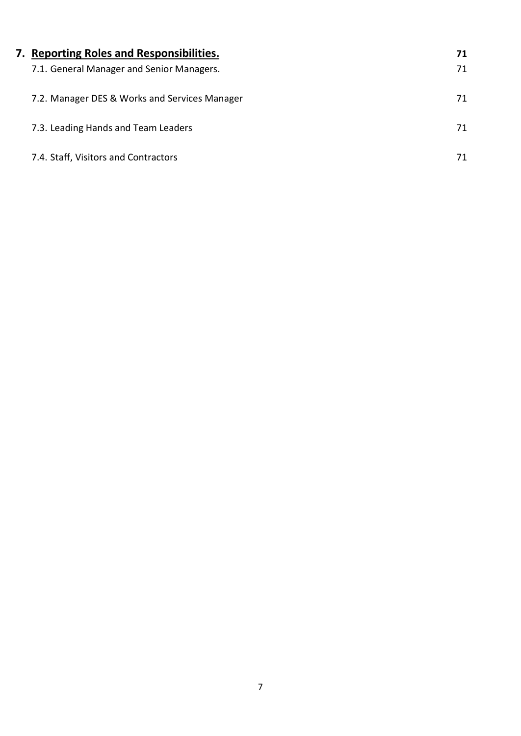| 7. Reporting Roles and Responsibilities.      | 71 |
|-----------------------------------------------|----|
| 7.1. General Manager and Senior Managers.     | 71 |
| 7.2. Manager DES & Works and Services Manager | 71 |
| 7.3. Leading Hands and Team Leaders           | 71 |
| 7.4. Staff, Visitors and Contractors          | 71 |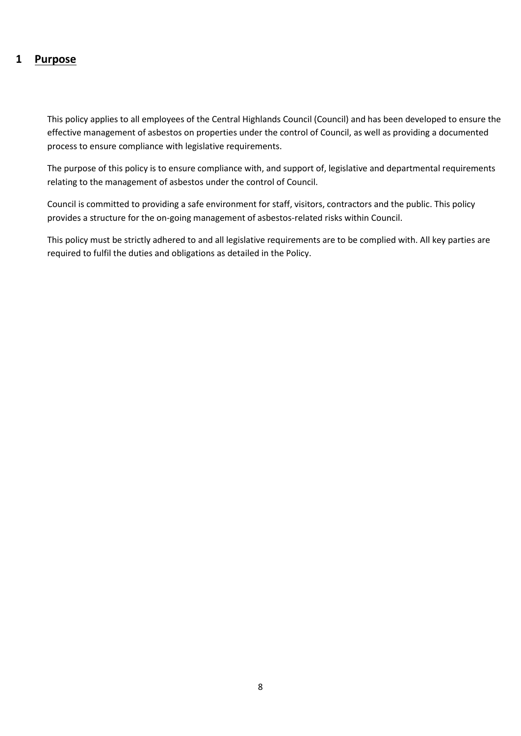### **1 Purpose**

This policy applies to all employees of the Central Highlands Council (Council) and has been developed to ensure the effective management of asbestos on properties under the control of Council, as well as providing a documented process to ensure compliance with legislative requirements.

The purpose of this policy is to ensure compliance with, and support of, legislative and departmental requirements relating to the management of asbestos under the control of Council.

Council is committed to providing a safe environment for staff, visitors, contractors and the public. This policy provides a structure for the on-going management of asbestos-related risks within Council.

This policy must be strictly adhered to and all legislative requirements are to be complied with. All key parties are required to fulfil the duties and obligations as detailed in the Policy.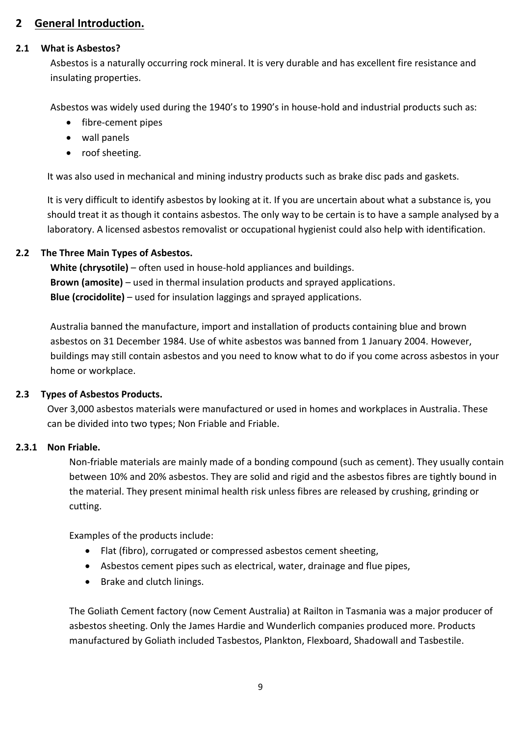### **2 General Introduction.**

#### **2.1 What is Asbestos?**

Asbestos is a naturally occurring rock mineral. It is very durable and has excellent fire resistance and insulating properties.

Asbestos was widely used during the 1940's to 1990's in house-hold and industrial products such as:

- fibre-cement pipes
- wall panels
- roof sheeting.

It was also used in mechanical and mining industry products such as brake disc pads and gaskets.

It is very difficult to identify asbestos by looking at it. If you are uncertain about what a substance is, you should treat it as though it contains asbestos. The only way to be certain is to have a sample analysed by a laboratory. A licensed asbestos removalist or occupational hygienist could also help with identification.

### **2.2 The Three Main Types of Asbestos.**

**White (chrysotile)** – often used in house-hold appliances and buildings. **Brown (amosite)** – used in thermal insulation products and sprayed applications. **Blue (crocidolite)** – used for insulation laggings and sprayed applications.

Australia banned the manufacture, import and installation of products containing blue and brown asbestos on 31 December 1984. Use of white asbestos was banned from 1 January 2004. However, buildings may still contain asbestos and you need to know what to do if you come across asbestos in your home or workplace.

### **2.3 Types of Asbestos Products.**

Over 3,000 asbestos materials were manufactured or used in homes and workplaces in Australia. These can be divided into two types; Non Friable and Friable.

### **2.3.1 Non Friable.**

Non-friable materials are mainly made of a bonding compound (such as cement). They usually contain between 10% and 20% asbestos. They are solid and rigid and the asbestos fibres are tightly bound in the material. They present minimal health risk unless fibres are released by crushing, grinding or cutting.

Examples of the products include:

- Flat (fibro), corrugated or compressed asbestos cement sheeting,
- Asbestos cement pipes such as electrical, water, drainage and flue pipes,
- Brake and clutch linings.

The Goliath Cement factory (now Cement Australia) at Railton in Tasmania was a major producer of asbestos sheeting. Only the James Hardie and Wunderlich companies produced more. Products manufactured by Goliath included Tasbestos, Plankton, Flexboard, Shadowall and Tasbestile.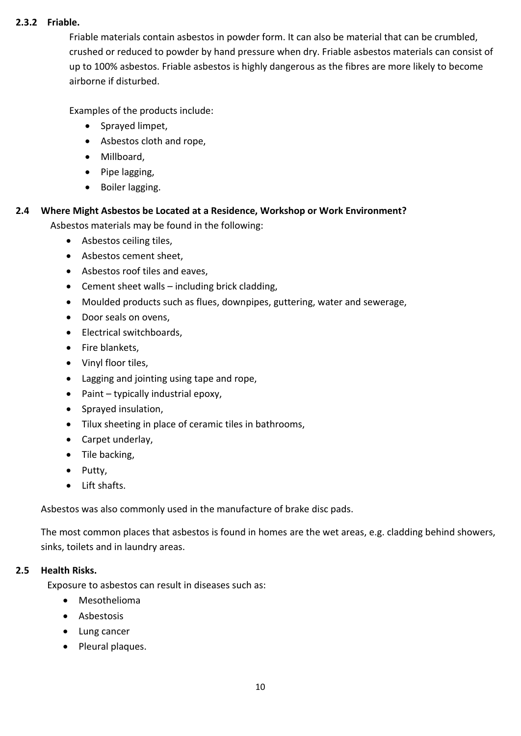### **2.3.2 Friable.**

Friable materials contain asbestos in powder form. It can also be material that can be crumbled, crushed or reduced to powder by hand pressure when dry. Friable asbestos materials can consist of up to 100% asbestos. Friable asbestos is highly dangerous as the fibres are more likely to become airborne if disturbed.

Examples of the products include:

- Sprayed limpet,
- Asbestos cloth and rope,
- Millboard,
- Pipe lagging,
- Boiler lagging.

# **2.4 Where Might Asbestos be Located at a Residence, Workshop or Work Environment?**

Asbestos materials may be found in the following:

- Asbestos ceiling tiles,
- Asbestos cement sheet,
- Asbestos roof tiles and eaves,
- Cement sheet walls including brick cladding,
- Moulded products such as flues, downpipes, guttering, water and sewerage,
- Door seals on ovens,
- Electrical switchboards,
- Fire blankets,
- Vinyl floor tiles,
- Lagging and jointing using tape and rope,
- Paint typically industrial epoxy,
- Sprayed insulation,
- Tilux sheeting in place of ceramic tiles in bathrooms,
- Carpet underlay,
- Tile backing,
- Putty,
- Lift shafts.

Asbestos was also commonly used in the manufacture of brake disc pads.

The most common places that asbestos is found in homes are the wet areas, e.g. cladding behind showers, sinks, toilets and in laundry areas.

### **2.5 Health Risks.**

Exposure to asbestos can result in diseases such as:

- Mesothelioma
- Asbestosis
- Lung cancer
- Pleural plaques.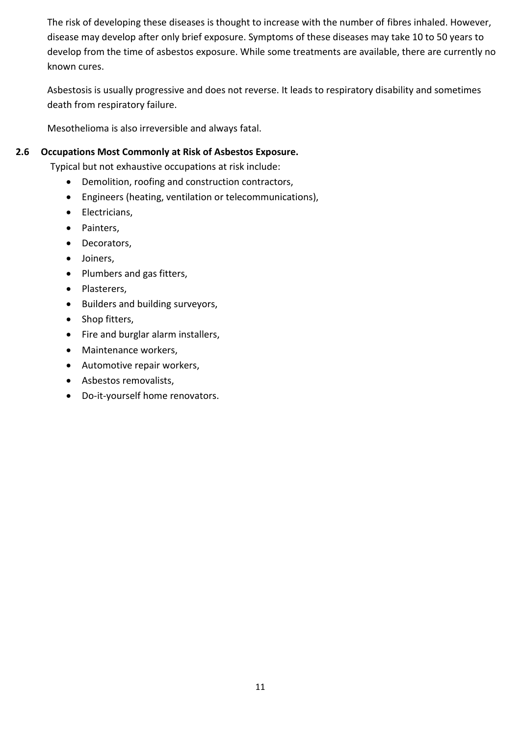The risk of developing these diseases is thought to increase with the number of fibres inhaled. However, disease may develop after only brief exposure. Symptoms of these diseases may take 10 to 50 years to develop from the time of asbestos exposure. While some treatments are available, there are currently no known cures.

Asbestosis is usually progressive and does not reverse. It leads to respiratory disability and sometimes death from respiratory failure.

Mesothelioma is also irreversible and always fatal.

### **2.6 Occupations Most Commonly at Risk of Asbestos Exposure.**

Typical but not exhaustive occupations at risk include:

- Demolition, roofing and construction contractors,
- Engineers (heating, ventilation or telecommunications),
- Electricians,
- Painters,
- Decorators,
- Joiners,
- Plumbers and gas fitters,
- Plasterers,
- Builders and building surveyors,
- Shop fitters,
- Fire and burglar alarm installers,
- Maintenance workers,
- Automotive repair workers,
- Asbestos removalists,
- Do-it-yourself home renovators.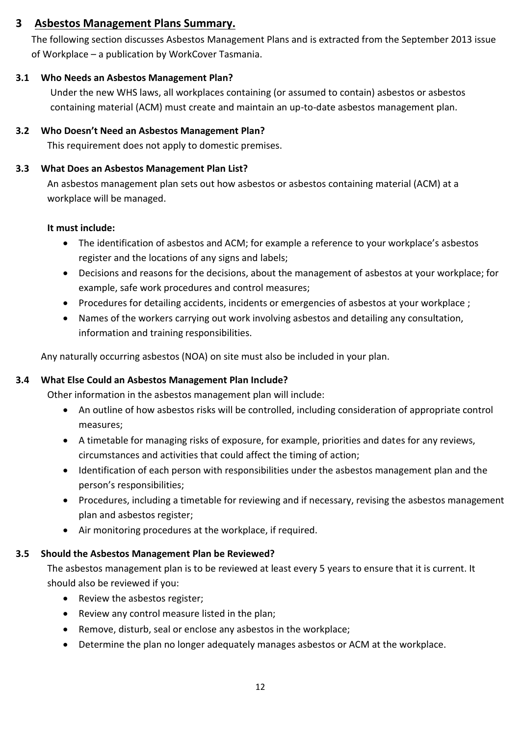### **3 Asbestos Management Plans Summary.**

The following section discusses Asbestos Management Plans and is extracted from the September 2013 issue of Workplace – a publication by WorkCover Tasmania.

### **3.1 Who Needs an Asbestos Management Plan?**

Under the new WHS laws, all workplaces containing (or assumed to contain) asbestos or asbestos containing material (ACM) must create and maintain an up-to-date asbestos management plan.

### **3.2 Who Doesn't Need an Asbestos Management Plan?**

This requirement does not apply to domestic premises.

### **3.3 What Does an Asbestos Management Plan List?**

An asbestos management plan sets out how asbestos or asbestos containing material (ACM) at a workplace will be managed.

### **It must include:**

- The identification of asbestos and ACM; for example a reference to your workplace's asbestos register and the locations of any signs and labels;
- Decisions and reasons for the decisions, about the management of asbestos at your workplace; for example, safe work procedures and control measures;
- Procedures for detailing accidents, incidents or emergencies of asbestos at your workplace ;
- Names of the workers carrying out work involving asbestos and detailing any consultation, information and training responsibilities.

Any naturally occurring asbestos (NOA) on site must also be included in your plan.

### **3.4 What Else Could an Asbestos Management Plan Include?**

Other information in the asbestos management plan will include:

- An outline of how asbestos risks will be controlled, including consideration of appropriate control measures;
- A timetable for managing risks of exposure, for example, priorities and dates for any reviews, circumstances and activities that could affect the timing of action;
- Identification of each person with responsibilities under the asbestos management plan and the person's responsibilities;
- Procedures, including a timetable for reviewing and if necessary, revising the asbestos management plan and asbestos register;
- Air monitoring procedures at the workplace, if required.

### **3.5 Should the Asbestos Management Plan be Reviewed?**

The asbestos management plan is to be reviewed at least every 5 years to ensure that it is current. It should also be reviewed if you:

- Review the asbestos register;
- Review any control measure listed in the plan;
- Remove, disturb, seal or enclose any asbestos in the workplace;
- Determine the plan no longer adequately manages asbestos or ACM at the workplace.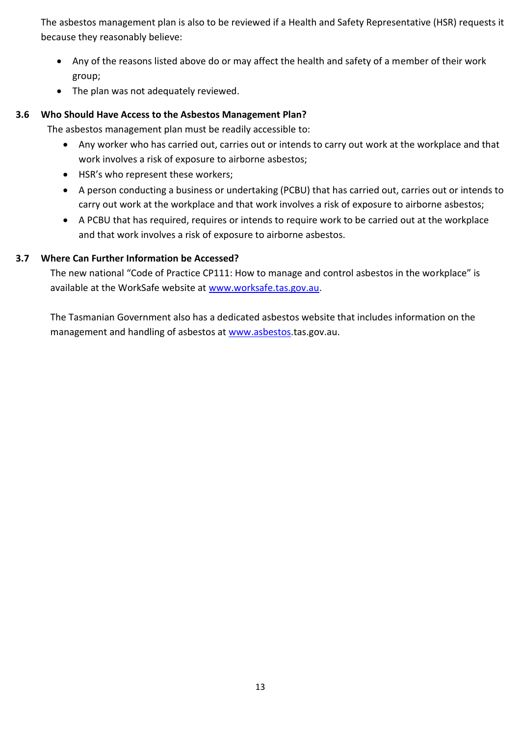The asbestos management plan is also to be reviewed if a Health and Safety Representative (HSR) requests it because they reasonably believe:

- Any of the reasons listed above do or may affect the health and safety of a member of their work group;
- The plan was not adequately reviewed.

### **3.6 Who Should Have Access to the Asbestos Management Plan?**

The asbestos management plan must be readily accessible to:

- Any worker who has carried out, carries out or intends to carry out work at the workplace and that work involves a risk of exposure to airborne asbestos;
- HSR's who represent these workers;
- A person conducting a business or undertaking (PCBU) that has carried out, carries out or intends to carry out work at the workplace and that work involves a risk of exposure to airborne asbestos;
- A PCBU that has required, requires or intends to require work to be carried out at the workplace and that work involves a risk of exposure to airborne asbestos.

### **3.7 Where Can Further Information be Accessed?**

The new national "Code of Practice CP111: How to manage and control asbestos in the workplace" is available at the WorkSafe website at [www.worksafe.tas.gov.au.](http://www.worksafe.tas.gov.au/)

The Tasmanian Government also has a dedicated asbestos website that includes information on the management and handling of asbestos at [www.asbestos.](http://www.asbestos/)tas.gov.au.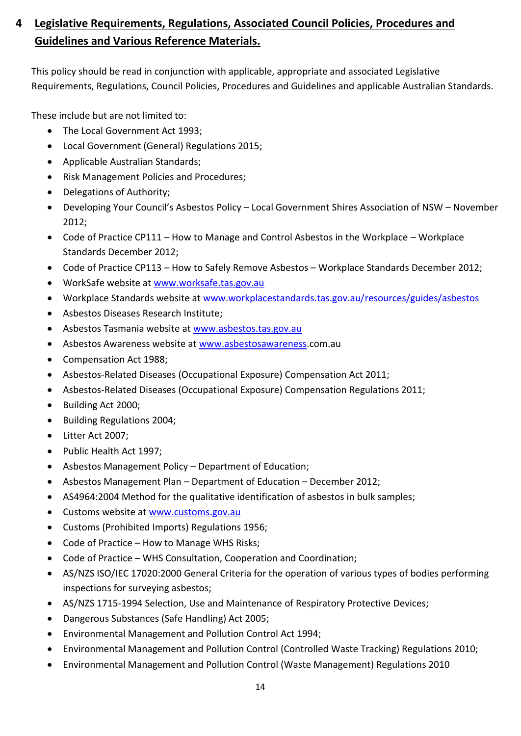## **4 Legislative Requirements, Regulations, Associated Council Policies, Procedures and Guidelines and Various Reference Materials.**

This policy should be read in conjunction with applicable, appropriate and associated Legislative Requirements, Regulations, Council Policies, Procedures and Guidelines and applicable Australian Standards.

These include but are not limited to:

- The Local Government Act 1993:
- Local Government (General) Regulations 2015;
- Applicable Australian Standards;
- Risk Management Policies and Procedures;
- Delegations of Authority;
- Developing Your Council's Asbestos Policy Local Government Shires Association of NSW November 2012;
- Code of Practice CP111 How to Manage and Control Asbestos in the Workplace Workplace Standards December 2012;
- Code of Practice CP113 How to Safely Remove Asbestos Workplace Standards December 2012;
- WorkSafe website a[t www.worksafe.tas.gov.au](http://www.worksafe.tas.gov.au/)
- Workplace Standards website at [www.workplacestandards.tas.gov.au/resources/guides/asbestos](http://www.workplacestandards.tas.gov.au/resorces/guides/asbestos)
- Asbestos Diseases Research Institute;
- Asbestos Tasmania website at [www.asbestos.tas.gov.au](http://www.asbestos.tas.gov.au/)
- Asbestos Awareness website at [www.asbestosawareness.](http://www.asbestosawareness/)com.au
- Compensation Act 1988;
- Asbestos-Related Diseases (Occupational Exposure) Compensation Act 2011;
- Asbestos-Related Diseases (Occupational Exposure) Compensation Regulations 2011;
- Building Act 2000;
- Building Regulations 2004;
- Litter Act 2007;
- Public Health Act 1997;
- Asbestos Management Policy Department of Education;
- Asbestos Management Plan Department of Education December 2012;
- AS4964:2004 Method for the qualitative identification of asbestos in bulk samples;
- Customs website at [www.customs.gov.au](http://www.customs.gov.au/)
- Customs (Prohibited Imports) Regulations 1956;
- Code of Practice How to Manage WHS Risks;
- Code of Practice WHS Consultation, Cooperation and Coordination;
- AS/NZS ISO/IEC 17020:2000 General Criteria for the operation of various types of bodies performing inspections for surveying asbestos;
- AS/NZS 1715-1994 Selection, Use and Maintenance of Respiratory Protective Devices;
- Dangerous Substances (Safe Handling) Act 2005;
- Environmental Management and Pollution Control Act 1994;
- Environmental Management and Pollution Control (Controlled Waste Tracking) Regulations 2010;
- Environmental Management and Pollution Control (Waste Management) Regulations 2010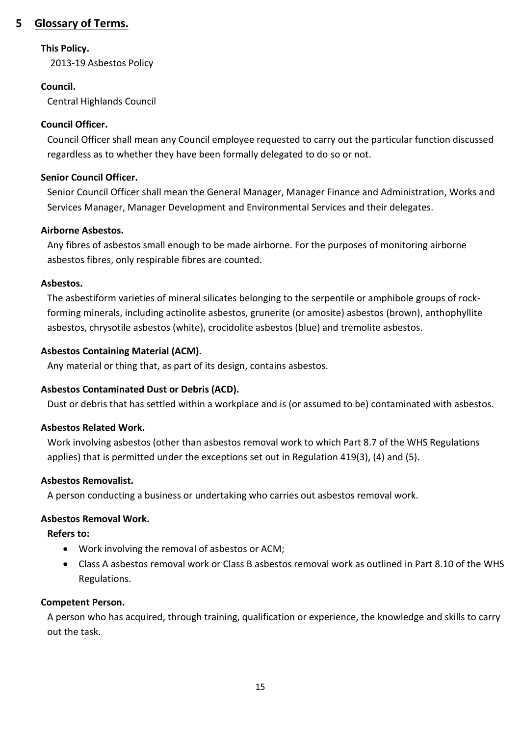### **5 Glossary of Terms.**

### **This Policy.**

2013-19 Asbestos Policy

### **Council.**

Central Highlands Council

### **Council Officer.**

Council Officer shall mean any Council employee requested to carry out the particular function discussed regardless as to whether they have been formally delegated to do so or not.

### **Senior Council Officer.**

Senior Council Officer shall mean the General Manager, Manager Finance and Administration, Works and Services Manager, Manager Development and Environmental Services and their delegates.

### **Airborne Asbestos.**

Any fibres of asbestos small enough to be made airborne. For the purposes of monitoring airborne asbestos fibres, only respirable fibres are counted.

### **Asbestos.**

The asbestiform varieties of mineral silicates belonging to the serpentile or amphibole groups of rockforming minerals, including actinolite asbestos, grunerite (or amosite) asbestos (brown), anthophyllite asbestos, chrysotile asbestos (white), crocidolite asbestos (blue) and tremolite asbestos.

### **Asbestos Containing Material (ACM).**

Any material or thing that, as part of its design, contains asbestos.

### **Asbestos Contaminated Dust or Debris (ACD).**

Dust or debris that has settled within a workplace and is (or assumed to be) contaminated with asbestos.

### **Asbestos Related Work.**

Work involving asbestos (other than asbestos removal work to which Part 8.7 of the WHS Regulations applies) that is permitted under the exceptions set out in Regulation 419(3), (4) and (5).

### **Asbestos Removalist.**

A person conducting a business or undertaking who carries out asbestos removal work.

### **Asbestos Removal Work.**

**Refers to:**

- Work involving the removal of asbestos or ACM;
- Class A asbestos removal work or Class B asbestos removal work as outlined in Part 8.10 of the WHS Regulations.

### **Competent Person.**

A person who has acquired, through training, qualification or experience, the knowledge and skills to carry out the task.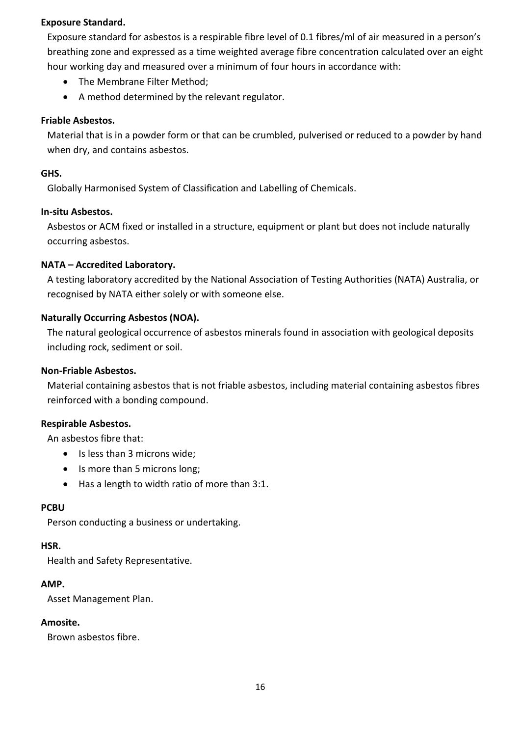### **Exposure Standard.**

Exposure standard for asbestos is a respirable fibre level of 0.1 fibres/ml of air measured in a person's breathing zone and expressed as a time weighted average fibre concentration calculated over an eight hour working day and measured over a minimum of four hours in accordance with:

- The Membrane Filter Method;
- A method determined by the relevant regulator.

### **Friable Asbestos.**

Material that is in a powder form or that can be crumbled, pulverised or reduced to a powder by hand when dry, and contains asbestos.

### **GHS.**

Globally Harmonised System of Classification and Labelling of Chemicals.

#### **In-situ Asbestos.**

Asbestos or ACM fixed or installed in a structure, equipment or plant but does not include naturally occurring asbestos.

### **NATA – Accredited Laboratory.**

A testing laboratory accredited by the National Association of Testing Authorities (NATA) Australia, or recognised by NATA either solely or with someone else.

### **Naturally Occurring Asbestos (NOA).**

The natural geological occurrence of asbestos minerals found in association with geological deposits including rock, sediment or soil.

#### **Non-Friable Asbestos.**

Material containing asbestos that is not friable asbestos, including material containing asbestos fibres reinforced with a bonding compound.

#### **Respirable Asbestos.**

An asbestos fibre that:

- Is less than 3 microns wide;
- Is more than 5 microns long;
- Has a length to width ratio of more than 3:1.

#### **PCBU**

Person conducting a business or undertaking.

#### **HSR.**

Health and Safety Representative.

#### **AMP.**

Asset Management Plan.

#### **Amosite.**

Brown asbestos fibre.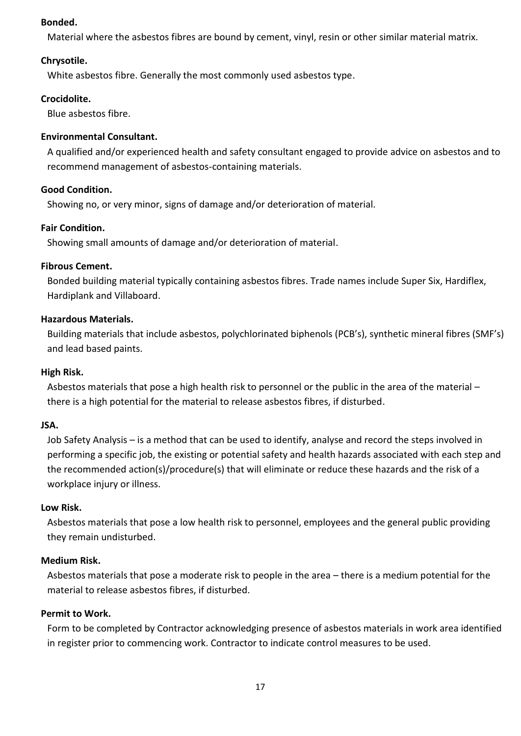### **Bonded.**

Material where the asbestos fibres are bound by cement, vinyl, resin or other similar material matrix.

### **Chrysotile.**

White asbestos fibre. Generally the most commonly used asbestos type.

### **Crocidolite.**

Blue asbestos fibre.

### **Environmental Consultant.**

A qualified and/or experienced health and safety consultant engaged to provide advice on asbestos and to recommend management of asbestos-containing materials.

### **Good Condition.**

Showing no, or very minor, signs of damage and/or deterioration of material.

### **Fair Condition.**

Showing small amounts of damage and/or deterioration of material.

### **Fibrous Cement.**

Bonded building material typically containing asbestos fibres. Trade names include Super Six, Hardiflex, Hardiplank and Villaboard.

### **Hazardous Materials.**

Building materials that include asbestos, polychlorinated biphenols (PCB's), synthetic mineral fibres (SMF's) and lead based paints.

### **High Risk.**

Asbestos materials that pose a high health risk to personnel or the public in the area of the material – there is a high potential for the material to release asbestos fibres, if disturbed.

#### **JSA.**

Job Safety Analysis – is a method that can be used to identify, analyse and record the steps involved in performing a specific job, the existing or potential safety and health hazards associated with each step and the recommended action(s)/procedure(s) that will eliminate or reduce these hazards and the risk of a workplace injury or illness.

#### **Low Risk.**

Asbestos materials that pose a low health risk to personnel, employees and the general public providing they remain undisturbed.

### **Medium Risk.**

Asbestos materials that pose a moderate risk to people in the area – there is a medium potential for the material to release asbestos fibres, if disturbed.

#### **Permit to Work.**

Form to be completed by Contractor acknowledging presence of asbestos materials in work area identified in register prior to commencing work. Contractor to indicate control measures to be used.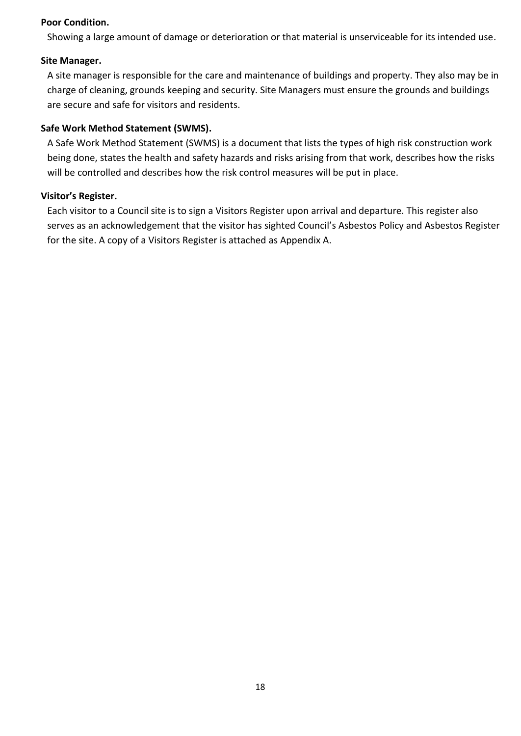### **Poor Condition.**

Showing a large amount of damage or deterioration or that material is unserviceable for its intended use.

### **Site Manager.**

A site manager is responsible for the care and maintenance of buildings and property. They also may be in charge of cleaning, grounds keeping and security. Site Managers must ensure the grounds and buildings are secure and safe for visitors and residents.

### **Safe Work Method Statement (SWMS).**

A Safe Work Method Statement (SWMS) is a document that lists the types of high risk construction work being done, states the health and safety hazards and risks arising from that work, describes how the risks will be controlled and describes how the risk control measures will be put in place.

### **Visitor's Register.**

Each visitor to a Council site is to sign a Visitors Register upon arrival and departure. This register also serves as an acknowledgement that the visitor has sighted Council's Asbestos Policy and Asbestos Register for the site. A copy of a Visitors Register is attached as Appendix A.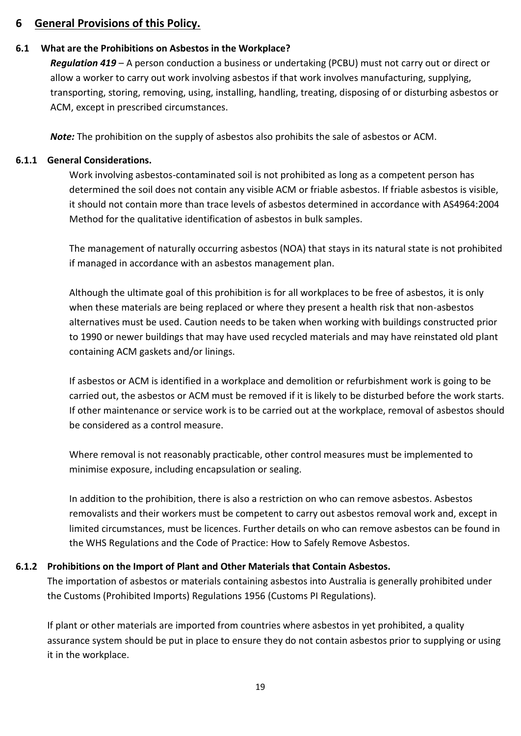### **6 General Provisions of this Policy.**

### **6.1 What are the Prohibitions on Asbestos in the Workplace?**

*Regulation 419* – A person conduction a business or undertaking (PCBU) must not carry out or direct or allow a worker to carry out work involving asbestos if that work involves manufacturing, supplying, transporting, storing, removing, using, installing, handling, treating, disposing of or disturbing asbestos or ACM, except in prescribed circumstances.

*Note:* The prohibition on the supply of asbestos also prohibits the sale of asbestos or ACM.

### **6.1.1 General Considerations.**

Work involving asbestos-contaminated soil is not prohibited as long as a competent person has determined the soil does not contain any visible ACM or friable asbestos. If friable asbestos is visible, it should not contain more than trace levels of asbestos determined in accordance with AS4964:2004 Method for the qualitative identification of asbestos in bulk samples.

The management of naturally occurring asbestos (NOA) that stays in its natural state is not prohibited if managed in accordance with an asbestos management plan.

Although the ultimate goal of this prohibition is for all workplaces to be free of asbestos, it is only when these materials are being replaced or where they present a health risk that non-asbestos alternatives must be used. Caution needs to be taken when working with buildings constructed prior to 1990 or newer buildings that may have used recycled materials and may have reinstated old plant containing ACM gaskets and/or linings.

If asbestos or ACM is identified in a workplace and demolition or refurbishment work is going to be carried out, the asbestos or ACM must be removed if it is likely to be disturbed before the work starts. If other maintenance or service work is to be carried out at the workplace, removal of asbestos should be considered as a control measure.

Where removal is not reasonably practicable, other control measures must be implemented to minimise exposure, including encapsulation or sealing.

In addition to the prohibition, there is also a restriction on who can remove asbestos. Asbestos removalists and their workers must be competent to carry out asbestos removal work and, except in limited circumstances, must be licences. Further details on who can remove asbestos can be found in the WHS Regulations and the Code of Practice: How to Safely Remove Asbestos.

### **6.1.2 Prohibitions on the Import of Plant and Other Materials that Contain Asbestos.**

The importation of asbestos or materials containing asbestos into Australia is generally prohibited under the Customs (Prohibited Imports) Regulations 1956 (Customs PI Regulations).

If plant or other materials are imported from countries where asbestos in yet prohibited, a quality assurance system should be put in place to ensure they do not contain asbestos prior to supplying or using it in the workplace.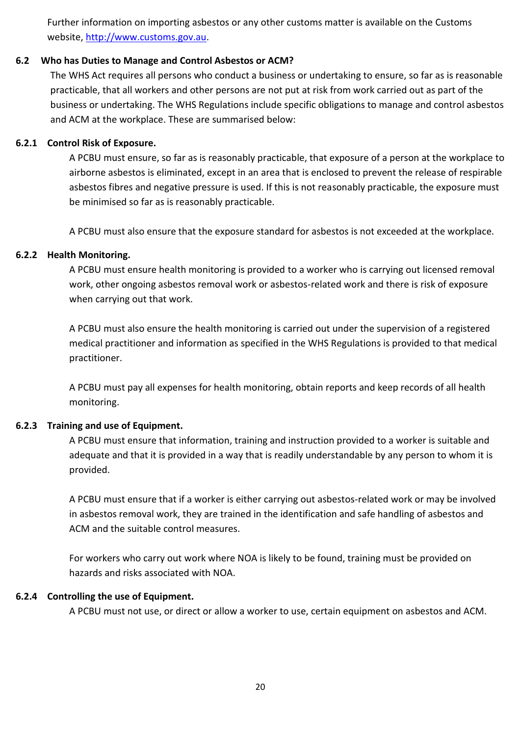Further information on importing asbestos or any other customs matter is available on the Customs website, [http://www.customs.gov.au.](http://www.customs.gov.au/)

### **6.2 Who has Duties to Manage and Control Asbestos or ACM?**

The WHS Act requires all persons who conduct a business or undertaking to ensure, so far as is reasonable practicable, that all workers and other persons are not put at risk from work carried out as part of the business or undertaking. The WHS Regulations include specific obligations to manage and control asbestos and ACM at the workplace. These are summarised below:

### **6.2.1 Control Risk of Exposure.**

A PCBU must ensure, so far as is reasonably practicable, that exposure of a person at the workplace to airborne asbestos is eliminated, except in an area that is enclosed to prevent the release of respirable asbestos fibres and negative pressure is used. If this is not reasonably practicable, the exposure must be minimised so far as is reasonably practicable.

A PCBU must also ensure that the exposure standard for asbestos is not exceeded at the workplace.

### **6.2.2 Health Monitoring.**

A PCBU must ensure health monitoring is provided to a worker who is carrying out licensed removal work, other ongoing asbestos removal work or asbestos-related work and there is risk of exposure when carrying out that work.

A PCBU must also ensure the health monitoring is carried out under the supervision of a registered medical practitioner and information as specified in the WHS Regulations is provided to that medical practitioner.

A PCBU must pay all expenses for health monitoring, obtain reports and keep records of all health monitoring.

#### **6.2.3 Training and use of Equipment.**

A PCBU must ensure that information, training and instruction provided to a worker is suitable and adequate and that it is provided in a way that is readily understandable by any person to whom it is provided.

A PCBU must ensure that if a worker is either carrying out asbestos-related work or may be involved in asbestos removal work, they are trained in the identification and safe handling of asbestos and ACM and the suitable control measures.

For workers who carry out work where NOA is likely to be found, training must be provided on hazards and risks associated with NOA.

#### **6.2.4 Controlling the use of Equipment.**

A PCBU must not use, or direct or allow a worker to use, certain equipment on asbestos and ACM.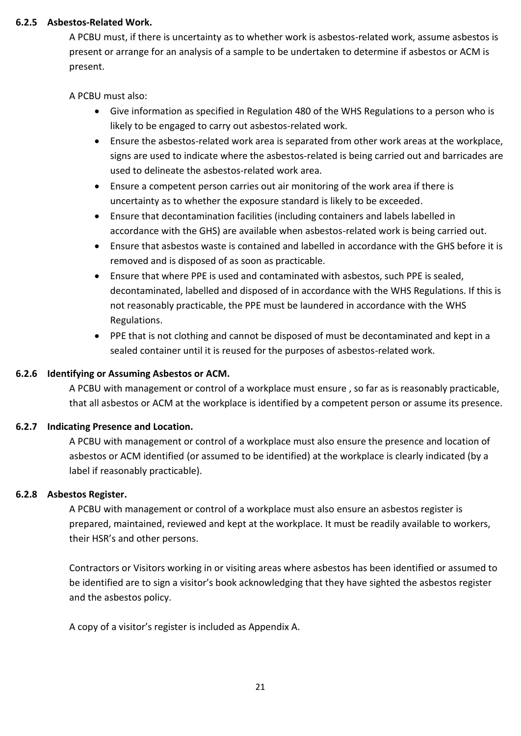### **6.2.5 Asbestos-Related Work.**

A PCBU must, if there is uncertainty as to whether work is asbestos-related work, assume asbestos is present or arrange for an analysis of a sample to be undertaken to determine if asbestos or ACM is present.

A PCBU must also:

- Give information as specified in Regulation 480 of the WHS Regulations to a person who is likely to be engaged to carry out asbestos-related work.
- Ensure the asbestos-related work area is separated from other work areas at the workplace, signs are used to indicate where the asbestos-related is being carried out and barricades are used to delineate the asbestos-related work area.
- Ensure a competent person carries out air monitoring of the work area if there is uncertainty as to whether the exposure standard is likely to be exceeded.
- Ensure that decontamination facilities (including containers and labels labelled in accordance with the GHS) are available when asbestos-related work is being carried out.
- Ensure that asbestos waste is contained and labelled in accordance with the GHS before it is removed and is disposed of as soon as practicable.
- Ensure that where PPE is used and contaminated with asbestos, such PPE is sealed, decontaminated, labelled and disposed of in accordance with the WHS Regulations. If this is not reasonably practicable, the PPE must be laundered in accordance with the WHS Regulations.
- PPE that is not clothing and cannot be disposed of must be decontaminated and kept in a sealed container until it is reused for the purposes of asbestos-related work.

### **6.2.6 Identifying or Assuming Asbestos or ACM.**

A PCBU with management or control of a workplace must ensure , so far as is reasonably practicable, that all asbestos or ACM at the workplace is identified by a competent person or assume its presence.

### **6.2.7 Indicating Presence and Location.**

A PCBU with management or control of a workplace must also ensure the presence and location of asbestos or ACM identified (or assumed to be identified) at the workplace is clearly indicated (by a label if reasonably practicable).

### **6.2.8 Asbestos Register.**

A PCBU with management or control of a workplace must also ensure an asbestos register is prepared, maintained, reviewed and kept at the workplace. It must be readily available to workers, their HSR's and other persons.

Contractors or Visitors working in or visiting areas where asbestos has been identified or assumed to be identified are to sign a visitor's book acknowledging that they have sighted the asbestos register and the asbestos policy.

A copy of a visitor's register is included as Appendix A.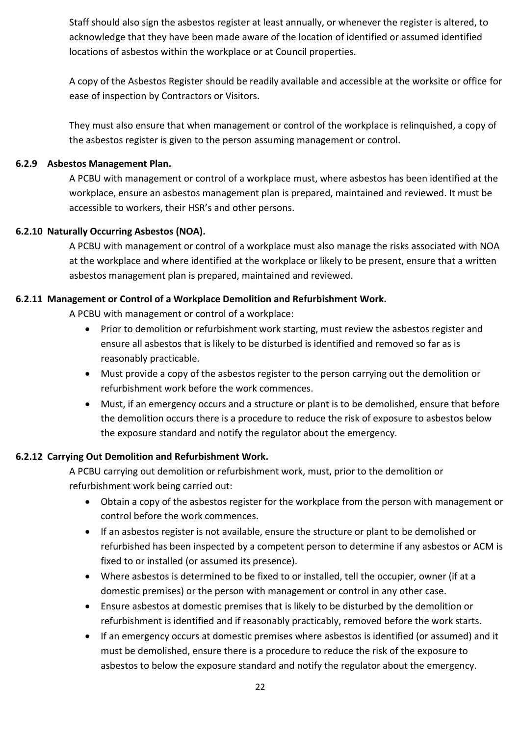Staff should also sign the asbestos register at least annually, or whenever the register is altered, to acknowledge that they have been made aware of the location of identified or assumed identified locations of asbestos within the workplace or at Council properties.

A copy of the Asbestos Register should be readily available and accessible at the worksite or office for ease of inspection by Contractors or Visitors.

They must also ensure that when management or control of the workplace is relinquished, a copy of the asbestos register is given to the person assuming management or control.

### **6.2.9 Asbestos Management Plan.**

A PCBU with management or control of a workplace must, where asbestos has been identified at the workplace, ensure an asbestos management plan is prepared, maintained and reviewed. It must be accessible to workers, their HSR's and other persons.

### **6.2.10 Naturally Occurring Asbestos (NOA).**

A PCBU with management or control of a workplace must also manage the risks associated with NOA at the workplace and where identified at the workplace or likely to be present, ensure that a written asbestos management plan is prepared, maintained and reviewed.

### **6.2.11 Management or Control of a Workplace Demolition and Refurbishment Work.**

A PCBU with management or control of a workplace:

- Prior to demolition or refurbishment work starting, must review the asbestos register and ensure all asbestos that is likely to be disturbed is identified and removed so far as is reasonably practicable.
- Must provide a copy of the asbestos register to the person carrying out the demolition or refurbishment work before the work commences.
- Must, if an emergency occurs and a structure or plant is to be demolished, ensure that before the demolition occurs there is a procedure to reduce the risk of exposure to asbestos below the exposure standard and notify the regulator about the emergency.

### **6.2.12 Carrying Out Demolition and Refurbishment Work.**

A PCBU carrying out demolition or refurbishment work, must, prior to the demolition or refurbishment work being carried out:

- Obtain a copy of the asbestos register for the workplace from the person with management or control before the work commences.
- If an asbestos register is not available, ensure the structure or plant to be demolished or refurbished has been inspected by a competent person to determine if any asbestos or ACM is fixed to or installed (or assumed its presence).
- Where asbestos is determined to be fixed to or installed, tell the occupier, owner (if at a domestic premises) or the person with management or control in any other case.
- Ensure asbestos at domestic premises that is likely to be disturbed by the demolition or refurbishment is identified and if reasonably practicably, removed before the work starts.
- If an emergency occurs at domestic premises where asbestos is identified (or assumed) and it must be demolished, ensure there is a procedure to reduce the risk of the exposure to asbestos to below the exposure standard and notify the regulator about the emergency.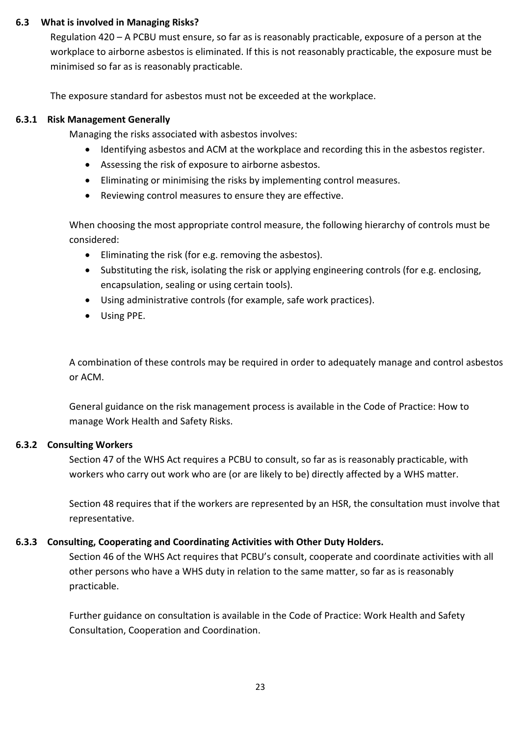### **6.3 What is involved in Managing Risks?**

Regulation 420 – A PCBU must ensure, so far as is reasonably practicable, exposure of a person at the workplace to airborne asbestos is eliminated. If this is not reasonably practicable, the exposure must be minimised so far as is reasonably practicable.

The exposure standard for asbestos must not be exceeded at the workplace.

### **6.3.1 Risk Management Generally**

Managing the risks associated with asbestos involves:

- Identifying asbestos and ACM at the workplace and recording this in the asbestos register.
- Assessing the risk of exposure to airborne asbestos.
- Eliminating or minimising the risks by implementing control measures.
- Reviewing control measures to ensure they are effective.

When choosing the most appropriate control measure, the following hierarchy of controls must be considered:

- Eliminating the risk (for e.g. removing the asbestos).
- Substituting the risk, isolating the risk or applying engineering controls (for e.g. enclosing, encapsulation, sealing or using certain tools).
- Using administrative controls (for example, safe work practices).
- Using PPE.

A combination of these controls may be required in order to adequately manage and control asbestos or ACM.

General guidance on the risk management process is available in the Code of Practice: How to manage Work Health and Safety Risks.

### **6.3.2 Consulting Workers**

Section 47 of the WHS Act requires a PCBU to consult, so far as is reasonably practicable, with workers who carry out work who are (or are likely to be) directly affected by a WHS matter.

Section 48 requires that if the workers are represented by an HSR, the consultation must involve that representative.

### **6.3.3 Consulting, Cooperating and Coordinating Activities with Other Duty Holders.**

Section 46 of the WHS Act requires that PCBU's consult, cooperate and coordinate activities with all other persons who have a WHS duty in relation to the same matter, so far as is reasonably practicable.

Further guidance on consultation is available in the Code of Practice: Work Health and Safety Consultation, Cooperation and Coordination.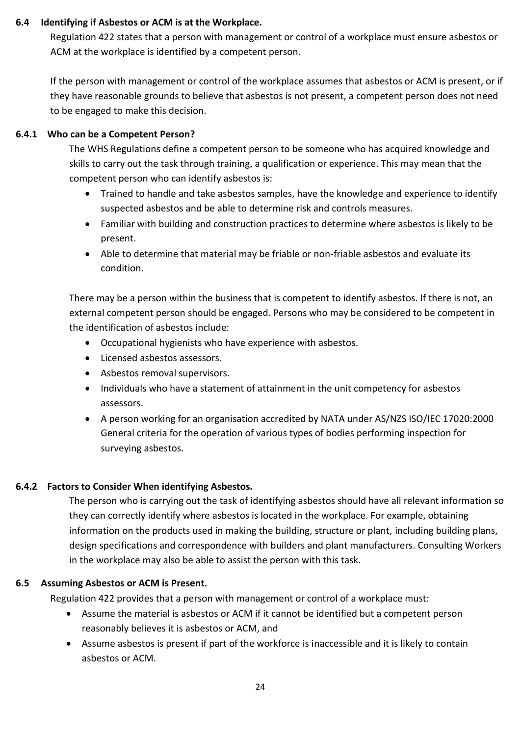### **6.4 Identifying if Asbestos or ACM is at the Workplace.**

Regulation 422 states that a person with management or control of a workplace must ensure asbestos or ACM at the workplace is identified by a competent person.

If the person with management or control of the workplace assumes that asbestos or ACM is present, or if they have reasonable grounds to believe that asbestos is not present, a competent person does not need to be engaged to make this decision.

### **6.4.1 Who can be a Competent Person?**

The WHS Regulations define a competent person to be someone who has acquired knowledge and skills to carry out the task through training, a qualification or experience. This may mean that the competent person who can identify asbestos is:

- Trained to handle and take asbestos samples, have the knowledge and experience to identify suspected asbestos and be able to determine risk and controls measures.
- Familiar with building and construction practices to determine where asbestos is likely to be present.
- Able to determine that material may be friable or non-friable asbestos and evaluate its condition.

There may be a person within the business that is competent to identify asbestos. If there is not, an external competent person should be engaged. Persons who may be considered to be competent in the identification of asbestos include:

- Occupational hygienists who have experience with asbestos.
- Licensed asbestos assessors.
- Asbestos removal supervisors.
- Individuals who have a statement of attainment in the unit competency for asbestos assessors.
- A person working for an organisation accredited by NATA under AS/NZS ISO/IEC 17020:2000 General criteria for the operation of various types of bodies performing inspection for surveying asbestos.

### **6.4.2 Factors to Consider When identifying Asbestos.**

The person who is carrying out the task of identifying asbestos should have all relevant information so they can correctly identify where asbestos is located in the workplace. For example, obtaining information on the products used in making the building, structure or plant, including building plans, design specifications and correspondence with builders and plant manufacturers. Consulting Workers in the workplace may also be able to assist the person with this task.

### **6.5 Assuming Asbestos or ACM is Present.**

Regulation 422 provides that a person with management or control of a workplace must:

- Assume the material is asbestos or ACM if it cannot be identified but a competent person reasonably believes it is asbestos or ACM, and
- Assume asbestos is present if part of the workforce is inaccessible and it is likely to contain asbestos or ACM.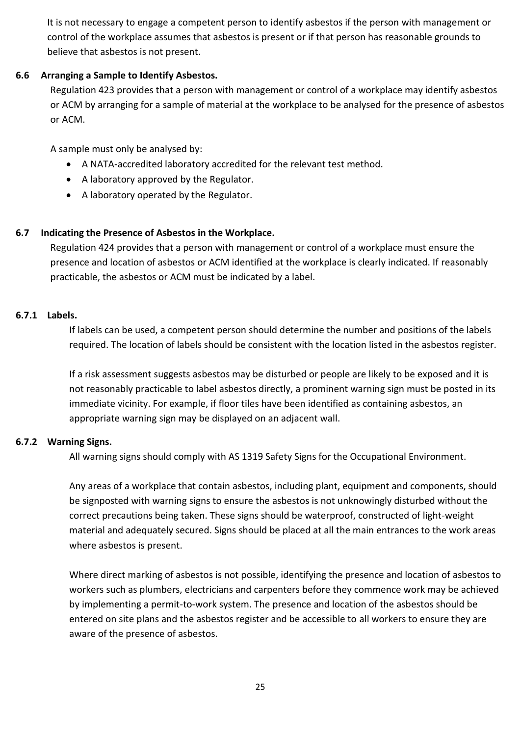It is not necessary to engage a competent person to identify asbestos if the person with management or control of the workplace assumes that asbestos is present or if that person has reasonable grounds to believe that asbestos is not present.

### **6.6 Arranging a Sample to Identify Asbestos.**

Regulation 423 provides that a person with management or control of a workplace may identify asbestos or ACM by arranging for a sample of material at the workplace to be analysed for the presence of asbestos or ACM.

A sample must only be analysed by:

- A NATA-accredited laboratory accredited for the relevant test method.
- A laboratory approved by the Regulator.
- A laboratory operated by the Regulator.

### **6.7 Indicating the Presence of Asbestos in the Workplace.**

Regulation 424 provides that a person with management or control of a workplace must ensure the presence and location of asbestos or ACM identified at the workplace is clearly indicated. If reasonably practicable, the asbestos or ACM must be indicated by a label.

#### **6.7.1 Labels.**

If labels can be used, a competent person should determine the number and positions of the labels required. The location of labels should be consistent with the location listed in the asbestos register.

If a risk assessment suggests asbestos may be disturbed or people are likely to be exposed and it is not reasonably practicable to label asbestos directly, a prominent warning sign must be posted in its immediate vicinity. For example, if floor tiles have been identified as containing asbestos, an appropriate warning sign may be displayed on an adjacent wall.

#### **6.7.2 Warning Signs.**

All warning signs should comply with AS 1319 Safety Signs for the Occupational Environment.

Any areas of a workplace that contain asbestos, including plant, equipment and components, should be signposted with warning signs to ensure the asbestos is not unknowingly disturbed without the correct precautions being taken. These signs should be waterproof, constructed of light-weight material and adequately secured. Signs should be placed at all the main entrances to the work areas where asbestos is present.

Where direct marking of asbestos is not possible, identifying the presence and location of asbestos to workers such as plumbers, electricians and carpenters before they commence work may be achieved by implementing a permit-to-work system. The presence and location of the asbestos should be entered on site plans and the asbestos register and be accessible to all workers to ensure they are aware of the presence of asbestos.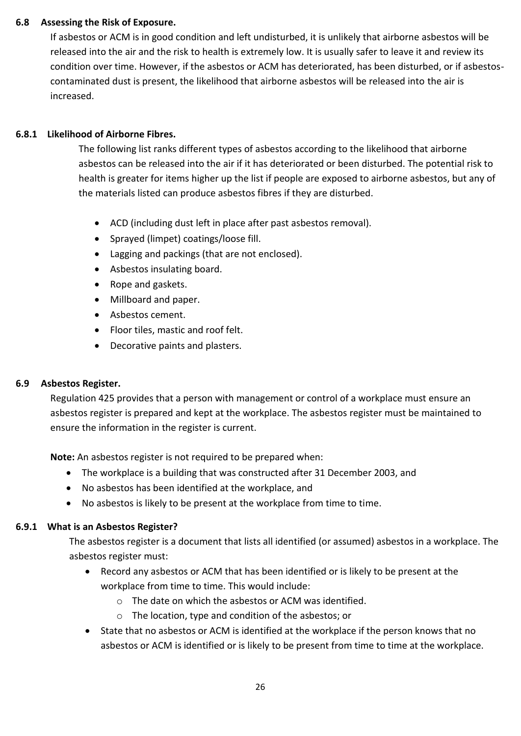### **6.8 Assessing the Risk of Exposure.**

If asbestos or ACM is in good condition and left undisturbed, it is unlikely that airborne asbestos will be released into the air and the risk to health is extremely low. It is usually safer to leave it and review its condition over time. However, if the asbestos or ACM has deteriorated, has been disturbed, or if asbestoscontaminated dust is present, the likelihood that airborne asbestos will be released into the air is increased.

### **6.8.1 Likelihood of Airborne Fibres.**

The following list ranks different types of asbestos according to the likelihood that airborne asbestos can be released into the air if it has deteriorated or been disturbed. The potential risk to health is greater for items higher up the list if people are exposed to airborne asbestos, but any of the materials listed can produce asbestos fibres if they are disturbed.

- ACD (including dust left in place after past asbestos removal).
- Sprayed (limpet) coatings/loose fill.
- Lagging and packings (that are not enclosed).
- Asbestos insulating board.
- Rope and gaskets.
- Millboard and paper.
- Asbestos cement.
- Floor tiles, mastic and roof felt.
- Decorative paints and plasters.

### **6.9 Asbestos Register.**

Regulation 425 provides that a person with management or control of a workplace must ensure an asbestos register is prepared and kept at the workplace. The asbestos register must be maintained to ensure the information in the register is current.

**Note:** An asbestos register is not required to be prepared when:

- The workplace is a building that was constructed after 31 December 2003, and
- No asbestos has been identified at the workplace, and
- No asbestos is likely to be present at the workplace from time to time.

### **6.9.1 What is an Asbestos Register?**

The asbestos register is a document that lists all identified (or assumed) asbestos in a workplace. The asbestos register must:

- Record any asbestos or ACM that has been identified or is likely to be present at the workplace from time to time. This would include:
	- o The date on which the asbestos or ACM was identified.
	- o The location, type and condition of the asbestos; or
- State that no asbestos or ACM is identified at the workplace if the person knows that no asbestos or ACM is identified or is likely to be present from time to time at the workplace.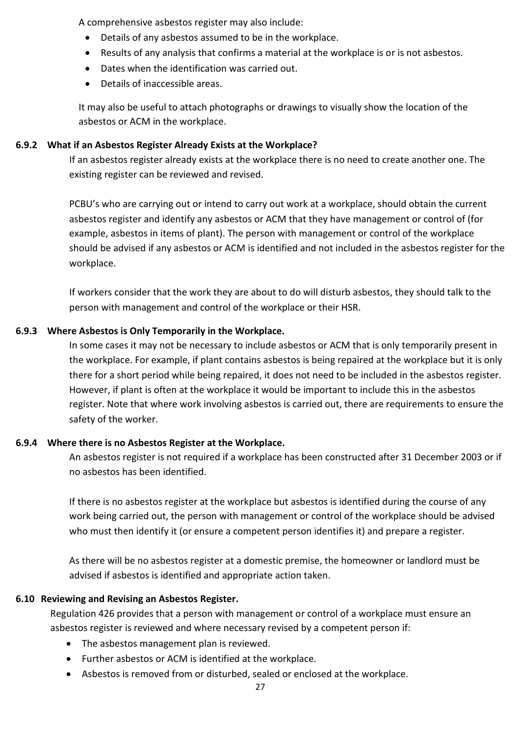A comprehensive asbestos register may also include:

- Details of any asbestos assumed to be in the workplace.
- Results of any analysis that confirms a material at the workplace is or is not asbestos.
- Dates when the identification was carried out.
- Details of inaccessible areas.

It may also be useful to attach photographs or drawings to visually show the location of the asbestos or ACM in the workplace.

### **6.9.2 What if an Asbestos Register Already Exists at the Workplace?**

If an asbestos register already exists at the workplace there is no need to create another one. The existing register can be reviewed and revised.

PCBU's who are carrying out or intend to carry out work at a workplace, should obtain the current asbestos register and identify any asbestos or ACM that they have management or control of (for example, asbestos in items of plant). The person with management or control of the workplace should be advised if any asbestos or ACM is identified and not included in the asbestos register for the workplace.

If workers consider that the work they are about to do will disturb asbestos, they should talk to the person with management and control of the workplace or their HSR.

### **6.9.3 Where Asbestos is Only Temporarily in the Workplace.**

In some cases it may not be necessary to include asbestos or ACM that is only temporarily present in the workplace. For example, if plant contains asbestos is being repaired at the workplace but it is only there for a short period while being repaired, it does not need to be included in the asbestos register. However, if plant is often at the workplace it would be important to include this in the asbestos register. Note that where work involving asbestos is carried out, there are requirements to ensure the safety of the worker.

### **6.9.4 Where there is no Asbestos Register at the Workplace.**

An asbestos register is not required if a workplace has been constructed after 31 December 2003 or if no asbestos has been identified.

If there is no asbestos register at the workplace but asbestos is identified during the course of any work being carried out, the person with management or control of the workplace should be advised who must then identify it (or ensure a competent person identifies it) and prepare a register.

As there will be no asbestos register at a domestic premise, the homeowner or landlord must be advised if asbestos is identified and appropriate action taken.

### **6.10 Reviewing and Revising an Asbestos Register.**

Regulation 426 provides that a person with management or control of a workplace must ensure an asbestos register is reviewed and where necessary revised by a competent person if:

- The asbestos management plan is reviewed.
- Further asbestos or ACM is identified at the workplace.
- Asbestos is removed from or disturbed, sealed or enclosed at the workplace.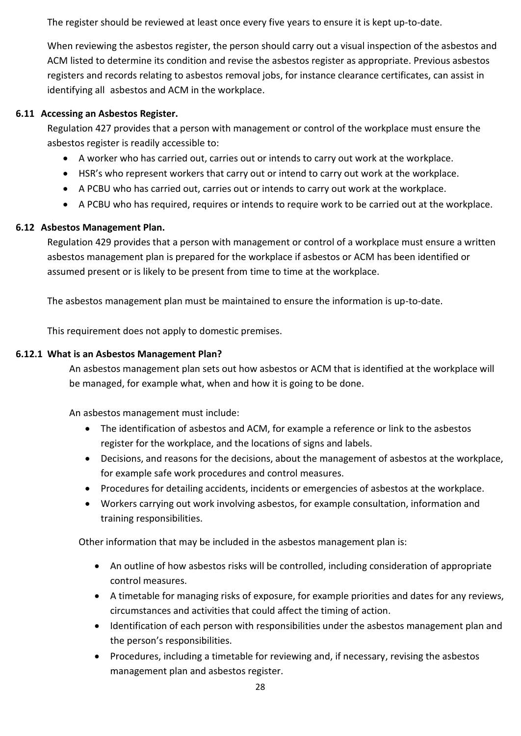The register should be reviewed at least once every five years to ensure it is kept up-to-date.

When reviewing the asbestos register, the person should carry out a visual inspection of the asbestos and ACM listed to determine its condition and revise the asbestos register as appropriate. Previous asbestos registers and records relating to asbestos removal jobs, for instance clearance certificates, can assist in identifying all asbestos and ACM in the workplace.

### **6.11 Accessing an Asbestos Register.**

Regulation 427 provides that a person with management or control of the workplace must ensure the asbestos register is readily accessible to:

- A worker who has carried out, carries out or intends to carry out work at the workplace.
- HSR's who represent workers that carry out or intend to carry out work at the workplace.
- A PCBU who has carried out, carries out or intends to carry out work at the workplace.
- A PCBU who has required, requires or intends to require work to be carried out at the workplace.

### **6.12 Asbestos Management Plan.**

Regulation 429 provides that a person with management or control of a workplace must ensure a written asbestos management plan is prepared for the workplace if asbestos or ACM has been identified or assumed present or is likely to be present from time to time at the workplace.

The asbestos management plan must be maintained to ensure the information is up-to-date.

This requirement does not apply to domestic premises.

### **6.12.1 What is an Asbestos Management Plan?**

An asbestos management plan sets out how asbestos or ACM that is identified at the workplace will be managed, for example what, when and how it is going to be done.

An asbestos management must include:

- The identification of asbestos and ACM, for example a reference or link to the asbestos register for the workplace, and the locations of signs and labels.
- Decisions, and reasons for the decisions, about the management of asbestos at the workplace, for example safe work procedures and control measures.
- Procedures for detailing accidents, incidents or emergencies of asbestos at the workplace.
- Workers carrying out work involving asbestos, for example consultation, information and training responsibilities.

Other information that may be included in the asbestos management plan is:

- An outline of how asbestos risks will be controlled, including consideration of appropriate control measures.
- A timetable for managing risks of exposure, for example priorities and dates for any reviews, circumstances and activities that could affect the timing of action.
- Identification of each person with responsibilities under the asbestos management plan and the person's responsibilities.
- Procedures, including a timetable for reviewing and, if necessary, revising the asbestos management plan and asbestos register.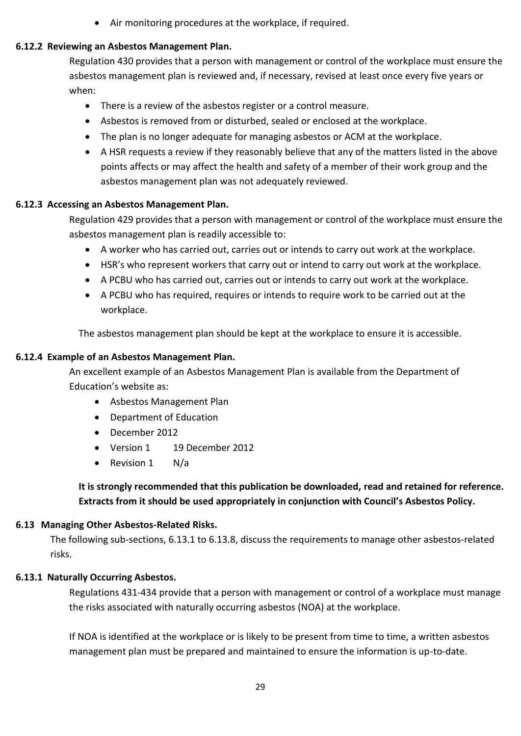• Air monitoring procedures at the workplace, if required.

### **6.12.2 Reviewing an Asbestos Management Plan.**

Regulation 430 provides that a person with management or control of the workplace must ensure the asbestos management plan is reviewed and, if necessary, revised at least once every five years or when:

- There is a review of the asbestos register or a control measure.
- Asbestos is removed from or disturbed, sealed or enclosed at the workplace.
- The plan is no longer adequate for managing asbestos or ACM at the workplace.
- A HSR requests a review if they reasonably believe that any of the matters listed in the above points affects or may affect the health and safety of a member of their work group and the asbestos management plan was not adequately reviewed.

### **6.12.3 Accessing an Asbestos Management Plan.**

Regulation 429 provides that a person with management or control of the workplace must ensure the asbestos management plan is readily accessible to:

- A worker who has carried out, carries out or intends to carry out work at the workplace.
- HSR's who represent workers that carry out or intend to carry out work at the workplace.
- A PCBU who has carried out, carries out or intends to carry out work at the workplace.
- A PCBU who has required, requires or intends to require work to be carried out at the workplace.

The asbestos management plan should be kept at the workplace to ensure it is accessible.

### **6.12.4 Example of an Asbestos Management Plan.**

An excellent example of an Asbestos Management Plan is available from the Department of Education's website as:

- Asbestos Management Plan
- Department of Education
- December 2012
- Version 1 19 December 2012
- Revision 1 N/a

**It is strongly recommended that this publication be downloaded, read and retained for reference. Extracts from it should be used appropriately in conjunction with Council's Asbestos Policy.**

### **6.13 Managing Other Asbestos-Related Risks.**

The following sub-sections, 6.13.1 to 6.13.8, discuss the requirements to manage other asbestos-related risks.

### **6.13.1 Naturally Occurring Asbestos.**

Regulations 431-434 provide that a person with management or control of a workplace must manage the risks associated with naturally occurring asbestos (NOA) at the workplace.

If NOA is identified at the workplace or is likely to be present from time to time, a written asbestos management plan must be prepared and maintained to ensure the information is up-to-date.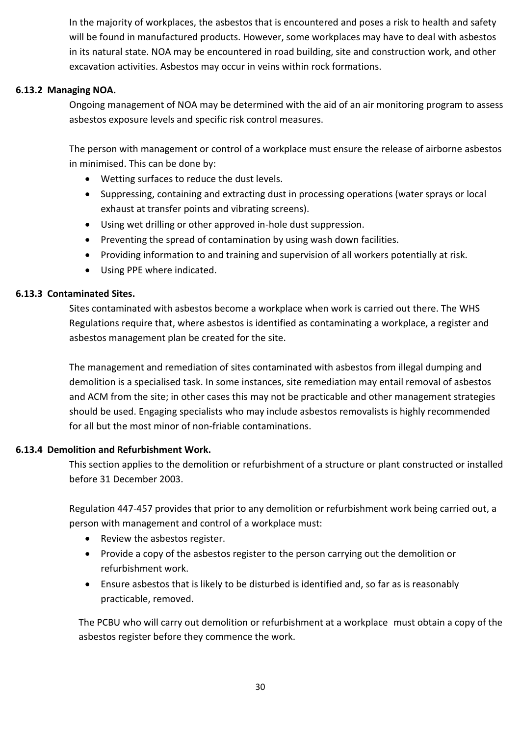In the majority of workplaces, the asbestos that is encountered and poses a risk to health and safety will be found in manufactured products. However, some workplaces may have to deal with asbestos in its natural state. NOA may be encountered in road building, site and construction work, and other excavation activities. Asbestos may occur in veins within rock formations.

### **6.13.2 Managing NOA.**

Ongoing management of NOA may be determined with the aid of an air monitoring program to assess asbestos exposure levels and specific risk control measures.

The person with management or control of a workplace must ensure the release of airborne asbestos in minimised. This can be done by:

- Wetting surfaces to reduce the dust levels.
- Suppressing, containing and extracting dust in processing operations (water sprays or local exhaust at transfer points and vibrating screens).
- Using wet drilling or other approved in-hole dust suppression.
- Preventing the spread of contamination by using wash down facilities.
- Providing information to and training and supervision of all workers potentially at risk.
- Using PPE where indicated.

### **6.13.3 Contaminated Sites.**

Sites contaminated with asbestos become a workplace when work is carried out there. The WHS Regulations require that, where asbestos is identified as contaminating a workplace, a register and asbestos management plan be created for the site.

The management and remediation of sites contaminated with asbestos from illegal dumping and demolition is a specialised task. In some instances, site remediation may entail removal of asbestos and ACM from the site; in other cases this may not be practicable and other management strategies should be used. Engaging specialists who may include asbestos removalists is highly recommended for all but the most minor of non-friable contaminations.

### **6.13.4 Demolition and Refurbishment Work.**

This section applies to the demolition or refurbishment of a structure or plant constructed or installed before 31 December 2003.

Regulation 447-457 provides that prior to any demolition or refurbishment work being carried out, a person with management and control of a workplace must:

- Review the asbestos register.
- Provide a copy of the asbestos register to the person carrying out the demolition or refurbishment work.
- Ensure asbestos that is likely to be disturbed is identified and, so far as is reasonably practicable, removed.

The PCBU who will carry out demolition or refurbishment at a workplace must obtain a copy of the asbestos register before they commence the work.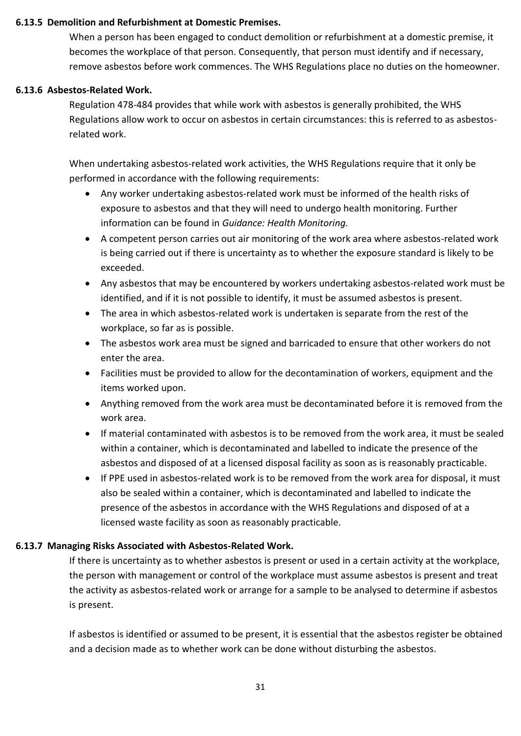### **6.13.5 Demolition and Refurbishment at Domestic Premises.**

When a person has been engaged to conduct demolition or refurbishment at a domestic premise, it becomes the workplace of that person. Consequently, that person must identify and if necessary, remove asbestos before work commences. The WHS Regulations place no duties on the homeowner.

### **6.13.6 Asbestos-Related Work.**

Regulation 478-484 provides that while work with asbestos is generally prohibited, the WHS Regulations allow work to occur on asbestos in certain circumstances: this is referred to as asbestosrelated work.

When undertaking asbestos-related work activities, the WHS Regulations require that it only be performed in accordance with the following requirements:

- Any worker undertaking asbestos-related work must be informed of the health risks of exposure to asbestos and that they will need to undergo health monitoring. Further information can be found in *Guidance: Health Monitoring.*
- A competent person carries out air monitoring of the work area where asbestos-related work is being carried out if there is uncertainty as to whether the exposure standard is likely to be exceeded.
- Any asbestos that may be encountered by workers undertaking asbestos-related work must be identified, and if it is not possible to identify, it must be assumed asbestos is present.
- The area in which asbestos-related work is undertaken is separate from the rest of the workplace, so far as is possible.
- The asbestos work area must be signed and barricaded to ensure that other workers do not enter the area.
- Facilities must be provided to allow for the decontamination of workers, equipment and the items worked upon.
- Anything removed from the work area must be decontaminated before it is removed from the work area.
- If material contaminated with asbestos is to be removed from the work area, it must be sealed within a container, which is decontaminated and labelled to indicate the presence of the asbestos and disposed of at a licensed disposal facility as soon as is reasonably practicable.
- If PPE used in asbestos-related work is to be removed from the work area for disposal, it must also be sealed within a container, which is decontaminated and labelled to indicate the presence of the asbestos in accordance with the WHS Regulations and disposed of at a licensed waste facility as soon as reasonably practicable.

### **6.13.7 Managing Risks Associated with Asbestos-Related Work.**

If there is uncertainty as to whether asbestos is present or used in a certain activity at the workplace, the person with management or control of the workplace must assume asbestos is present and treat the activity as asbestos-related work or arrange for a sample to be analysed to determine if asbestos is present.

If asbestos is identified or assumed to be present, it is essential that the asbestos register be obtained and a decision made as to whether work can be done without disturbing the asbestos.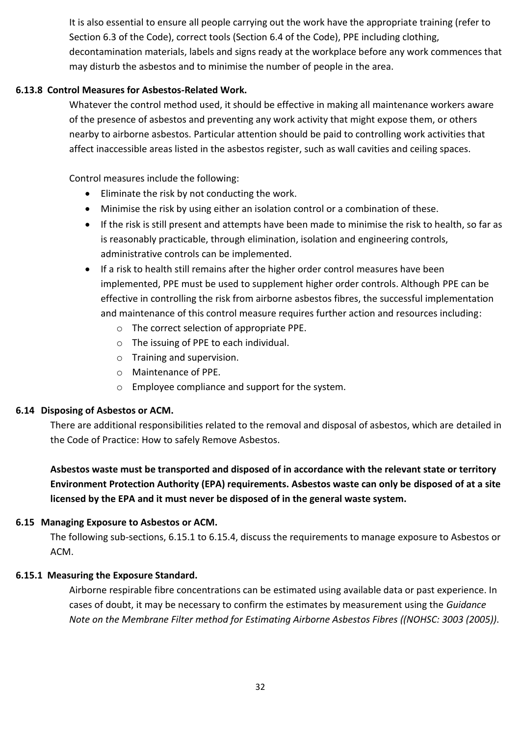It is also essential to ensure all people carrying out the work have the appropriate training (refer to Section 6.3 of the Code), correct tools (Section 6.4 of the Code), PPE including clothing, decontamination materials, labels and signs ready at the workplace before any work commences that may disturb the asbestos and to minimise the number of people in the area.

### **6.13.8 Control Measures for Asbestos-Related Work.**

Whatever the control method used, it should be effective in making all maintenance workers aware of the presence of asbestos and preventing any work activity that might expose them, or others nearby to airborne asbestos. Particular attention should be paid to controlling work activities that affect inaccessible areas listed in the asbestos register, such as wall cavities and ceiling spaces.

Control measures include the following:

- Eliminate the risk by not conducting the work.
- Minimise the risk by using either an isolation control or a combination of these.
- If the risk is still present and attempts have been made to minimise the risk to health, so far as is reasonably practicable, through elimination, isolation and engineering controls, administrative controls can be implemented.
- If a risk to health still remains after the higher order control measures have been implemented, PPE must be used to supplement higher order controls. Although PPE can be effective in controlling the risk from airborne asbestos fibres, the successful implementation and maintenance of this control measure requires further action and resources including:
	- o The correct selection of appropriate PPE.
	- o The issuing of PPE to each individual.
	- o Training and supervision.
	- o Maintenance of PPE.
	- o Employee compliance and support for the system.

### **6.14 Disposing of Asbestos or ACM.**

There are additional responsibilities related to the removal and disposal of asbestos, which are detailed in the Code of Practice: How to safely Remove Asbestos.

**Asbestos waste must be transported and disposed of in accordance with the relevant state or territory Environment Protection Authority (EPA) requirements. Asbestos waste can only be disposed of at a site licensed by the EPA and it must never be disposed of in the general waste system.**

### **6.15 Managing Exposure to Asbestos or ACM.**

The following sub-sections, 6.15.1 to 6.15.4, discuss the requirements to manage exposure to Asbestos or ACM.

### **6.15.1 Measuring the Exposure Standard.**

Airborne respirable fibre concentrations can be estimated using available data or past experience. In cases of doubt, it may be necessary to confirm the estimates by measurement using the *Guidance Note on the Membrane Filter method for Estimating Airborne Asbestos Fibres ((NOHSC: 3003 (2005))*.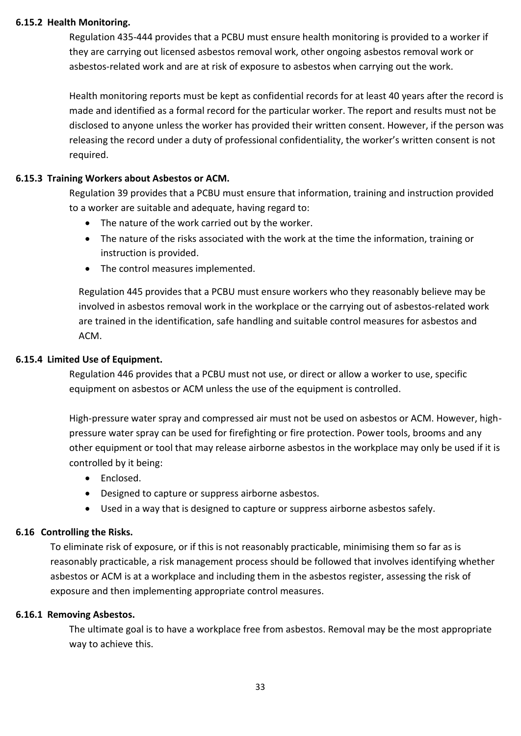#### **6.15.2 Health Monitoring.**

Regulation 435-444 provides that a PCBU must ensure health monitoring is provided to a worker if they are carrying out licensed asbestos removal work, other ongoing asbestos removal work or asbestos-related work and are at risk of exposure to asbestos when carrying out the work.

Health monitoring reports must be kept as confidential records for at least 40 years after the record is made and identified as a formal record for the particular worker. The report and results must not be disclosed to anyone unless the worker has provided their written consent. However, if the person was releasing the record under a duty of professional confidentiality, the worker's written consent is not required.

### **6.15.3 Training Workers about Asbestos or ACM.**

Regulation 39 provides that a PCBU must ensure that information, training and instruction provided to a worker are suitable and adequate, having regard to:

- The nature of the work carried out by the worker.
- The nature of the risks associated with the work at the time the information, training or instruction is provided.
- The control measures implemented.

Regulation 445 provides that a PCBU must ensure workers who they reasonably believe may be involved in asbestos removal work in the workplace or the carrying out of asbestos-related work are trained in the identification, safe handling and suitable control measures for asbestos and ACM.

### **6.15.4 Limited Use of Equipment.**

Regulation 446 provides that a PCBU must not use, or direct or allow a worker to use, specific equipment on asbestos or ACM unless the use of the equipment is controlled.

High-pressure water spray and compressed air must not be used on asbestos or ACM. However, highpressure water spray can be used for firefighting or fire protection. Power tools, brooms and any other equipment or tool that may release airborne asbestos in the workplace may only be used if it is controlled by it being:

- Enclosed.
- Designed to capture or suppress airborne asbestos.
- Used in a way that is designed to capture or suppress airborne asbestos safely.

### **6.16 Controlling the Risks.**

To eliminate risk of exposure, or if this is not reasonably practicable, minimising them so far as is reasonably practicable, a risk management process should be followed that involves identifying whether asbestos or ACM is at a workplace and including them in the asbestos register, assessing the risk of exposure and then implementing appropriate control measures.

#### **6.16.1 Removing Asbestos.**

The ultimate goal is to have a workplace free from asbestos. Removal may be the most appropriate way to achieve this.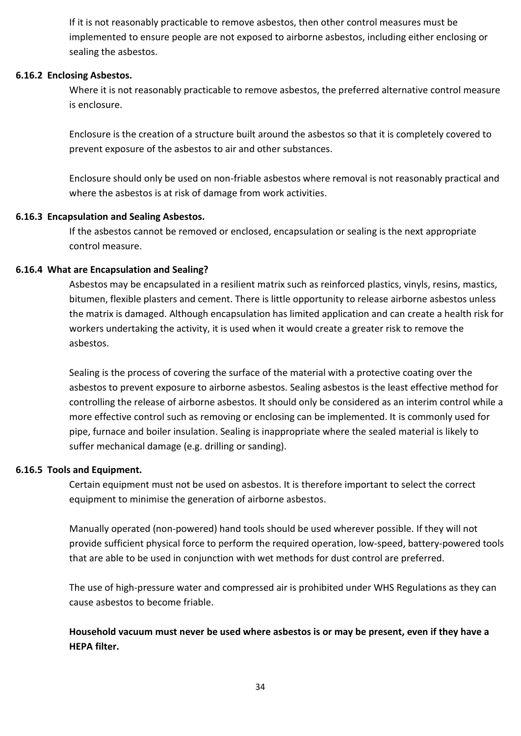If it is not reasonably practicable to remove asbestos, then other control measures must be implemented to ensure people are not exposed to airborne asbestos, including either enclosing or sealing the asbestos.

#### **6.16.2 Enclosing Asbestos.**

Where it is not reasonably practicable to remove asbestos, the preferred alternative control measure is enclosure.

Enclosure is the creation of a structure built around the asbestos so that it is completely covered to prevent exposure of the asbestos to air and other substances.

Enclosure should only be used on non-friable asbestos where removal is not reasonably practical and where the asbestos is at risk of damage from work activities.

#### **6.16.3 Encapsulation and Sealing Asbestos.**

If the asbestos cannot be removed or enclosed, encapsulation or sealing is the next appropriate control measure.

#### **6.16.4 What are Encapsulation and Sealing?**

Asbestos may be encapsulated in a resilient matrix such as reinforced plastics, vinyls, resins, mastics, bitumen, flexible plasters and cement. There is little opportunity to release airborne asbestos unless the matrix is damaged. Although encapsulation has limited application and can create a health risk for workers undertaking the activity, it is used when it would create a greater risk to remove the asbestos.

Sealing is the process of covering the surface of the material with a protective coating over the asbestos to prevent exposure to airborne asbestos. Sealing asbestos is the least effective method for controlling the release of airborne asbestos. It should only be considered as an interim control while a more effective control such as removing or enclosing can be implemented. It is commonly used for pipe, furnace and boiler insulation. Sealing is inappropriate where the sealed material is likely to suffer mechanical damage (e.g. drilling or sanding).

#### **6.16.5 Tools and Equipment.**

Certain equipment must not be used on asbestos. It is therefore important to select the correct equipment to minimise the generation of airborne asbestos.

Manually operated (non-powered) hand tools should be used wherever possible. If they will not provide sufficient physical force to perform the required operation, low-speed, battery-powered tools that are able to be used in conjunction with wet methods for dust control are preferred.

The use of high-pressure water and compressed air is prohibited under WHS Regulations as they can cause asbestos to become friable.

**Household vacuum must never be used where asbestos is or may be present, even if they have a HEPA filter.**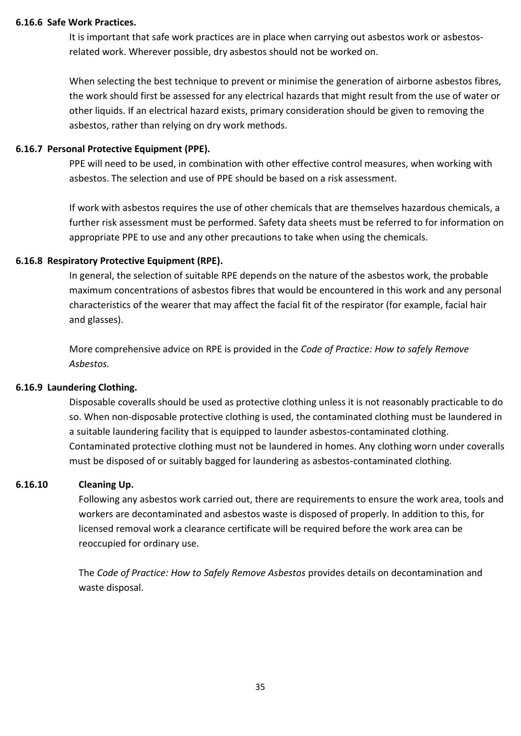#### **6.16.6 Safe Work Practices.**

It is important that safe work practices are in place when carrying out asbestos work or asbestosrelated work. Wherever possible, dry asbestos should not be worked on.

When selecting the best technique to prevent or minimise the generation of airborne asbestos fibres, the work should first be assessed for any electrical hazards that might result from the use of water or other liquids. If an electrical hazard exists, primary consideration should be given to removing the asbestos, rather than relying on dry work methods.

#### **6.16.7 Personal Protective Equipment (PPE).**

PPE will need to be used, in combination with other effective control measures, when working with asbestos. The selection and use of PPE should be based on a risk assessment.

If work with asbestos requires the use of other chemicals that are themselves hazardous chemicals, a further risk assessment must be performed. Safety data sheets must be referred to for information on appropriate PPE to use and any other precautions to take when using the chemicals.

#### **6.16.8 Respiratory Protective Equipment (RPE).**

In general, the selection of suitable RPE depends on the nature of the asbestos work, the probable maximum concentrations of asbestos fibres that would be encountered in this work and any personal characteristics of the wearer that may affect the facial fit of the respirator (for example, facial hair and glasses).

More comprehensive advice on RPE is provided in the *Code of Practice: How to safely Remove Asbestos.*

#### **6.16.9 Laundering Clothing.**

Disposable coveralls should be used as protective clothing unless it is not reasonably practicable to do so. When non-disposable protective clothing is used, the contaminated clothing must be laundered in a suitable laundering facility that is equipped to launder asbestos-contaminated clothing. Contaminated protective clothing must not be laundered in homes. Any clothing worn under coveralls must be disposed of or suitably bagged for laundering as asbestos-contaminated clothing.

#### **6.16.10 Cleaning Up.**

Following any asbestos work carried out, there are requirements to ensure the work area, tools and workers are decontaminated and asbestos waste is disposed of properly. In addition to this, for licensed removal work a clearance certificate will be required before the work area can be reoccupied for ordinary use.

The *Code of Practice: How to Safely Remove Asbestos* provides details on decontamination and waste disposal.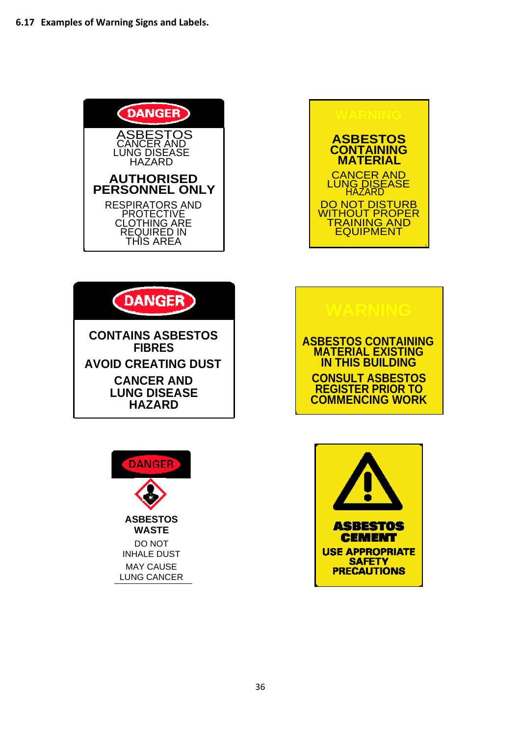





**CANCER AND LUNG DISEASE HAZARD**







36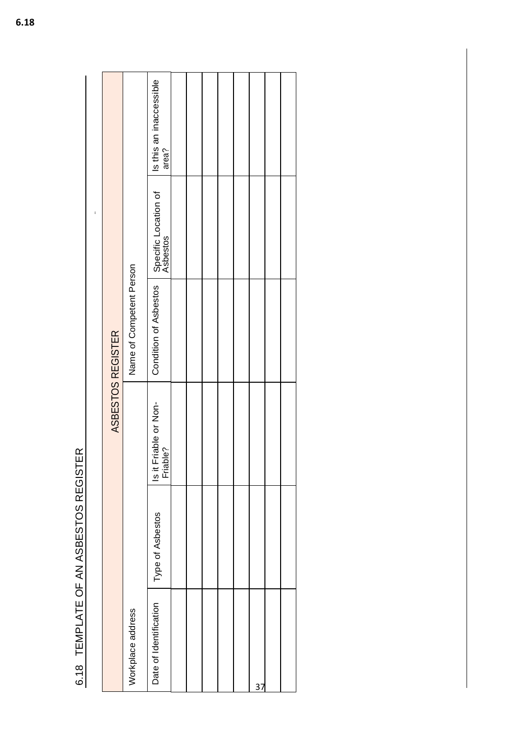6.18 TEMPLATE OF AN ASBESTOS REGISTER 6.18 TEMPLATE OF AN ASBESTOS REGISTER

|                        |                  | ASBESTOS REGISTER                 |                          |                                  |                                  |
|------------------------|------------------|-----------------------------------|--------------------------|----------------------------------|----------------------------------|
| Workplace address      |                  |                                   | Name of Competent Person |                                  |                                  |
| Date of Identification | Type of Asbestos | Is it Friable or Non-<br>Friable? | Condition of Asbestos    | Specific Location of<br>Asbestos | Is this an inaccessible<br>area? |
|                        |                  |                                   |                          |                                  |                                  |
|                        |                  |                                   |                          |                                  |                                  |
|                        |                  |                                   |                          |                                  |                                  |
|                        |                  |                                   |                          |                                  |                                  |
|                        |                  |                                   |                          |                                  |                                  |
| 37                     |                  |                                   |                          |                                  |                                  |
|                        |                  |                                   |                          |                                  |                                  |
|                        |                  |                                   |                          |                                  |                                  |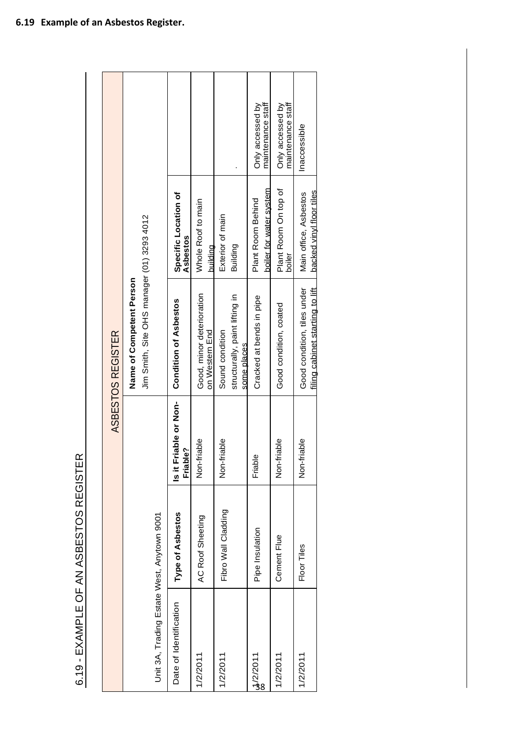| ことに こくしここ                |  |
|--------------------------|--|
|                          |  |
|                          |  |
|                          |  |
|                          |  |
|                          |  |
|                          |  |
|                          |  |
|                          |  |
| $\overline{\phantom{a}}$ |  |
|                          |  |
|                          |  |
| ï                        |  |
|                          |  |
| ミヘヘン<br>ī                |  |
|                          |  |
|                          |  |
|                          |  |
|                          |  |
| `<br>ع                   |  |

|                                            |                     |                                   | ASBESTOS REGISTER                                              |                                                   |                                       |
|--------------------------------------------|---------------------|-----------------------------------|----------------------------------------------------------------|---------------------------------------------------|---------------------------------------|
|                                            |                     |                                   | Name of Competent Person                                       |                                                   |                                       |
|                                            |                     |                                   | Jim Smith, Site OHS manager (01) 3293 4012                     |                                                   |                                       |
| Unit 3A, Trading Estate West, Anytown 9001 |                     |                                   |                                                                |                                                   |                                       |
| Date of Identification                     | Type of Asbestos    | Is it Friable or Non-<br>Friable? | <b>Condition of Asbestos</b>                                   | Specific Location of<br>Asbestos                  |                                       |
| 1/2/2011                                   | AC Roof Sheeting    | Non-friable                       | Good, minor deterioration<br>on Western End                    | Whole Roof to main<br>buildina                    |                                       |
| 1/2/2011                                   | Fibro Wall Cladding | Non-friable                       | Sound condition                                                | Exterior of main                                  |                                       |
|                                            |                     |                                   | structurally, paint lifting in<br>some places                  | Building                                          |                                       |
| <mark>ಟೆ</mark> /2/2011<br>ಜ               | Pipe Insulation     | Friable                           | Cracked at bends in pipe                                       | boiler for water system<br>Plant Room Behind      | maintenance staff<br>Only accessed by |
| 1/2/2011                                   | Cement Flue         | Non-friable                       | Good condition, coated                                         | Plant Room On top of<br>boiler                    | maintenance staff<br>Only accessed by |
| 1/2/2011                                   | Floor Tiles         | riable<br>Non-fr                  | filing cabinet starting to lift<br>Good condition, tiles under | backed vinyl floor tiles<br>Main office, Asbestos | Inaccessible                          |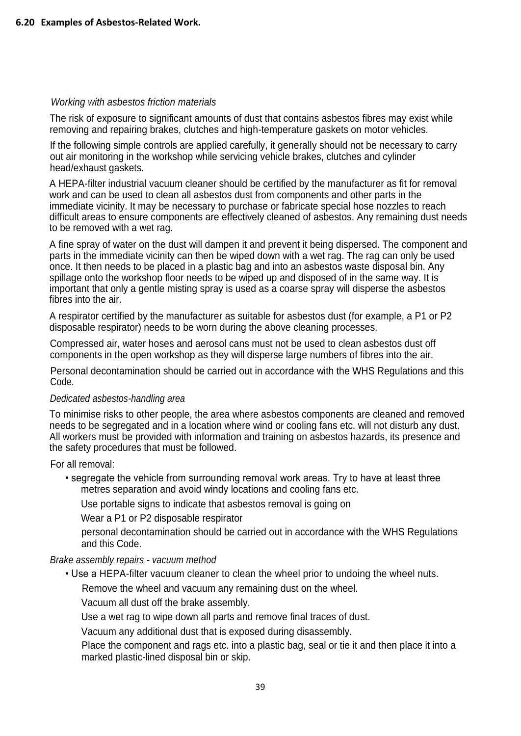### *Working with asbestos friction materials*

The risk of exposure to significant amounts of dust that contains asbestos fibres may exist while removing and repairing brakes, clutches and high-temperature gaskets on motor vehicles.

If the following simple controls are applied carefully, it generally should not be necessary to carry out air monitoring in the workshop while servicing vehicle brakes, clutches and cylinder head/exhaust gaskets.

A HEPA-filter industrial vacuum cleaner should be certified by the manufacturer as fit for removal work and can be used to clean all asbestos dust from components and other parts in the immediate vicinity. It may be necessary to purchase or fabricate special hose nozzles to reach difficult areas to ensure components are effectively cleaned of asbestos. Any remaining dust needs to be removed with a wet rag.

A fine spray of water on the dust will dampen it and prevent it being dispersed. The component and parts in the immediate vicinity can then be wiped down with a wet rag. The rag can only be used once. It then needs to be placed in a plastic bag and into an asbestos waste disposal bin. Any spillage onto the workshop floor needs to be wiped up and disposed of in the same way. It is important that only a gentle misting spray is used as a coarse spray will disperse the asbestos fibres into the air.

A respirator certified by the manufacturer as suitable for asbestos dust (for example, a P1 or P2 disposable respirator) needs to be worn during the above cleaning processes.

Compressed air, water hoses and aerosol cans must not be used to clean asbestos dust off components in the open workshop as they will disperse large numbers of fibres into the air.

Personal decontamination should be carried out in accordance with the WHS Regulations and this Code.

#### *Dedicated asbestos-handling area*

To minimise risks to other people, the area where asbestos components are cleaned and removed needs to be segregated and in a location where wind or cooling fans etc. will not disturb any dust. All workers must be provided with information and training on asbestos hazards, its presence and the safety procedures that must be followed.

For all removal:

• segregate the vehicle from surrounding removal work areas. Try to have at least three metres separation and avoid windy locations and cooling fans etc.

Use portable signs to indicate that asbestos removal is going on

Wear a P1 or P2 disposable respirator

personal decontamination should be carried out in accordance with the WHS Regulations and this Code.

#### *Brake assembly repairs - vacuum method*

• Use a HEPA-filter vacuum cleaner to clean the wheel prior to undoing the wheel nuts.

Remove the wheel and vacuum any remaining dust on the wheel.

Vacuum all dust off the brake assembly.

Use a wet rag to wipe down all parts and remove final traces of dust.

Vacuum any additional dust that is exposed during disassembly.

Place the component and rags etc. into a plastic bag, seal or tie it and then place it into a marked plastic-lined disposal bin or skip.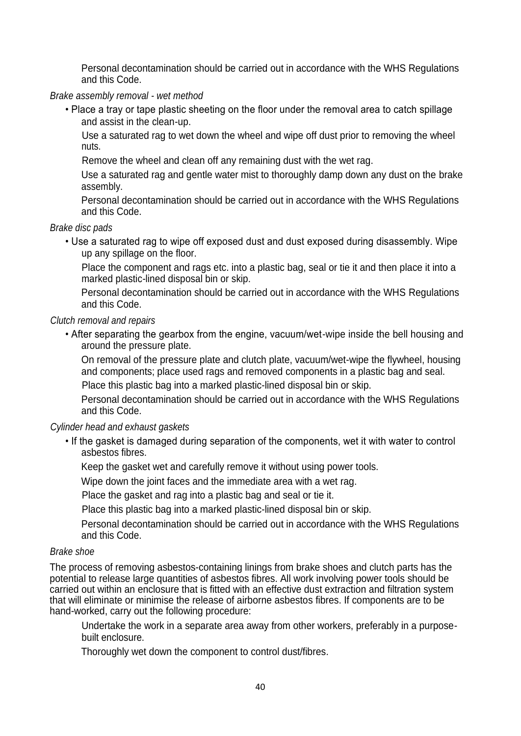Personal decontamination should be carried out in accordance with the WHS Regulations and this Code.

### *Brake assembly removal - wet method*

• Place a tray or tape plastic sheeting on the floor under the removal area to catch spillage and assist in the clean-up.

Use a saturated rag to wet down the wheel and wipe off dust prior to removing the wheel nuts.

Remove the wheel and clean off any remaining dust with the wet rag.

Use a saturated rag and gentle water mist to thoroughly damp down any dust on the brake assembly.

Personal decontamination should be carried out in accordance with the WHS Regulations and this Code.

*Brake disc pads*

• Use a saturated rag to wipe off exposed dust and dust exposed during disassembly. Wipe up any spillage on the floor.

Place the component and rags etc. into a plastic bag, seal or tie it and then place it into a marked plastic-lined disposal bin or skip.

Personal decontamination should be carried out in accordance with the WHS Regulations and this Code.

### *Clutch removal and repairs*

• After separating the gearbox from the engine, vacuum/wet-wipe inside the bell housing and around the pressure plate.

On removal of the pressure plate and clutch plate, vacuum/wet-wipe the flywheel, housing and components; place used rags and removed components in a plastic bag and seal. Place this plastic bag into a marked plastic-lined disposal bin or skip.

Personal decontamination should be carried out in accordance with the WHS Regulations

*Cylinder head and exhaust gaskets*

and this Code.

• If the gasket is damaged during separation of the components, wet it with water to control asbestos fibres.

Keep the gasket wet and carefully remove it without using power tools.

Wipe down the joint faces and the immediate area with a wet rag.

Place the gasket and rag into a plastic bag and seal or tie it.

Place this plastic bag into a marked plastic-lined disposal bin or skip.

Personal decontamination should be carried out in accordance with the WHS Regulations and this Code.

### *Brake shoe*

The process of removing asbestos-containing linings from brake shoes and clutch parts has the potential to release large quantities of asbestos fibres. All work involving power tools should be carried out within an enclosure that is fitted with an effective dust extraction and filtration system that will eliminate or minimise the release of airborne asbestos fibres. If components are to be hand-worked, carry out the following procedure:

Undertake the work in a separate area away from other workers, preferably in a purposebuilt enclosure.

Thoroughly wet down the component to control dust/fibres.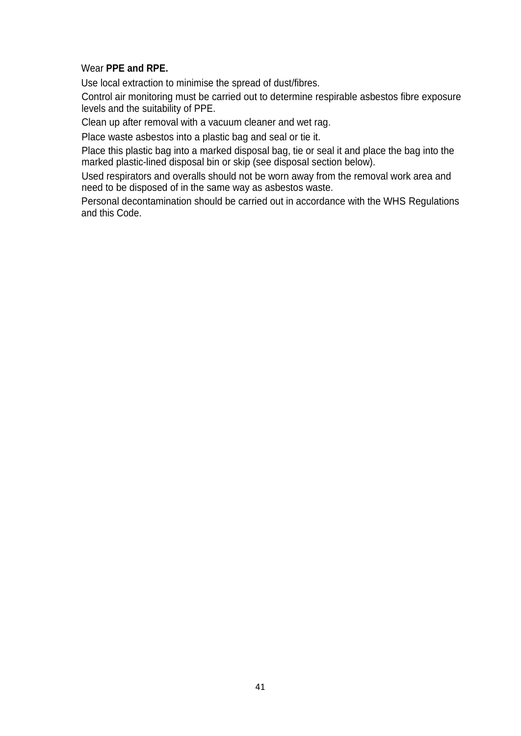### Wear **PPE and RPE.**

Use local extraction to minimise the spread of dust/fibres.

Control air monitoring must be carried out to determine respirable asbestos fibre exposure levels and the suitability of PPE.

Clean up after removal with a vacuum cleaner and wet rag.

Place waste asbestos into a plastic bag and seal or tie it.

Place this plastic bag into a marked disposal bag, tie or seal it and place the bag into the marked plastic-lined disposal bin or skip (see disposal section below).

Used respirators and overalls should not be worn away from the removal work area and need to be disposed of in the same way as asbestos waste.

Personal decontamination should be carried out in accordance with the WHS Regulations and this Code.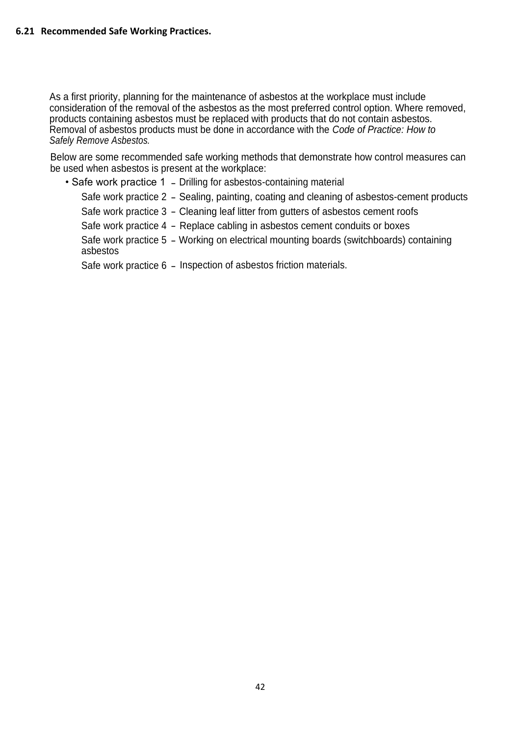As a first priority, planning for the maintenance of asbestos at the workplace must include consideration of the removal of the asbestos as the most preferred control option. Where removed, products containing asbestos must be replaced with products that do not contain asbestos. Removal of asbestos products must be done in accordance with the *Code of Practice: How to Safely Remove Asbestos.*

Below are some recommended safe working methods that demonstrate how control measures can be used when asbestos is present at the workplace:

• Safe work practice 1 - Drilling for asbestos-containing material

Safe work practice 2 - Sealing, painting, coating and cleaning of asbestos-cement products

Safe work practice 3 - Cleaning leaf litter from gutters of asbestos cement roofs

Safe work practice 4 - Replace cabling in asbestos cement conduits or boxes

Safe work practice 5 - Working on electrical mounting boards (switchboards) containing asbestos

Safe work practice 6 - Inspection of asbestos friction materials.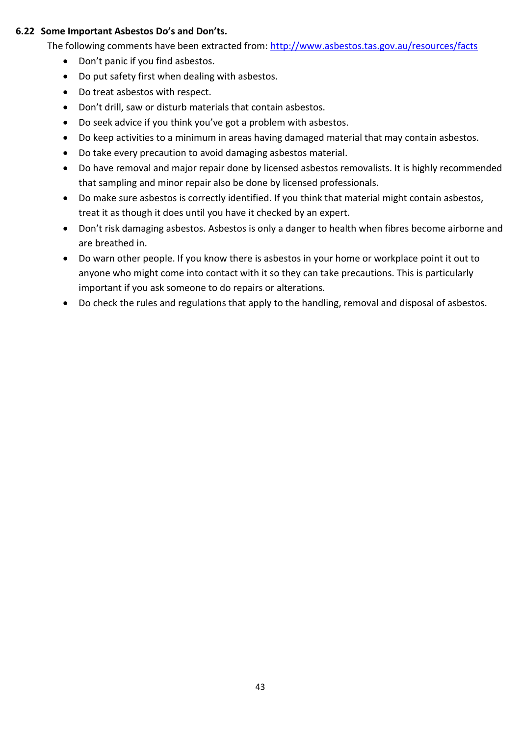### **6.22 Some Important Asbestos Do's and Don'ts.**

The following comments have been extracted from:<http://www.asbestos.tas.gov.au/resources/facts>

- Don't panic if you find asbestos.
- Do put safety first when dealing with asbestos.
- Do treat asbestos with respect.
- Don't drill, saw or disturb materials that contain asbestos.
- Do seek advice if you think you've got a problem with asbestos.
- Do keep activities to a minimum in areas having damaged material that may contain asbestos.
- Do take every precaution to avoid damaging asbestos material.
- Do have removal and major repair done by licensed asbestos removalists. It is highly recommended that sampling and minor repair also be done by licensed professionals.
- Do make sure asbestos is correctly identified. If you think that material might contain asbestos, treat it as though it does until you have it checked by an expert.
- Don't risk damaging asbestos. Asbestos is only a danger to health when fibres become airborne and are breathed in.
- Do warn other people. If you know there is asbestos in your home or workplace point it out to anyone who might come into contact with it so they can take precautions. This is particularly important if you ask someone to do repairs or alterations.
- Do check the rules and regulations that apply to the handling, removal and disposal of asbestos.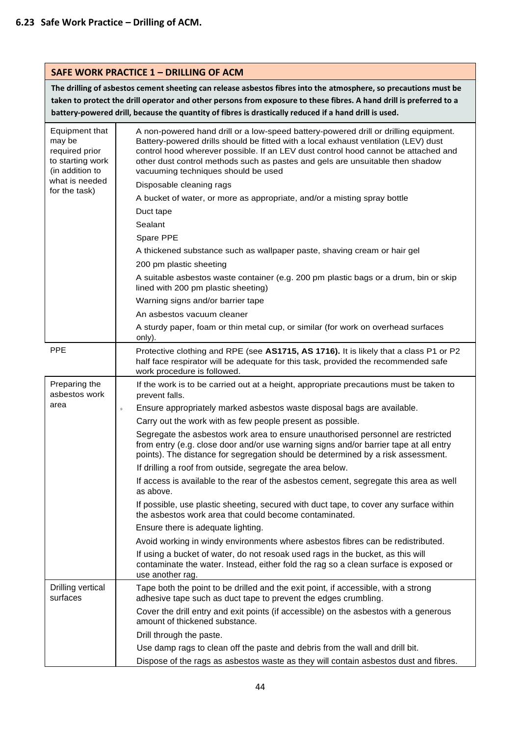| <b>SAFE WORK PRACTICE 1 - DRILLING OF ACM</b>                                                                        |                                                                                                                                                                                                                                                                                                                                                                                                                                                                                                                                                                                                                                                                                                                                                                                                                                                                                                                                                                                                                                                                                                                                                                                         |  |
|----------------------------------------------------------------------------------------------------------------------|-----------------------------------------------------------------------------------------------------------------------------------------------------------------------------------------------------------------------------------------------------------------------------------------------------------------------------------------------------------------------------------------------------------------------------------------------------------------------------------------------------------------------------------------------------------------------------------------------------------------------------------------------------------------------------------------------------------------------------------------------------------------------------------------------------------------------------------------------------------------------------------------------------------------------------------------------------------------------------------------------------------------------------------------------------------------------------------------------------------------------------------------------------------------------------------------|--|
|                                                                                                                      | The drilling of asbestos cement sheeting can release asbestos fibres into the atmosphere, so precautions must be<br>taken to protect the drill operator and other persons from exposure to these fibres. A hand drill is preferred to a<br>battery-powered drill, because the quantity of fibres is drastically reduced if a hand drill is used.                                                                                                                                                                                                                                                                                                                                                                                                                                                                                                                                                                                                                                                                                                                                                                                                                                        |  |
| Equipment that<br>may be<br>required prior<br>to starting work<br>(in addition to<br>what is needed<br>for the task) | A non-powered hand drill or a low-speed battery-powered drill or drilling equipment.<br>Battery-powered drills should be fitted with a local exhaust ventilation (LEV) dust<br>control hood wherever possible. If an LEV dust control hood cannot be attached and<br>other dust control methods such as pastes and gels are unsuitable then shadow<br>vacuuming techniques should be used<br>Disposable cleaning rags<br>A bucket of water, or more as appropriate, and/or a misting spray bottle<br>Duct tape<br>Sealant<br>Spare PPE<br>A thickened substance such as wallpaper paste, shaving cream or hair gel<br>200 pm plastic sheeting<br>A suitable asbestos waste container (e.g. 200 pm plastic bags or a drum, bin or skip<br>lined with 200 pm plastic sheeting)<br>Warning signs and/or barrier tape<br>An asbestos vacuum cleaner<br>A sturdy paper, foam or thin metal cup, or similar (for work on overhead surfaces<br>only).                                                                                                                                                                                                                                          |  |
| <b>PPE</b>                                                                                                           | Protective clothing and RPE (see AS1715, AS 1716). It is likely that a class P1 or P2<br>half face respirator will be adequate for this task, provided the recommended safe<br>work procedure is followed.                                                                                                                                                                                                                                                                                                                                                                                                                                                                                                                                                                                                                                                                                                                                                                                                                                                                                                                                                                              |  |
| Preparing the<br>asbestos work<br>area                                                                               | If the work is to be carried out at a height, appropriate precautions must be taken to<br>prevent falls.<br>Ensure appropriately marked asbestos waste disposal bags are available.<br>$\boldsymbol{0}$<br>Carry out the work with as few people present as possible.<br>Segregate the asbestos work area to ensure unauthorised personnel are restricted<br>from entry (e.g. close door and/or use warning signs and/or barrier tape at all entry<br>points). The distance for segregation should be determined by a risk assessment.<br>If drilling a roof from outside, segregate the area below.<br>If access is available to the rear of the asbestos cement, segregate this area as well<br>as above.<br>If possible, use plastic sheeting, secured with duct tape, to cover any surface within<br>the asbestos work area that could become contaminated.<br>Ensure there is adequate lighting.<br>Avoid working in windy environments where asbestos fibres can be redistributed.<br>If using a bucket of water, do not resoak used rags in the bucket, as this will<br>contaminate the water. Instead, either fold the rag so a clean surface is exposed or<br>use another rag. |  |
| Drilling vertical<br>surfaces                                                                                        | Tape both the point to be drilled and the exit point, if accessible, with a strong<br>adhesive tape such as duct tape to prevent the edges crumbling.<br>Cover the drill entry and exit points (if accessible) on the asbestos with a generous<br>amount of thickened substance.<br>Drill through the paste.<br>Use damp rags to clean off the paste and debris from the wall and drill bit.<br>Dispose of the rags as asbestos waste as they will contain asbestos dust and fibres.                                                                                                                                                                                                                                                                                                                                                                                                                                                                                                                                                                                                                                                                                                    |  |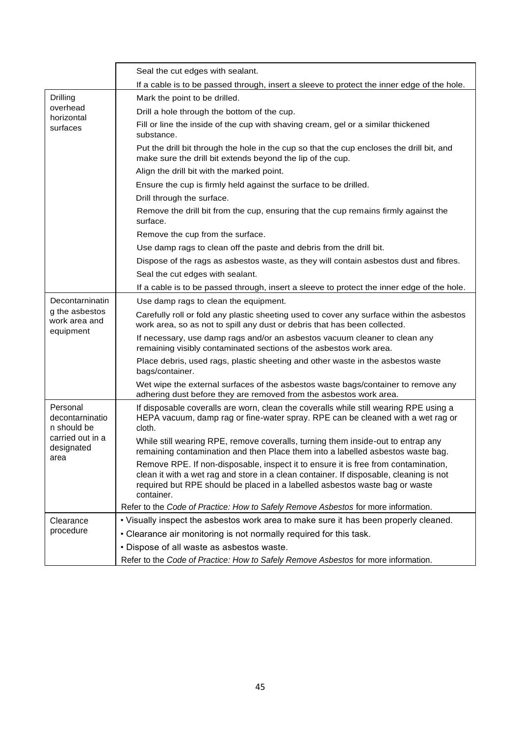|                                              | Seal the cut edges with sealant.                                                                                                                                                                                                                                          |
|----------------------------------------------|---------------------------------------------------------------------------------------------------------------------------------------------------------------------------------------------------------------------------------------------------------------------------|
|                                              | If a cable is to be passed through, insert a sleeve to protect the inner edge of the hole.                                                                                                                                                                                |
| Drilling                                     | Mark the point to be drilled.                                                                                                                                                                                                                                             |
| overhead                                     | Drill a hole through the bottom of the cup.                                                                                                                                                                                                                               |
| horizontal<br>surfaces                       | Fill or line the inside of the cup with shaving cream, gel or a similar thickened<br>substance.                                                                                                                                                                           |
|                                              | Put the drill bit through the hole in the cup so that the cup encloses the drill bit, and<br>make sure the drill bit extends beyond the lip of the cup.                                                                                                                   |
|                                              | Align the drill bit with the marked point.                                                                                                                                                                                                                                |
|                                              | Ensure the cup is firmly held against the surface to be drilled.                                                                                                                                                                                                          |
|                                              | Drill through the surface.                                                                                                                                                                                                                                                |
|                                              | Remove the drill bit from the cup, ensuring that the cup remains firmly against the<br>surface.                                                                                                                                                                           |
|                                              | Remove the cup from the surface.                                                                                                                                                                                                                                          |
|                                              | Use damp rags to clean off the paste and debris from the drill bit.                                                                                                                                                                                                       |
|                                              | Dispose of the rags as asbestos waste, as they will contain asbestos dust and fibres.                                                                                                                                                                                     |
|                                              | Seal the cut edges with sealant.                                                                                                                                                                                                                                          |
|                                              | If a cable is to be passed through, insert a sleeve to protect the inner edge of the hole.                                                                                                                                                                                |
| Decontarninatin                              | Use damp rags to clean the equipment.                                                                                                                                                                                                                                     |
| g the asbestos<br>work area and<br>equipment | Carefully roll or fold any plastic sheeting used to cover any surface within the asbestos<br>work area, so as not to spill any dust or debris that has been collected.                                                                                                    |
|                                              | If necessary, use damp rags and/or an asbestos vacuum cleaner to clean any<br>remaining visibly contaminated sections of the asbestos work area.                                                                                                                          |
|                                              | Place debris, used rags, plastic sheeting and other waste in the asbestos waste<br>bags/container.                                                                                                                                                                        |
|                                              | Wet wipe the external surfaces of the asbestos waste bags/container to remove any<br>adhering dust before they are removed from the asbestos work area.                                                                                                                   |
| Personal<br>decontarninatio<br>n should be   | If disposable coveralls are worn, clean the coveralls while still wearing RPE using a<br>HEPA vacuum, damp rag or fine-water spray. RPE can be cleaned with a wet rag or<br>cloth.                                                                                        |
| carried out in a<br>designated               | While still wearing RPE, remove coveralls, turning them inside-out to entrap any<br>remaining contamination and then Place them into a labelled asbestos waste bag.                                                                                                       |
| area                                         | Remove RPE. If non-disposable, inspect it to ensure it is free from contamination,<br>clean it with a wet rag and store in a clean container. If disposable, cleaning is not<br>required but RPE should be placed in a labelled asbestos waste bag or waste<br>container. |
|                                              | Refer to the Code of Practice: How to Safely Remove Asbestos for more information.                                                                                                                                                                                        |
| Clearance                                    | . Visually inspect the asbestos work area to make sure it has been properly cleaned.                                                                                                                                                                                      |
| procedure                                    | • Clearance air monitoring is not normally required for this task.                                                                                                                                                                                                        |
|                                              | • Dispose of all waste as asbestos waste.                                                                                                                                                                                                                                 |
|                                              | Refer to the Code of Practice: How to Safely Remove Asbestos for more information.                                                                                                                                                                                        |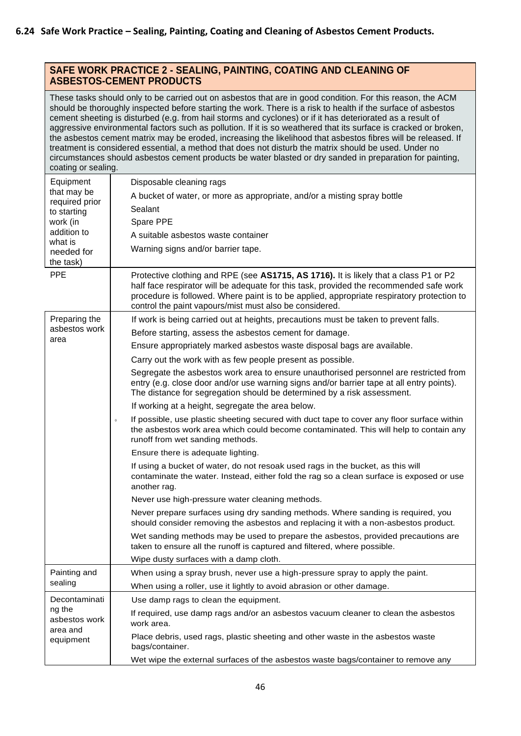### **SAFE WORK PRACTICE 2 - SEALING, PAINTING, COATING AND CLEANING OF ASBESTOS-CEMENT PRODUCTS**

These tasks should only to be carried out on asbestos that are in good condition. For this reason, the ACM should be thoroughly inspected before starting the work. There is a risk to health if the surface of asbestos cement sheeting is disturbed (e.g. from hail storms and cyclones) or if it has deteriorated as a result of aggressive environmental factors such as pollution. If it is so weathered that its surface is cracked or broken, the asbestos cement matrix may be eroded, increasing the likelihood that asbestos fibres will be released. If treatment is considered essential, a method that does not disturb the matrix should be used. Under no circumstances should asbestos cement products be water blasted or dry sanded in preparation for painting, coating or sealing.

| oodiniy or oodiniyi                              |                                                                                                                                                                                                                                                                                                                                           |  |  |  |  |  |  |
|--------------------------------------------------|-------------------------------------------------------------------------------------------------------------------------------------------------------------------------------------------------------------------------------------------------------------------------------------------------------------------------------------------|--|--|--|--|--|--|
| Equipment                                        | Disposable cleaning rags                                                                                                                                                                                                                                                                                                                  |  |  |  |  |  |  |
| that may be<br>required prior                    | A bucket of water, or more as appropriate, and/or a misting spray bottle                                                                                                                                                                                                                                                                  |  |  |  |  |  |  |
| to starting                                      | Sealant                                                                                                                                                                                                                                                                                                                                   |  |  |  |  |  |  |
| work (in                                         | Spare PPE                                                                                                                                                                                                                                                                                                                                 |  |  |  |  |  |  |
| addition to<br>what is                           | A suitable asbestos waste container                                                                                                                                                                                                                                                                                                       |  |  |  |  |  |  |
| needed for                                       | Warning signs and/or barrier tape.                                                                                                                                                                                                                                                                                                        |  |  |  |  |  |  |
| the task)                                        |                                                                                                                                                                                                                                                                                                                                           |  |  |  |  |  |  |
| <b>PPE</b>                                       | Protective clothing and RPE (see AS1715, AS 1716). It is likely that a class P1 or P2<br>half face respirator will be adequate for this task, provided the recommended safe work<br>procedure is followed. Where paint is to be applied, appropriate respiratory protection to<br>control the paint vapours/mist must also be considered. |  |  |  |  |  |  |
| Preparing the                                    | If work is being carried out at heights, precautions must be taken to prevent falls.                                                                                                                                                                                                                                                      |  |  |  |  |  |  |
| asbestos work                                    | Before starting, assess the asbestos cement for damage.                                                                                                                                                                                                                                                                                   |  |  |  |  |  |  |
| area                                             | Ensure appropriately marked asbestos waste disposal bags are available.                                                                                                                                                                                                                                                                   |  |  |  |  |  |  |
|                                                  | Carry out the work with as few people present as possible.                                                                                                                                                                                                                                                                                |  |  |  |  |  |  |
|                                                  | Segregate the asbestos work area to ensure unauthorised personnel are restricted from                                                                                                                                                                                                                                                     |  |  |  |  |  |  |
|                                                  | entry (e.g. close door and/or use warning signs and/or barrier tape at all entry points).<br>The distance for segregation should be determined by a risk assessment.                                                                                                                                                                      |  |  |  |  |  |  |
|                                                  | If working at a height, segregate the area below.                                                                                                                                                                                                                                                                                         |  |  |  |  |  |  |
|                                                  | If possible, use plastic sheeting secured with duct tape to cover any floor surface within<br>$\,$ 0 $\,$<br>the asbestos work area which could become contaminated. This will help to contain any<br>runoff from wet sanding methods.                                                                                                    |  |  |  |  |  |  |
|                                                  | Ensure there is adequate lighting.                                                                                                                                                                                                                                                                                                        |  |  |  |  |  |  |
|                                                  | If using a bucket of water, do not resoak used rags in the bucket, as this will<br>contaminate the water. Instead, either fold the rag so a clean surface is exposed or use<br>another rag.                                                                                                                                               |  |  |  |  |  |  |
|                                                  | Never use high-pressure water cleaning methods.                                                                                                                                                                                                                                                                                           |  |  |  |  |  |  |
|                                                  | Never prepare surfaces using dry sanding methods. Where sanding is required, you<br>should consider removing the asbestos and replacing it with a non-asbestos product.                                                                                                                                                                   |  |  |  |  |  |  |
|                                                  | Wet sanding methods may be used to prepare the asbestos, provided precautions are<br>taken to ensure all the runoff is captured and filtered, where possible.                                                                                                                                                                             |  |  |  |  |  |  |
|                                                  | Wipe dusty surfaces with a damp cloth.                                                                                                                                                                                                                                                                                                    |  |  |  |  |  |  |
| Painting and                                     | When using a spray brush, never use a high-pressure spray to apply the paint.                                                                                                                                                                                                                                                             |  |  |  |  |  |  |
| sealing                                          | When using a roller, use it lightly to avoid abrasion or other damage.                                                                                                                                                                                                                                                                    |  |  |  |  |  |  |
| Decontaminati                                    | Use damp rags to clean the equipment.                                                                                                                                                                                                                                                                                                     |  |  |  |  |  |  |
| ng the<br>asbestos work<br>area and<br>equipment | If required, use damp rags and/or an asbestos vacuum cleaner to clean the asbestos<br>work area.                                                                                                                                                                                                                                          |  |  |  |  |  |  |
|                                                  | Place debris, used rags, plastic sheeting and other waste in the asbestos waste<br>bags/container.                                                                                                                                                                                                                                        |  |  |  |  |  |  |
|                                                  | Wet wipe the external surfaces of the asbestos waste bags/container to remove any                                                                                                                                                                                                                                                         |  |  |  |  |  |  |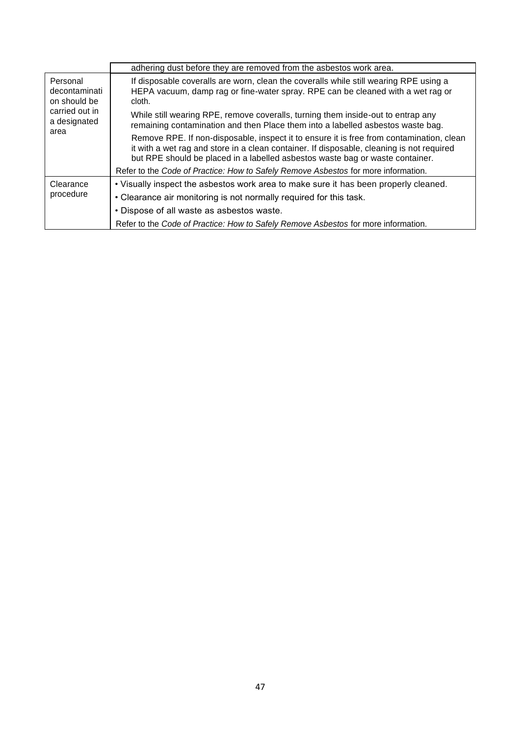|                                                                                     | adhering dust before they are removed from the asbestos work area.                                                                                                                                                                                                     |  |  |  |  |  |
|-------------------------------------------------------------------------------------|------------------------------------------------------------------------------------------------------------------------------------------------------------------------------------------------------------------------------------------------------------------------|--|--|--|--|--|
| Personal<br>decontaminati<br>on should be<br>carried out in<br>a designated<br>area | If disposable coveralls are worn, clean the coveralls while still wearing RPE using a<br>HEPA vacuum, damp rag or fine-water spray. RPE can be cleaned with a wet rag or<br>cloth.                                                                                     |  |  |  |  |  |
|                                                                                     | While still wearing RPE, remove coveralls, turning them inside-out to entrap any<br>remaining contamination and then Place them into a labelled asbestos waste bag.                                                                                                    |  |  |  |  |  |
|                                                                                     | Remove RPE. If non-disposable, inspect it to ensure it is free from contamination, clean<br>it with a wet rag and store in a clean container. If disposable, cleaning is not required<br>but RPE should be placed in a labelled asbestos waste bag or waste container. |  |  |  |  |  |
|                                                                                     | Refer to the Code of Practice: How to Safely Remove Asbestos for more information.                                                                                                                                                                                     |  |  |  |  |  |
| Clearance<br>procedure                                                              | . Visually inspect the asbestos work area to make sure it has been properly cleaned.                                                                                                                                                                                   |  |  |  |  |  |
|                                                                                     | • Clearance air monitoring is not normally required for this task.                                                                                                                                                                                                     |  |  |  |  |  |
|                                                                                     | • Dispose of all waste as asbestos waste.                                                                                                                                                                                                                              |  |  |  |  |  |
|                                                                                     | Refer to the Code of Practice: How to Safely Remove Asbestos for more information.                                                                                                                                                                                     |  |  |  |  |  |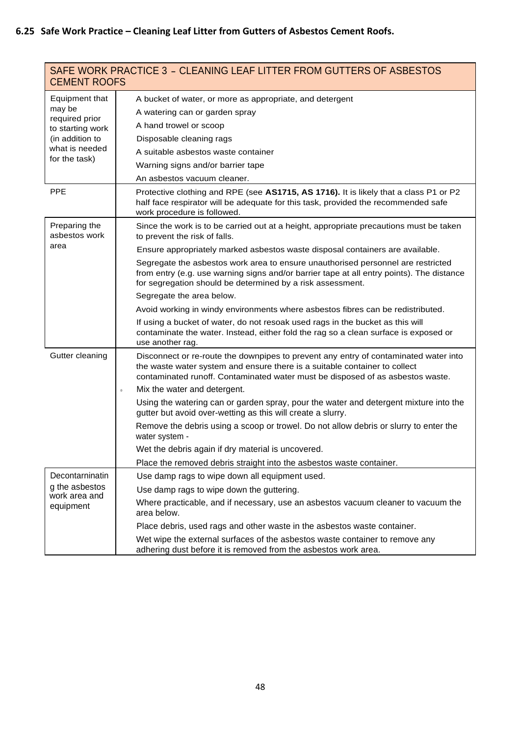| <b>CEMENT ROOFS</b>                | SAFE WORK PRACTICE 3 - CLEANING LEAF LITTER FROM GUTTERS OF ASBESTOS                                                                                                                                                                                 |  |  |  |  |
|------------------------------------|------------------------------------------------------------------------------------------------------------------------------------------------------------------------------------------------------------------------------------------------------|--|--|--|--|
| Equipment that                     | A bucket of water, or more as appropriate, and detergent                                                                                                                                                                                             |  |  |  |  |
| may be                             | A watering can or garden spray                                                                                                                                                                                                                       |  |  |  |  |
| required prior<br>to starting work | A hand trowel or scoop                                                                                                                                                                                                                               |  |  |  |  |
| (in addition to                    | Disposable cleaning rags                                                                                                                                                                                                                             |  |  |  |  |
| what is needed                     | A suitable asbestos waste container                                                                                                                                                                                                                  |  |  |  |  |
| for the task)                      | Warning signs and/or barrier tape                                                                                                                                                                                                                    |  |  |  |  |
|                                    | An asbestos vacuum cleaner.                                                                                                                                                                                                                          |  |  |  |  |
| <b>PPE</b>                         | Protective clothing and RPE (see AS1715, AS 1716). It is likely that a class P1 or P2<br>half face respirator will be adequate for this task, provided the recommended safe<br>work procedure is followed.                                           |  |  |  |  |
| Preparing the<br>asbestos work     | Since the work is to be carried out at a height, appropriate precautions must be taken<br>to prevent the risk of falls.                                                                                                                              |  |  |  |  |
| area                               | Ensure appropriately marked asbestos waste disposal containers are available.                                                                                                                                                                        |  |  |  |  |
|                                    | Segregate the asbestos work area to ensure unauthorised personnel are restricted<br>from entry (e.g. use warning signs and/or barrier tape at all entry points). The distance<br>for segregation should be determined by a risk assessment.          |  |  |  |  |
|                                    | Segregate the area below.                                                                                                                                                                                                                            |  |  |  |  |
|                                    | Avoid working in windy environments where asbestos fibres can be redistributed.                                                                                                                                                                      |  |  |  |  |
|                                    | If using a bucket of water, do not resoak used rags in the bucket as this will<br>contaminate the water. Instead, either fold the rag so a clean surface is exposed or<br>use another rag.                                                           |  |  |  |  |
| Gutter cleaning                    | Disconnect or re-route the downpipes to prevent any entry of contaminated water into<br>the waste water system and ensure there is a suitable container to collect<br>contaminated runoff. Contaminated water must be disposed of as asbestos waste. |  |  |  |  |
|                                    | Mix the water and detergent.<br>$\boldsymbol{0}$                                                                                                                                                                                                     |  |  |  |  |
|                                    | Using the watering can or garden spray, pour the water and detergent mixture into the<br>gutter but avoid over-wetting as this will create a slurry.                                                                                                 |  |  |  |  |
|                                    | Remove the debris using a scoop or trowel. Do not allow debris or slurry to enter the<br>water system -                                                                                                                                              |  |  |  |  |
|                                    | Wet the debris again if dry material is uncovered.                                                                                                                                                                                                   |  |  |  |  |
|                                    | Place the removed debris straight into the asbestos waste container.                                                                                                                                                                                 |  |  |  |  |
| Decontarninatin                    | Use damp rags to wipe down all equipment used.                                                                                                                                                                                                       |  |  |  |  |
| g the asbestos<br>work area and    | Use damp rags to wipe down the guttering.                                                                                                                                                                                                            |  |  |  |  |
| equipment                          | Where practicable, and if necessary, use an asbestos vacuum cleaner to vacuum the<br>area below.                                                                                                                                                     |  |  |  |  |
|                                    | Place debris, used rags and other waste in the asbestos waste container.                                                                                                                                                                             |  |  |  |  |
|                                    | Wet wipe the external surfaces of the asbestos waste container to remove any<br>adhering dust before it is removed from the asbestos work area.                                                                                                      |  |  |  |  |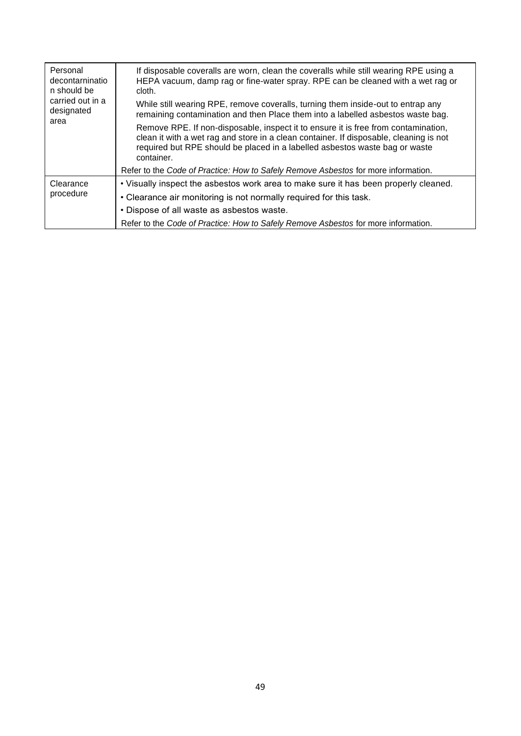| Personal<br>decontarninatio<br>n should be<br>carried out in a<br>designated<br>area | If disposable coveralls are worn, clean the coveralls while still wearing RPE using a<br>HEPA vacuum, damp rag or fine-water spray. RPE can be cleaned with a wet rag or<br>cloth.                                                                                        |  |  |  |
|--------------------------------------------------------------------------------------|---------------------------------------------------------------------------------------------------------------------------------------------------------------------------------------------------------------------------------------------------------------------------|--|--|--|
|                                                                                      | While still wearing RPE, remove coveralls, turning them inside-out to entrap any<br>remaining contamination and then Place them into a labelled asbestos waste bag.                                                                                                       |  |  |  |
|                                                                                      | Remove RPE. If non-disposable, inspect it to ensure it is free from contamination,<br>clean it with a wet rag and store in a clean container. If disposable, cleaning is not<br>required but RPE should be placed in a labelled asbestos waste bag or waste<br>container. |  |  |  |
|                                                                                      | Refer to the Code of Practice: How to Safely Remove Asbestos for more information.                                                                                                                                                                                        |  |  |  |
| Clearance<br>procedure                                                               | . Visually inspect the asbestos work area to make sure it has been properly cleaned.                                                                                                                                                                                      |  |  |  |
|                                                                                      | • Clearance air monitoring is not normally required for this task.                                                                                                                                                                                                        |  |  |  |
|                                                                                      | • Dispose of all waste as asbestos waste.                                                                                                                                                                                                                                 |  |  |  |
|                                                                                      | Refer to the Code of Practice: How to Safely Remove Asbestos for more information.                                                                                                                                                                                        |  |  |  |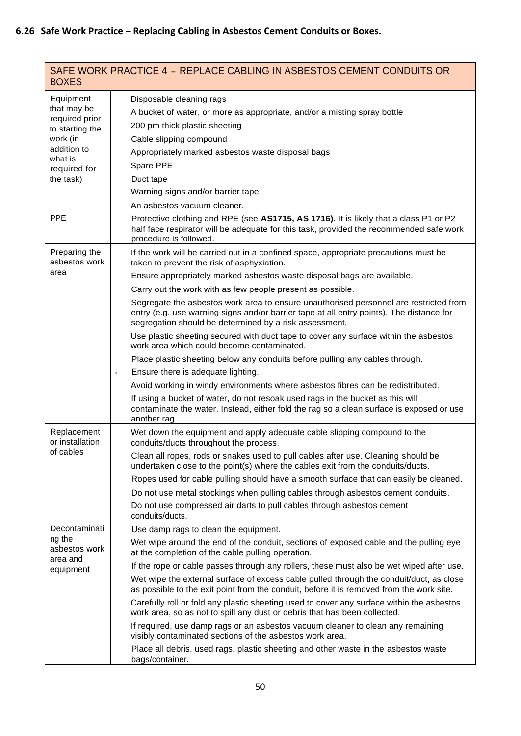| <b>BOXES</b>                                                                                                                     | SAFE WORK PRACTICE 4 - REPLACE CABLING IN ASBESTOS CEMENT CONDUITS OR                                                                                                                                                                                                                                                                                                                                                                                                                                                                                                                                                                                                                                                                                                                                                                                                                                                                                                                                                                                                               |
|----------------------------------------------------------------------------------------------------------------------------------|-------------------------------------------------------------------------------------------------------------------------------------------------------------------------------------------------------------------------------------------------------------------------------------------------------------------------------------------------------------------------------------------------------------------------------------------------------------------------------------------------------------------------------------------------------------------------------------------------------------------------------------------------------------------------------------------------------------------------------------------------------------------------------------------------------------------------------------------------------------------------------------------------------------------------------------------------------------------------------------------------------------------------------------------------------------------------------------|
| Equipment<br>that may be<br>required prior<br>to starting the<br>work (in<br>addition to<br>what is<br>required for<br>the task) | Disposable cleaning rags<br>A bucket of water, or more as appropriate, and/or a misting spray bottle<br>200 pm thick plastic sheeting<br>Cable slipping compound<br>Appropriately marked asbestos waste disposal bags<br>Spare PPE<br>Duct tape<br>Warning signs and/or barrier tape                                                                                                                                                                                                                                                                                                                                                                                                                                                                                                                                                                                                                                                                                                                                                                                                |
| <b>PPE</b>                                                                                                                       | An asbestos vacuum cleaner.<br>Protective clothing and RPE (see AS1715, AS 1716). It is likely that a class P1 or P2<br>half face respirator will be adequate for this task, provided the recommended safe work<br>procedure is followed.                                                                                                                                                                                                                                                                                                                                                                                                                                                                                                                                                                                                                                                                                                                                                                                                                                           |
| Preparing the<br>asbestos work<br>area                                                                                           | If the work will be carried out in a confined space, appropriate precautions must be<br>taken to prevent the risk of asphyxiation.<br>Ensure appropriately marked asbestos waste disposal bags are available.<br>Carry out the work with as few people present as possible.<br>Segregate the asbestos work area to ensure unauthorised personnel are restricted from<br>entry (e.g. use warning signs and/or barrier tape at all entry points). The distance for<br>segregation should be determined by a risk assessment.<br>Use plastic sheeting secured with duct tape to cover any surface within the asbestos<br>work area which could become contaminated.<br>Place plastic sheeting below any conduits before pulling any cables through.<br>Ensure there is adequate lighting.<br>$\theta$<br>Avoid working in windy environments where asbestos fibres can be redistributed.<br>If using a bucket of water, do not resoak used rags in the bucket as this will<br>contaminate the water. Instead, either fold the rag so a clean surface is exposed or use<br>another rag. |
| Replacement<br>or installation<br>of cables                                                                                      | Wet down the equipment and apply adequate cable slipping compound to the<br>conduits/ducts throughout the process.<br>Clean all ropes, rods or snakes used to pull cables after use. Cleaning should be<br>undertaken close to the point(s) where the cables exit from the conduits/ducts.<br>Ropes used for cable pulling should have a smooth surface that can easily be cleaned.<br>Do not use metal stockings when pulling cables through asbestos cement conduits.<br>Do not use compressed air darts to pull cables through asbestos cement<br>conduits/ducts.                                                                                                                                                                                                                                                                                                                                                                                                                                                                                                                |
| Decontaminati<br>ng the<br>asbestos work<br>area and<br>equipment                                                                | Use damp rags to clean the equipment.<br>Wet wipe around the end of the conduit, sections of exposed cable and the pulling eye<br>at the completion of the cable pulling operation.<br>If the rope or cable passes through any rollers, these must also be wet wiped after use.<br>Wet wipe the external surface of excess cable pulled through the conduit/duct, as close<br>as possible to the exit point from the conduit, before it is removed from the work site.<br>Carefully roll or fold any plastic sheeting used to cover any surface within the asbestos<br>work area, so as not to spill any dust or debris that has been collected.<br>If required, use damp rags or an asbestos vacuum cleaner to clean any remaining<br>visibly contaminated sections of the asbestos work area.<br>Place all debris, used rags, plastic sheeting and other waste in the asbestos waste                                                                                                                                                                                              |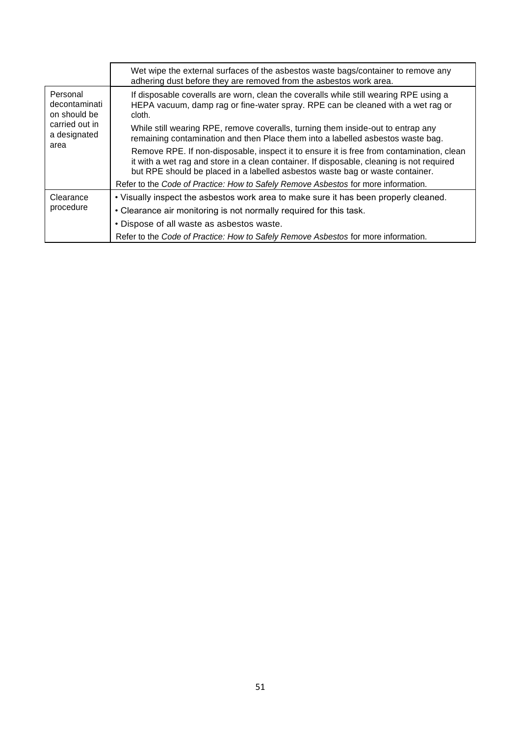|                                                                                     | Wet wipe the external surfaces of the asbestos waste bags/container to remove any<br>adhering dust before they are removed from the asbestos work area.                                                                                                                |
|-------------------------------------------------------------------------------------|------------------------------------------------------------------------------------------------------------------------------------------------------------------------------------------------------------------------------------------------------------------------|
| Personal<br>decontaminati<br>on should be<br>carried out in<br>a designated<br>area | If disposable coveralls are worn, clean the coveralls while still wearing RPE using a<br>HEPA vacuum, damp rag or fine-water spray. RPE can be cleaned with a wet rag or<br>cloth.                                                                                     |
|                                                                                     | While still wearing RPE, remove coveralls, turning them inside-out to entrap any<br>remaining contamination and then Place them into a labelled asbestos waste bag.                                                                                                    |
|                                                                                     | Remove RPE. If non-disposable, inspect it to ensure it is free from contamination, clean<br>it with a wet rag and store in a clean container. If disposable, cleaning is not required<br>but RPE should be placed in a labelled asbestos waste bag or waste container. |
|                                                                                     | Refer to the Code of Practice: How to Safely Remove Asbestos for more information.                                                                                                                                                                                     |
| Clearance<br>procedure                                                              | . Visually inspect the asbestos work area to make sure it has been properly cleaned.                                                                                                                                                                                   |
|                                                                                     | • Clearance air monitoring is not normally required for this task.                                                                                                                                                                                                     |
|                                                                                     | • Dispose of all waste as asbestos waste.                                                                                                                                                                                                                              |
|                                                                                     | Refer to the Code of Practice: How to Safely Remove Asbestos for more information.                                                                                                                                                                                     |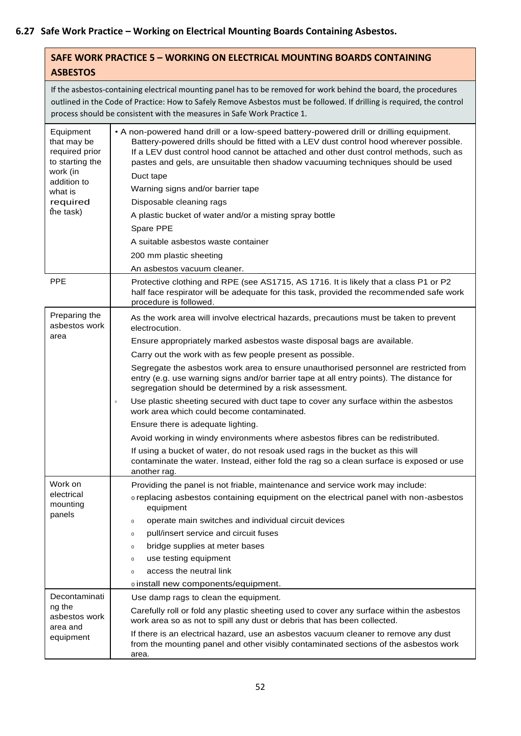### **SAFE WORK PRACTICE 5 – WORKING ON ELECTRICAL MOUNTING BOARDS CONTAINING ASBESTOS**

If the asbestos-containing electrical mounting panel has to be removed for work behind the board, the procedures outlined in the Code of Practice: How to Safely Remove Asbestos must be followed. If drilling is required, the control process should be consistent with the measures in Safe Work Practice 1.

| Equipment<br>that may be<br>required prior<br>to starting the<br>work (in<br>addition to<br>what is<br>required<br>the task) | • A non-powered hand drill or a low-speed battery-powered drill or drilling equipment.<br>Battery-powered drills should be fitted with a LEV dust control hood wherever possible.<br>If a LEV dust control hood cannot be attached and other dust control methods, such as<br>pastes and gels, are unsuitable then shadow vacuuming techniques should be used<br>Duct tape<br>Warning signs and/or barrier tape<br>Disposable cleaning rags<br>A plastic bucket of water and/or a misting spray bottle<br>Spare PPE<br>A suitable asbestos waste container<br>200 mm plastic sheeting<br>An asbestos vacuum cleaner. |
|------------------------------------------------------------------------------------------------------------------------------|----------------------------------------------------------------------------------------------------------------------------------------------------------------------------------------------------------------------------------------------------------------------------------------------------------------------------------------------------------------------------------------------------------------------------------------------------------------------------------------------------------------------------------------------------------------------------------------------------------------------|
| <b>PPE</b>                                                                                                                   | Protective clothing and RPE (see AS1715, AS 1716. It is likely that a class P1 or P2<br>half face respirator will be adequate for this task, provided the recommended safe work<br>procedure is followed.                                                                                                                                                                                                                                                                                                                                                                                                            |
| Preparing the<br>asbestos work<br>area                                                                                       | As the work area will involve electrical hazards, precautions must be taken to prevent<br>electrocution.                                                                                                                                                                                                                                                                                                                                                                                                                                                                                                             |
|                                                                                                                              | Ensure appropriately marked asbestos waste disposal bags are available.                                                                                                                                                                                                                                                                                                                                                                                                                                                                                                                                              |
|                                                                                                                              | Carry out the work with as few people present as possible.                                                                                                                                                                                                                                                                                                                                                                                                                                                                                                                                                           |
|                                                                                                                              | Segregate the asbestos work area to ensure unauthorised personnel are restricted from<br>entry (e.g. use warning signs and/or barrier tape at all entry points). The distance for<br>segregation should be determined by a risk assessment.                                                                                                                                                                                                                                                                                                                                                                          |
|                                                                                                                              | Use plastic sheeting secured with duct tape to cover any surface within the asbestos<br>$\,$ 0 $\,$<br>work area which could become contaminated.                                                                                                                                                                                                                                                                                                                                                                                                                                                                    |
|                                                                                                                              | Ensure there is adequate lighting.                                                                                                                                                                                                                                                                                                                                                                                                                                                                                                                                                                                   |
|                                                                                                                              | Avoid working in windy environments where asbestos fibres can be redistributed.                                                                                                                                                                                                                                                                                                                                                                                                                                                                                                                                      |
|                                                                                                                              | If using a bucket of water, do not resoak used rags in the bucket as this will<br>contaminate the water. Instead, either fold the rag so a clean surface is exposed or use<br>another rag.                                                                                                                                                                                                                                                                                                                                                                                                                           |
| Work on                                                                                                                      | Providing the panel is not friable, maintenance and service work may include:                                                                                                                                                                                                                                                                                                                                                                                                                                                                                                                                        |
| electrical<br>mounting                                                                                                       | o replacing asbestos containing equipment on the electrical panel with non-asbestos<br>equipment                                                                                                                                                                                                                                                                                                                                                                                                                                                                                                                     |
| panels                                                                                                                       | operate main switches and individual circuit devices<br>$\boldsymbol{0}$                                                                                                                                                                                                                                                                                                                                                                                                                                                                                                                                             |
|                                                                                                                              | pull/insert service and circuit fuses<br>$\boldsymbol{0}$                                                                                                                                                                                                                                                                                                                                                                                                                                                                                                                                                            |
|                                                                                                                              | bridge supplies at meter bases<br>$\boldsymbol{0}$                                                                                                                                                                                                                                                                                                                                                                                                                                                                                                                                                                   |
|                                                                                                                              | use testing equipment<br>$\boldsymbol{0}$                                                                                                                                                                                                                                                                                                                                                                                                                                                                                                                                                                            |
|                                                                                                                              | access the neutral link<br>$\overline{0}$                                                                                                                                                                                                                                                                                                                                                                                                                                                                                                                                                                            |
|                                                                                                                              | o install new components/equipment.                                                                                                                                                                                                                                                                                                                                                                                                                                                                                                                                                                                  |
| Decontaminati                                                                                                                | Use damp rags to clean the equipment.                                                                                                                                                                                                                                                                                                                                                                                                                                                                                                                                                                                |
| ng the<br>asbestos work<br>area and<br>equipment                                                                             | Carefully roll or fold any plastic sheeting used to cover any surface within the asbestos<br>work area so as not to spill any dust or debris that has been collected.                                                                                                                                                                                                                                                                                                                                                                                                                                                |
|                                                                                                                              | If there is an electrical hazard, use an asbestos vacuum cleaner to remove any dust<br>from the mounting panel and other visibly contaminated sections of the asbestos work<br>area.                                                                                                                                                                                                                                                                                                                                                                                                                                 |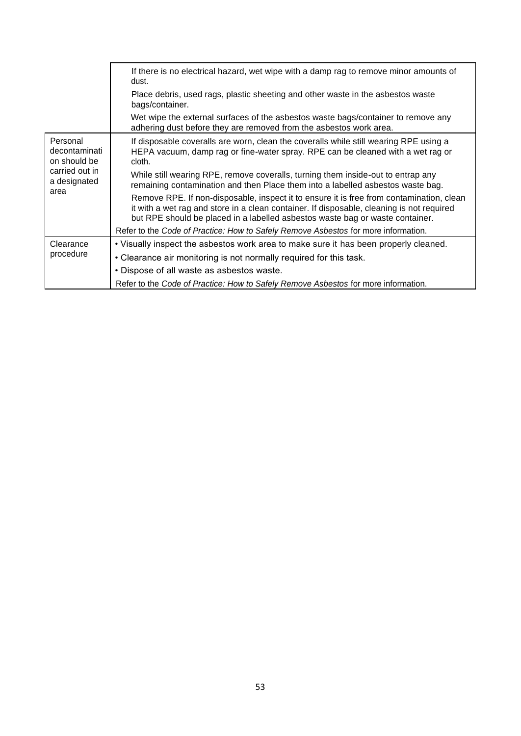|                                                                                     | If there is no electrical hazard, wet wipe with a damp rag to remove minor amounts of<br>dust.                                                                                                                                                                         |  |  |  |
|-------------------------------------------------------------------------------------|------------------------------------------------------------------------------------------------------------------------------------------------------------------------------------------------------------------------------------------------------------------------|--|--|--|
|                                                                                     | Place debris, used rags, plastic sheeting and other waste in the asbestos waste<br>bags/container.                                                                                                                                                                     |  |  |  |
|                                                                                     | Wet wipe the external surfaces of the asbestos waste bags/container to remove any<br>adhering dust before they are removed from the asbestos work area.                                                                                                                |  |  |  |
| Personal<br>decontaminati<br>on should be<br>carried out in<br>a designated<br>area | If disposable coveralls are worn, clean the coveralls while still wearing RPE using a<br>HEPA vacuum, damp rag or fine-water spray. RPE can be cleaned with a wet rag or<br>cloth.                                                                                     |  |  |  |
|                                                                                     | While still wearing RPE, remove coveralls, turning them inside-out to entrap any<br>remaining contamination and then Place them into a labelled asbestos waste bag.                                                                                                    |  |  |  |
|                                                                                     | Remove RPE. If non-disposable, inspect it to ensure it is free from contamination, clean<br>it with a wet rag and store in a clean container. If disposable, cleaning is not required<br>but RPE should be placed in a labelled asbestos waste bag or waste container. |  |  |  |
|                                                                                     | Refer to the Code of Practice: How to Safely Remove Asbestos for more information.                                                                                                                                                                                     |  |  |  |
| Clearance                                                                           | • Visually inspect the asbestos work area to make sure it has been properly cleaned.                                                                                                                                                                                   |  |  |  |
| procedure                                                                           | • Clearance air monitoring is not normally required for this task.                                                                                                                                                                                                     |  |  |  |
|                                                                                     | • Dispose of all waste as asbestos waste.                                                                                                                                                                                                                              |  |  |  |
|                                                                                     | Refer to the Code of Practice: How to Safely Remove Asbestos for more information.                                                                                                                                                                                     |  |  |  |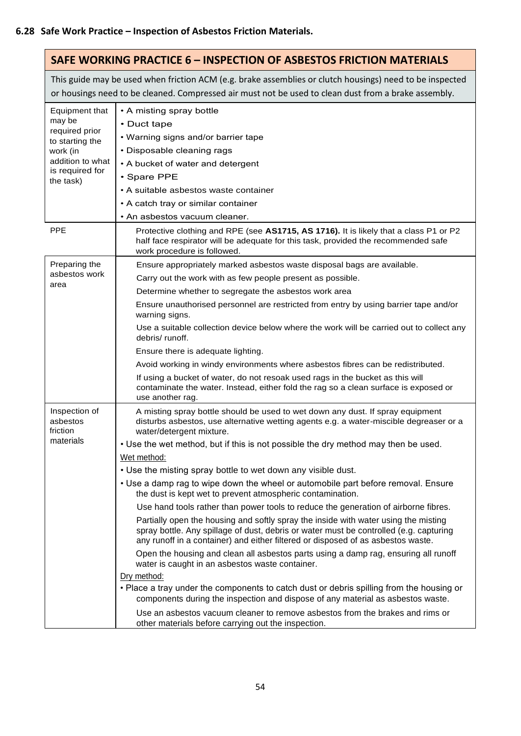|                                                                                                                               | <b>SAFE WORKING PRACTICE 6 - INSPECTION OF ASBESTOS FRICTION MATERIALS</b>                                                                                                                                                                                                                                                                                                                                                                                                                                                                                                                                                                                                                                                                                                                                                                                                                                                                                                                                                                                                                                                                                                                                                                                                                                                                                               |
|-------------------------------------------------------------------------------------------------------------------------------|--------------------------------------------------------------------------------------------------------------------------------------------------------------------------------------------------------------------------------------------------------------------------------------------------------------------------------------------------------------------------------------------------------------------------------------------------------------------------------------------------------------------------------------------------------------------------------------------------------------------------------------------------------------------------------------------------------------------------------------------------------------------------------------------------------------------------------------------------------------------------------------------------------------------------------------------------------------------------------------------------------------------------------------------------------------------------------------------------------------------------------------------------------------------------------------------------------------------------------------------------------------------------------------------------------------------------------------------------------------------------|
|                                                                                                                               | This guide may be used when friction ACM (e.g. brake assemblies or clutch housings) need to be inspected<br>or housings need to be cleaned. Compressed air must not be used to clean dust from a brake assembly.                                                                                                                                                                                                                                                                                                                                                                                                                                                                                                                                                                                                                                                                                                                                                                                                                                                                                                                                                                                                                                                                                                                                                         |
| Equipment that<br>may be<br>required prior<br>to starting the<br>work (in<br>addition to what<br>is required for<br>the task) | • A misting spray bottle<br>• Duct tape<br>• Warning signs and/or barrier tape<br>• Disposable cleaning rags<br>• A bucket of water and detergent<br>• Spare PPE<br>• A suitable asbestos waste container<br>• A catch tray or similar container<br>• An asbestos vacuum cleaner.                                                                                                                                                                                                                                                                                                                                                                                                                                                                                                                                                                                                                                                                                                                                                                                                                                                                                                                                                                                                                                                                                        |
| <b>PPE</b>                                                                                                                    | Protective clothing and RPE (see AS1715, AS 1716). It is likely that a class P1 or P2<br>half face respirator will be adequate for this task, provided the recommended safe<br>work procedure is followed.                                                                                                                                                                                                                                                                                                                                                                                                                                                                                                                                                                                                                                                                                                                                                                                                                                                                                                                                                                                                                                                                                                                                                               |
| Preparing the<br>asbestos work<br>area                                                                                        | Ensure appropriately marked asbestos waste disposal bags are available.<br>Carry out the work with as few people present as possible.<br>Determine whether to segregate the asbestos work area<br>Ensure unauthorised personnel are restricted from entry by using barrier tape and/or<br>warning signs.<br>Use a suitable collection device below where the work will be carried out to collect any<br>debris/runoff.                                                                                                                                                                                                                                                                                                                                                                                                                                                                                                                                                                                                                                                                                                                                                                                                                                                                                                                                                   |
|                                                                                                                               | Ensure there is adequate lighting.<br>Avoid working in windy environments where asbestos fibres can be redistributed.<br>If using a bucket of water, do not resoak used rags in the bucket as this will<br>contaminate the water. Instead, either fold the rag so a clean surface is exposed or<br>use another rag.                                                                                                                                                                                                                                                                                                                                                                                                                                                                                                                                                                                                                                                                                                                                                                                                                                                                                                                                                                                                                                                      |
| Inspection of<br>asbestos<br>friction<br>materials                                                                            | A misting spray bottle should be used to wet down any dust. If spray equipment<br>disturbs asbestos, use alternative wetting agents e.g. a water-miscible degreaser or a<br>water/detergent mixture.<br>. Use the wet method, but if this is not possible the dry method may then be used.<br>Wet method:<br>. Use the misting spray bottle to wet down any visible dust.<br>• Use a damp rag to wipe down the wheel or automobile part before removal. Ensure<br>the dust is kept wet to prevent atmospheric contamination.<br>Use hand tools rather than power tools to reduce the generation of airborne fibres.<br>Partially open the housing and softly spray the inside with water using the misting<br>spray bottle. Any spillage of dust, debris or water must be controlled (e.g. capturing<br>any runoff in a container) and either filtered or disposed of as asbestos waste.<br>Open the housing and clean all asbestos parts using a damp rag, ensuring all runoff<br>water is caught in an asbestos waste container.<br>Dry method:<br>• Place a tray under the components to catch dust or debris spilling from the housing or<br>components during the inspection and dispose of any material as asbestos waste.<br>Use an asbestos vacuum cleaner to remove asbestos from the brakes and rims or<br>other materials before carrying out the inspection. |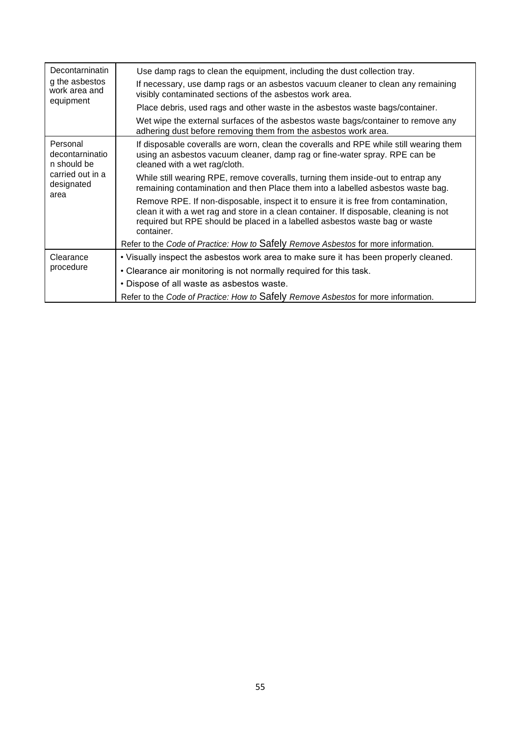| Decontarninatin<br>g the asbestos<br>work area and                                   | Use damp rags to clean the equipment, including the dust collection tray.                                                                                                                                                                                                 |
|--------------------------------------------------------------------------------------|---------------------------------------------------------------------------------------------------------------------------------------------------------------------------------------------------------------------------------------------------------------------------|
|                                                                                      | If necessary, use damp rags or an asbestos vacuum cleaner to clean any remaining<br>visibly contaminated sections of the asbestos work area.                                                                                                                              |
| equipment                                                                            | Place debris, used rags and other waste in the asbestos waste bags/container.                                                                                                                                                                                             |
|                                                                                      | Wet wipe the external surfaces of the asbestos waste bags/container to remove any<br>adhering dust before removing them from the asbestos work area.                                                                                                                      |
| Personal<br>decontarninatio<br>n should be<br>carried out in a<br>designated<br>area | If disposable coveralls are worn, clean the coveralls and RPE while still wearing them<br>using an asbestos vacuum cleaner, damp rag or fine-water spray. RPE can be<br>cleaned with a wet rag/cloth.                                                                     |
|                                                                                      | While still wearing RPE, remove coveralls, turning them inside-out to entrap any<br>remaining contamination and then Place them into a labelled asbestos waste bag.                                                                                                       |
|                                                                                      | Remove RPE. If non-disposable, inspect it to ensure it is free from contamination,<br>clean it with a wet rag and store in a clean container. If disposable, cleaning is not<br>required but RPE should be placed in a labelled asbestos waste bag or waste<br>container. |
|                                                                                      | Refer to the Code of Practice: How to Safely Remove Asbestos for more information.                                                                                                                                                                                        |
| Clearance                                                                            | . Visually inspect the asbestos work area to make sure it has been properly cleaned.                                                                                                                                                                                      |
| procedure                                                                            | • Clearance air monitoring is not normally required for this task.                                                                                                                                                                                                        |
|                                                                                      | • Dispose of all waste as asbestos waste.                                                                                                                                                                                                                                 |
|                                                                                      | Refer to the Code of Practice: How to Safely Remove Asbestos for more information.                                                                                                                                                                                        |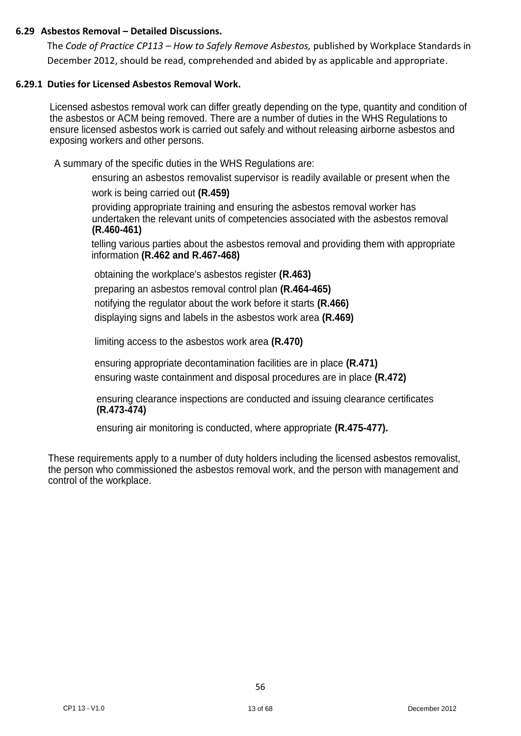### **6.29 Asbestos Removal – Detailed Discussions.**

The *Code of Practice CP113 – How to Safely Remove Asbestos,* published by Workplace Standards in December 2012, should be read, comprehended and abided by as applicable and appropriate.

### **6.29.1 Duties for Licensed Asbestos Removal Work.**

Licensed asbestos removal work can differ greatly depending on the type, quantity and condition of the asbestos or ACM being removed. There are a number of duties in the WHS Regulations to ensure licensed asbestos work is carried out safely and without releasing airborne asbestos and exposing workers and other persons.

A summary of the specific duties in the WHS Regulations are:

ensuring an asbestos removalist supervisor is readily available or present when the work is being carried out **(R.459)**

providing appropriate training and ensuring the asbestos removal worker has undertaken the relevant units of competencies associated with the asbestos removal **(R.460-461)**

telling various parties about the asbestos removal and providing them with appropriate information **(R.462 and R.467-468)**

obtaining the workplace's asbestos register **(R.463)** preparing an asbestos removal control plan **(R.464-465)** notifying the regulator about the work before it starts **(R.466)** displaying signs and labels in the asbestos work area **(R.469)**

limiting access to the asbestos work area **(R.470)**

ensuring appropriate decontamination facilities are in place **(R.471)** ensuring waste containment and disposal procedures are in place **(R.472)**

ensuring clearance inspections are conducted and issuing clearance certificates **(R.473-474)**

ensuring air monitoring is conducted, where appropriate **(R.475-477).**

These requirements apply to a number of duty holders including the licensed asbestos removalist, the person who commissioned the asbestos removal work, and the person with management and control of the workplace.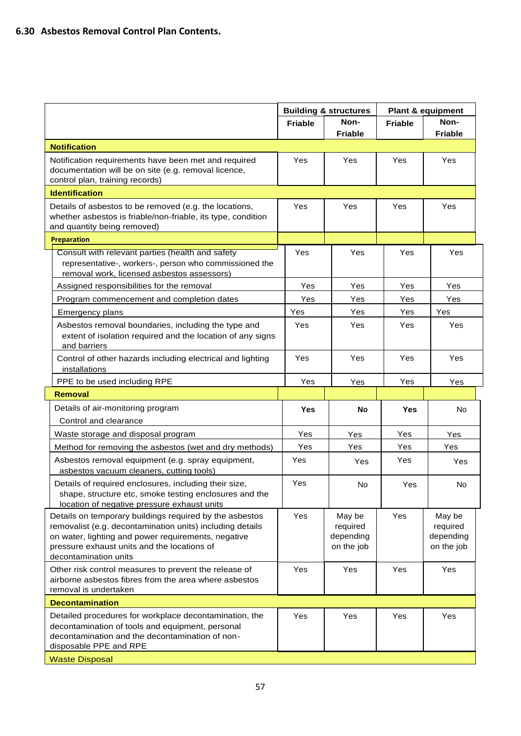|                                                                                                                                                                                                                                                     | <b>Building &amp; structures</b> |                                               | <b>Plant &amp; equipment</b> |                                               |
|-----------------------------------------------------------------------------------------------------------------------------------------------------------------------------------------------------------------------------------------------------|----------------------------------|-----------------------------------------------|------------------------------|-----------------------------------------------|
|                                                                                                                                                                                                                                                     | <b>Friable</b>                   | Non-                                          | <b>Friable</b>               | Non-                                          |
|                                                                                                                                                                                                                                                     |                                  | <b>Friable</b>                                |                              | <b>Friable</b>                                |
| <b>Notification</b>                                                                                                                                                                                                                                 |                                  |                                               |                              |                                               |
| Notification requirements have been met and required<br>documentation will be on site (e.g. removal licence,<br>control plan, training records)                                                                                                     | Yes                              | Yes                                           | Yes                          | Yes                                           |
| <b>Identification</b>                                                                                                                                                                                                                               |                                  |                                               |                              |                                               |
| Details of asbestos to be removed (e.g. the locations,<br>whether asbestos is friable/non-friable, its type, condition<br>and quantity being removed)                                                                                               | Yes                              | Yes                                           | Yes                          | Yes                                           |
| <b>Preparation</b>                                                                                                                                                                                                                                  |                                  |                                               |                              |                                               |
| Consult with relevant parties (health and safety<br>representative-, workers-, person who commissioned the<br>removal work, licensed asbestos assessors)                                                                                            | Yes                              | Yes                                           | Yes                          | Yes                                           |
| Assigned responsibilities for the removal                                                                                                                                                                                                           | Yes                              | Yes                                           | Yes                          | Yes                                           |
| Program commencement and completion dates                                                                                                                                                                                                           | Yes                              | Yes                                           | Yes                          | Yes                                           |
| Emergency plans                                                                                                                                                                                                                                     | Yes                              | Yes                                           | Yes                          | Yes                                           |
| Asbestos removal boundaries, including the type and<br>extent of isolation required and the location of any signs<br>and barriers                                                                                                                   | Yes                              | Yes                                           | Yes                          | Yes                                           |
| Control of other hazards including electrical and lighting<br>installations                                                                                                                                                                         | Yes                              | Yes                                           | Yes                          | Yes                                           |
| PPE to be used including RPE                                                                                                                                                                                                                        | Yes                              | Yes                                           | Yes                          | Yes                                           |
| <b>Removal</b>                                                                                                                                                                                                                                      |                                  |                                               |                              |                                               |
| Details of air-monitoring program<br>Control and clearance                                                                                                                                                                                          | <b>Yes</b>                       | No                                            | <b>Yes</b>                   | No                                            |
| Waste storage and disposal program                                                                                                                                                                                                                  | Yes                              | Yes                                           | Yes                          | Yes                                           |
| Method for removing the asbestos (wet and dry methods)                                                                                                                                                                                              | Yes                              | Yes                                           | Yes                          | Yes                                           |
| Asbestos removal equipment (e.g. spray equipment,<br>asbestos vacuum cleaners, cutting tools)                                                                                                                                                       | Yes                              | Yes                                           | Yes                          | <b>Yes</b>                                    |
| Details of required enclosures, including their size,<br>shape, structure etc, smoke testing enclosures and the<br>location of negative pressure exhaust units                                                                                      | Yes                              | No                                            | Yes                          | No                                            |
| Details on temporary buildings required by the asbestos<br>removalist (e.g. decontamination units) including details<br>on water, lighting and power requirements, negative<br>pressure exhaust units and the locations of<br>decontamination units | Yes                              | May be<br>required<br>depending<br>on the job | Yes                          | May be<br>required<br>depending<br>on the job |
| Other risk control measures to prevent the release of<br>airborne asbestos fibres from the area where asbestos<br>removal is undertaken                                                                                                             | Yes                              | Yes                                           | Yes                          | Yes                                           |
| <b>Decontamination</b>                                                                                                                                                                                                                              |                                  |                                               |                              |                                               |
| Detailed procedures for workplace decontamination, the<br>decontamination of tools and equipment, personal<br>decontamination and the decontamination of non-<br>disposable PPE and RPE<br><b>Waste Disposal</b>                                    | Yes                              | Yes                                           | Yes                          | Yes                                           |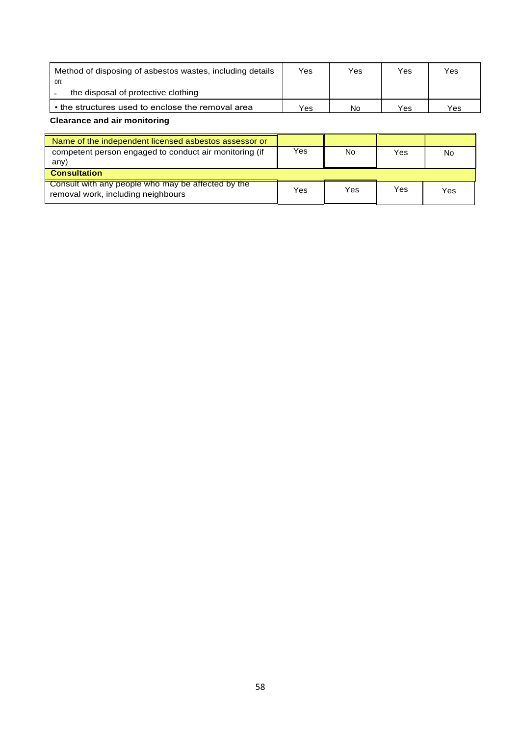| Method of disposing of asbestos wastes, including details | Yes | Yes | Yes | Yes |
|-----------------------------------------------------------|-----|-----|-----|-----|
| on:                                                       |     |     |     |     |
| the disposal of protective clothing                       |     |     |     |     |
| • the structures used to enclose the removal area         | Yes | No  | Yes | Yes |

**Clearance and air monitoring**

| Name of the independent licensed asbestos assessor or                                    |     |     |     |     |
|------------------------------------------------------------------------------------------|-----|-----|-----|-----|
| competent person engaged to conduct air monitoring (if<br>any)                           | Yes | No  | Yes | No  |
| <b>Consultation</b>                                                                      |     |     |     |     |
| Consult with any people who may be affected by the<br>removal work, including neighbours | Yes | Yes | Yes | Yes |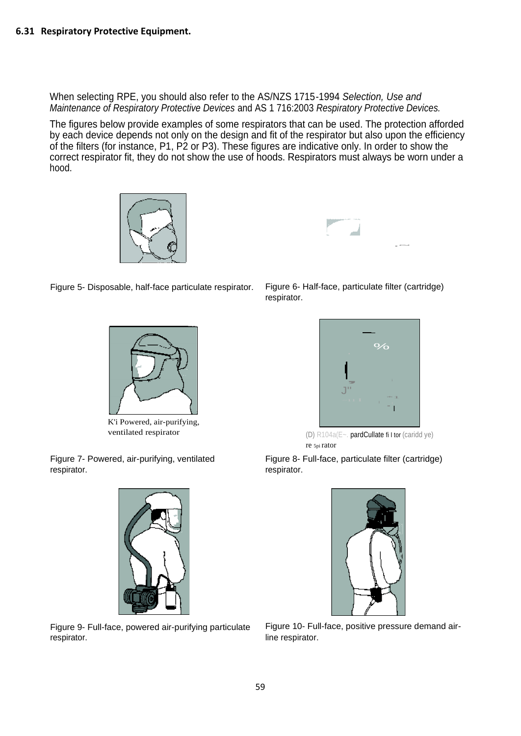When selecting RPE, you should also refer to the AS/NZS 1715-1994 *Selection, Use and Maintenance of Respiratory Protective Devices* and AS 1 716:2003 *Respiratory Protective Devices.*

The figures below provide examples of some respirators that can be used. The protection afforded by each device depends not only on the design and fit of the respirator but also upon the efficiency of the filters (for instance, P1, P2 or P3). These figures are indicative only. In order to show the correct respirator fit, they do not show the use of hoods. Respirators must always be worn under a hood.





Figure 5- Disposable, half-face particulate respirator. Figure 6- Half-face, particulate filter (cartridge)



K'i Powered, air-purifying,

Figure 7- Powered, air-purifying, ventilated respirator.



Figure 9- Full-face, powered air-purifying particulate respirator.

respirator.



ventilated respirator (D) R104a(E~. pardCullate fi I tor (caridd ye) re 5pi rator

Figure 8- Full-face, particulate filter (cartridge) respirator.



Figure 10- Full-face, positive pressure demand airline respirator.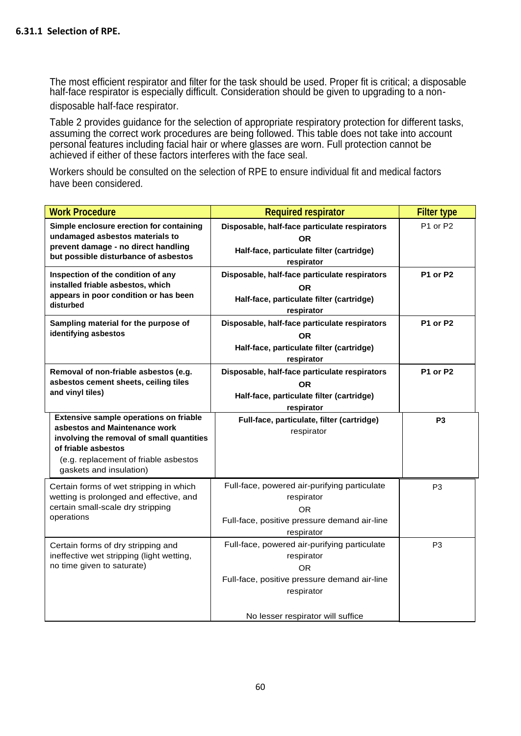The most efficient respirator and filter for the task should be used. Proper fit is critical; a disposable half-face respirator is especially difficult. Consideration should be given to upgrading to a non-

disposable half-face respirator.

Table 2 provides guidance for the selection of appropriate respiratory protection for different tasks, assuming the correct work procedures are being followed. This table does not take into account personal features including facial hair or where glasses are worn. Full protection cannot be achieved if either of these factors interferes with the face seal.

Workers should be consulted on the selection of RPE to ensure individual fit and medical factors have been considered.

| <b>Work Procedure</b>                                                                                                                                                                                           | <b>Required respirator</b>                                                                                                                                          | <b>Filter type</b> |
|-----------------------------------------------------------------------------------------------------------------------------------------------------------------------------------------------------------------|---------------------------------------------------------------------------------------------------------------------------------------------------------------------|--------------------|
| Simple enclosure erection for containing<br>undamaged asbestos materials to<br>prevent damage - no direct handling<br>but possible disturbance of asbestos                                                      | Disposable, half-face particulate respirators<br><b>OR</b><br>Half-face, particulate filter (cartridge)<br>respirator                                               | P1 or P2           |
| Inspection of the condition of any<br>installed friable asbestos, which<br>appears in poor condition or has been<br>disturbed                                                                                   | Disposable, half-face particulate respirators<br>OR.<br>Half-face, particulate filter (cartridge)<br>respirator                                                     | P1 or P2           |
| Sampling material for the purpose of<br>identifying asbestos                                                                                                                                                    | Disposable, half-face particulate respirators<br>OR.<br>Half-face, particulate filter (cartridge)<br>respirator                                                     | P1 or P2           |
| Removal of non-friable asbestos (e.g.<br>asbestos cement sheets, ceiling tiles<br>and vinyl tiles)                                                                                                              | Disposable, half-face particulate respirators<br><b>OR</b><br>Half-face, particulate filter (cartridge)<br>respirator                                               | P1 or P2           |
| Extensive sample operations on friable<br>asbestos and Maintenance work<br>involving the removal of small quantities<br>of friable asbestos<br>(e.g. replacement of friable asbestos<br>gaskets and insulation) | Full-face, particulate, filter (cartridge)<br>respirator                                                                                                            | P <sub>3</sub>     |
| Certain forms of wet stripping in which<br>wetting is prolonged and effective, and<br>certain small-scale dry stripping<br>operations                                                                           | Full-face, powered air-purifying particulate<br>respirator<br>0R<br>Full-face, positive pressure demand air-line<br>respirator                                      | P <sub>3</sub>     |
| Certain forms of dry stripping and<br>ineffective wet stripping (light wetting,<br>no time given to saturate)                                                                                                   | Full-face, powered air-purifying particulate<br>respirator<br>OR<br>Full-face, positive pressure demand air-line<br>respirator<br>No lesser respirator will suffice | P3                 |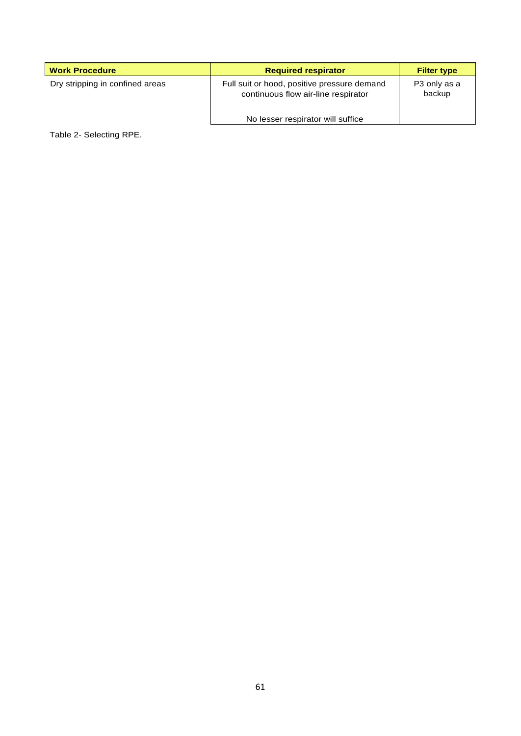| <b>Work Procedure</b>           | <b>Required respirator</b>                                                                                              | <b>Filter type</b>     |
|---------------------------------|-------------------------------------------------------------------------------------------------------------------------|------------------------|
| Dry stripping in confined areas | Full suit or hood, positive pressure demand<br>continuous flow air-line respirator<br>No lesser respirator will suffice | P3 only as a<br>backup |

Table 2- Selecting RPE.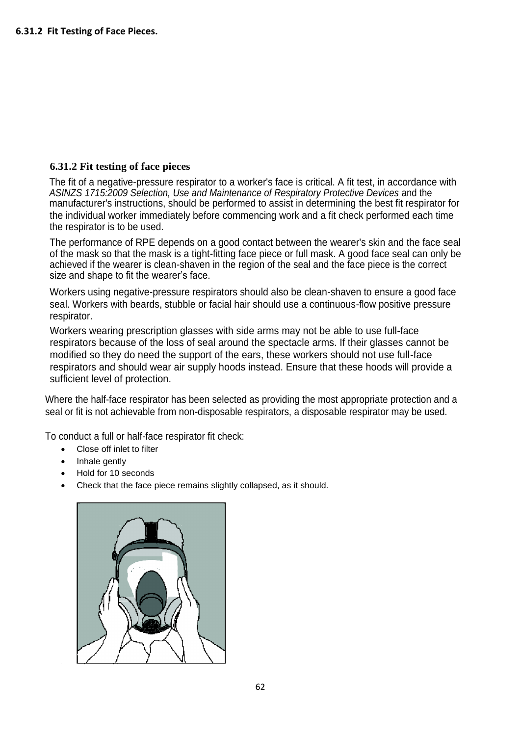### **6.31.2 Fit testing of face pieces**

The fit of a negative-pressure respirator to a worker's face is critical. A fit test, in accordance with *ASINZS 1715:2009 Selection, Use and Maintenance of Respiratory Protective Devices* and the manufacturer's instructions, should be performed to assist in determining the best fit respirator for the individual worker immediately before commencing work and a fit check performed each time the respirator is to be used.

The performance of RPE depends on a good contact between the wearer's skin and the face seal of the mask so that the mask is a tight-fitting face piece or full mask. A good face seal can only be achieved if the wearer is clean-shaven in the region of the seal and the face piece is the correct size and shape to fit the wearer's face.

Workers using negative-pressure respirators should also be clean-shaven to ensure a good face seal. Workers with beards, stubble or facial hair should use a continuous-flow positive pressure respirator.

Workers wearing prescription glasses with side arms may not be able to use full-face respirators because of the loss of seal around the spectacle arms. If their glasses cannot be modified so they do need the support of the ears, these workers should not use full-face respirators and should wear air supply hoods instead. Ensure that these hoods will provide a sufficient level of protection.

Where the half-face respirator has been selected as providing the most appropriate protection and a seal or fit is not achievable from non-disposable respirators, a disposable respirator may be used.

To conduct a full or half-face respirator fit check:

- Close off inlet to filter
- Inhale gently
- Hold for 10 seconds
- Check that the face piece remains slightly collapsed, as it should.

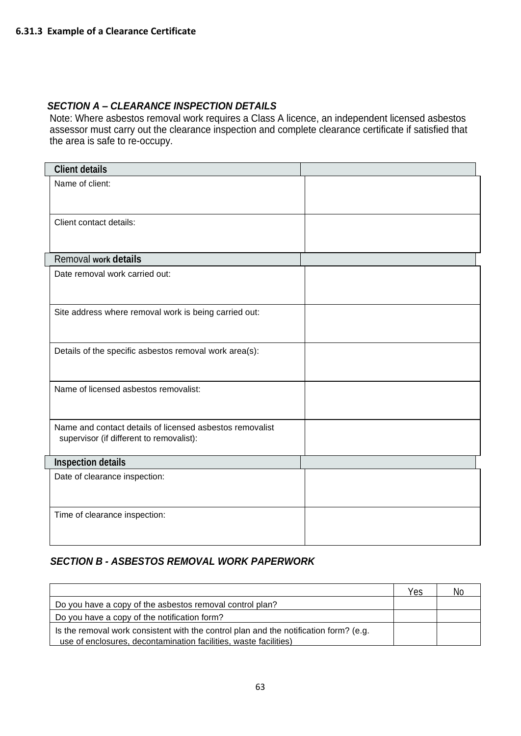### *SECTION A – CLEARANCE INSPECTION DETAILS*

Note: Where asbestos removal work requires a Class A licence, an independent licensed asbestos assessor must carry out the clearance inspection and complete clearance certificate if satisfied that the area is safe to re-occupy.

| <b>Client details</b>                                                                                |  |
|------------------------------------------------------------------------------------------------------|--|
| Name of client:                                                                                      |  |
|                                                                                                      |  |
|                                                                                                      |  |
| Client contact details:                                                                              |  |
|                                                                                                      |  |
| Removal work details                                                                                 |  |
| Date removal work carried out:                                                                       |  |
|                                                                                                      |  |
| Site address where removal work is being carried out:                                                |  |
|                                                                                                      |  |
|                                                                                                      |  |
| Details of the specific asbestos removal work area(s):                                               |  |
|                                                                                                      |  |
| Name of licensed asbestos removalist:                                                                |  |
|                                                                                                      |  |
|                                                                                                      |  |
| Name and contact details of licensed asbestos removalist<br>supervisor (if different to removalist): |  |
|                                                                                                      |  |
| <b>Inspection details</b>                                                                            |  |
| Date of clearance inspection:                                                                        |  |
|                                                                                                      |  |
| Time of clearance inspection:                                                                        |  |
|                                                                                                      |  |
|                                                                                                      |  |

### *SECTION B - ASBESTOS REMOVAL WORK PAPERWORK*

|                                                                                                                                                           | Yes | Nc. |
|-----------------------------------------------------------------------------------------------------------------------------------------------------------|-----|-----|
| Do you have a copy of the asbestos removal control plan?                                                                                                  |     |     |
| Do you have a copy of the notification form?                                                                                                              |     |     |
| Is the removal work consistent with the control plan and the notification form? (e.g.<br>use of enclosures, decontamination facilities, waste facilities) |     |     |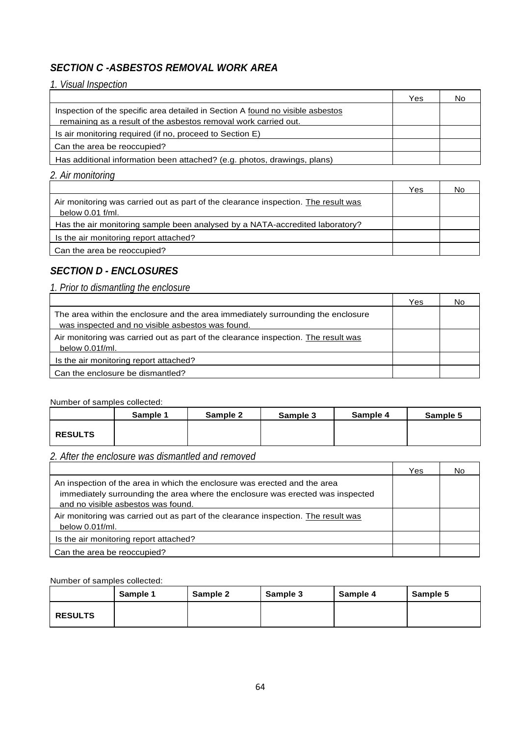### *SECTION C -ASBESTOS REMOVAL WORK AREA*

### *1. Visual Inspection*

|                                                                                 | Yes | No |
|---------------------------------------------------------------------------------|-----|----|
| Inspection of the specific area detailed in Section A found no visible asbestos |     |    |
| remaining as a result of the asbestos removal work carried out.                 |     |    |
| Is air monitoring required (if no, proceed to Section E)                        |     |    |
| Can the area be reoccupied?                                                     |     |    |
| Has additional information been attached? (e.g. photos, drawings, plans)        |     |    |

#### *2. Air monitoring*

|                                                                                                          | Yes | Νo |
|----------------------------------------------------------------------------------------------------------|-----|----|
| Air monitoring was carried out as part of the clearance inspection. The result was<br>below $0.01$ f/ml. |     |    |
| Has the air monitoring sample been analysed by a NATA-accredited laboratory?                             |     |    |
| Is the air monitoring report attached?                                                                   |     |    |
| Can the area be reoccupied?                                                                              |     |    |

### *SECTION D - ENCLOSURES*

# *1. Prior to dismantling the enclosure*

|                                                                                                                                      | Yes | NΩ |
|--------------------------------------------------------------------------------------------------------------------------------------|-----|----|
| The area within the enclosure and the area immediately surrounding the enclosure<br>was inspected and no visible asbestos was found. |     |    |
| Air monitoring was carried out as part of the clearance inspection. The result was<br>below 0.01f/ml.                                |     |    |
| Is the air monitoring report attached?                                                                                               |     |    |
| Can the enclosure be dismantled?                                                                                                     |     |    |

┯

#### Number of samples collected:

|                | Sample 1 | Sample 2 | Sample 3 | Sample 4 | Sample 5 |
|----------------|----------|----------|----------|----------|----------|
| <b>RESULTS</b> |          |          |          |          |          |
|                |          |          |          |          |          |

## *2. After the enclosure was dismantled and removed*

|                                                                                                                                                                                                   | Yes | No |
|---------------------------------------------------------------------------------------------------------------------------------------------------------------------------------------------------|-----|----|
| An inspection of the area in which the enclosure was erected and the area<br>immediately surrounding the area where the enclosure was erected was inspected<br>and no visible asbestos was found. |     |    |
| Air monitoring was carried out as part of the clearance inspection. The result was<br>below 0.01f/ml.                                                                                             |     |    |
| Is the air monitoring report attached?                                                                                                                                                            |     |    |
| Can the area be reoccupied?                                                                                                                                                                       |     |    |

#### Number of samples collected:

|                | Sample 1 | Sample 2 | Sample 3 | Sample 4 | Sample 5 |
|----------------|----------|----------|----------|----------|----------|
| <b>RESULTS</b> |          |          |          |          |          |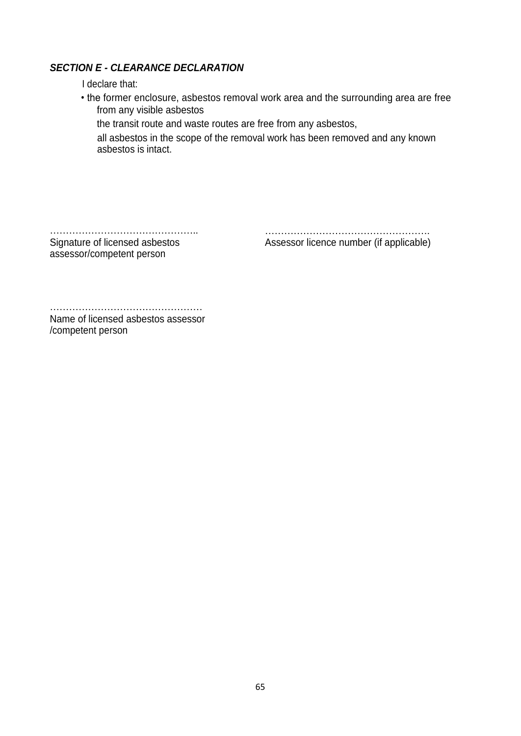### *SECTION E - CLEARANCE DECLARATION*

I declare that:

• the former enclosure, asbestos removal work area and the surrounding area are free from any visible asbestos

the transit route and waste routes are free from any asbestos,

all asbestos in the scope of the removal work has been removed and any known asbestos is intact.

……………………………………….. Signature of licensed asbestos assessor/competent person

…………………………………………….

Assessor licence number (if applicable)

………………………………………… Name of licensed asbestos assessor

/competent person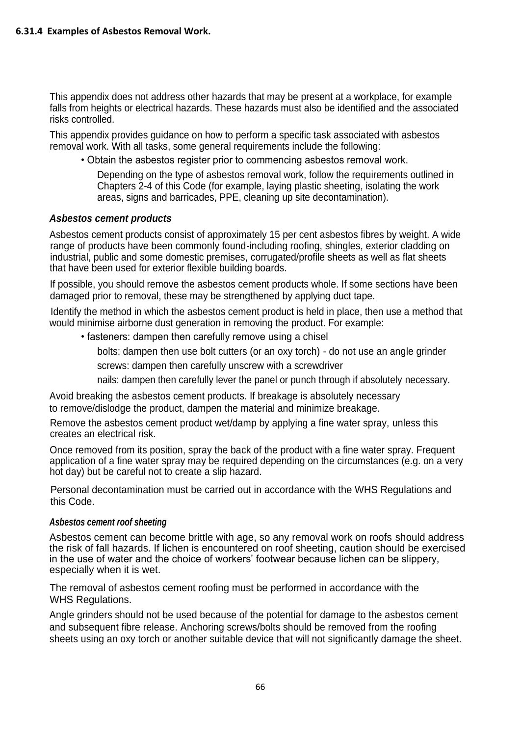This appendix does not address other hazards that may be present at a workplace, for example falls from heights or electrical hazards. These hazards must also be identified and the associated risks controlled.

This appendix provides guidance on how to perform a specific task associated with asbestos removal work. With all tasks, some general requirements include the following:

• Obtain the asbestos register prior to commencing asbestos removal work.

Depending on the type of asbestos removal work, follow the requirements outlined in Chapters 2-4 of this Code (for example, laying plastic sheeting, isolating the work areas, signs and barricades, PPE, cleaning up site decontamination).

### *Asbestos cement products*

Asbestos cement products consist of approximately 15 per cent asbestos fibres by weight. A wide range of products have been commonly found-including roofing, shingles, exterior cladding on industrial, public and some domestic premises, corrugated/profile sheets as well as flat sheets that have been used for exterior flexible building boards.

If possible, you should remove the asbestos cement products whole. If some sections have been damaged prior to removal, these may be strengthened by applying duct tape.

Identify the method in which the asbestos cement product is held in place, then use a method that would minimise airborne dust generation in removing the product. For example:

• fasteners: dampen then carefully remove using a chisel

bolts: dampen then use bolt cutters (or an oxy torch) - do not use an angle grinder screws: dampen then carefully unscrew with a screwdriver

nails: dampen then carefully lever the panel or punch through if absolutely necessary.

Avoid breaking the asbestos cement products. If breakage is absolutely necessary to remove/dislodge the product, dampen the material and minimize breakage.

Remove the asbestos cement product wet/damp by applying a fine water spray, unless this creates an electrical risk.

Once removed from its position, spray the back of the product with a fine water spray. Frequent application of a fine water spray may be required depending on the circumstances (e.g. on a very hot day) but be careful not to create a slip hazard.

Personal decontamination must be carried out in accordance with the WHS Regulations and this Code.

#### *Asbestos cement roof sheeting*

Asbestos cement can become brittle with age, so any removal work on roofs should address the risk of fall hazards. If lichen is encountered on roof sheeting, caution should be exercised in the use of water and the choice of workers' footwear because lichen can be slippery, especially when it is wet.

The removal of asbestos cement roofing must be performed in accordance with the WHS Regulations.

Angle grinders should not be used because of the potential for damage to the asbestos cement and subsequent fibre release. Anchoring screws/bolts should be removed from the roofing sheets using an oxy torch or another suitable device that will not significantly damage the sheet.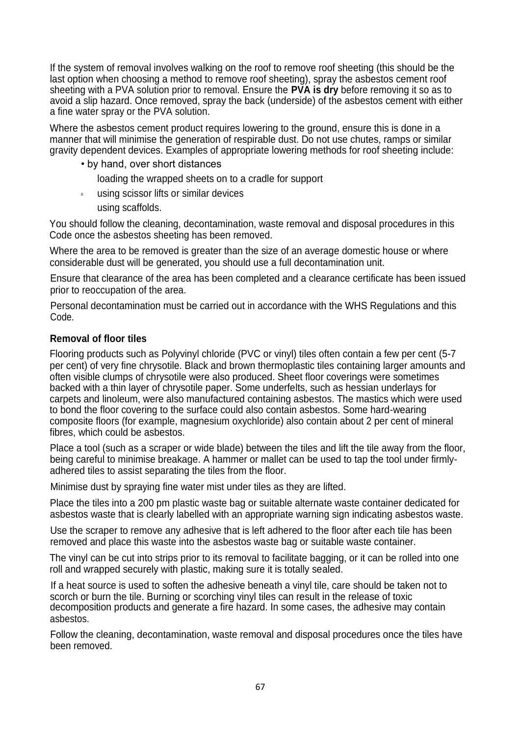If the system of removal involves walking on the roof to remove roof sheeting (this should be the last option when choosing a method to remove roof sheeting), spray the asbestos cement roof sheeting with a PVA solution prior to removal. Ensure the **PVA is dry** before removing it so as to avoid a slip hazard. Once removed, spray the back (underside) of the asbestos cement with either a fine water spray or the PVA solution.

Where the asbestos cement product requires lowering to the ground, ensure this is done in a manner that will minimise the generation of respirable dust. Do not use chutes, ramps or similar gravity dependent devices. Examples of appropriate lowering methods for roof sheeting include:

- by hand, over short distances
	- loading the wrapped sheets on to a cradle for support
- $\mathbf{0}$ using scissor lifts or similar devices using scaffolds.

You should follow the cleaning, decontamination, waste removal and disposal procedures in this Code once the asbestos sheeting has been removed.

Where the area to be removed is greater than the size of an average domestic house or where considerable dust will be generated, you should use a full decontamination unit.

Ensure that clearance of the area has been completed and a clearance certificate has been issued prior to reoccupation of the area.

Personal decontamination must be carried out in accordance with the WHS Regulations and this Code.

### **Removal of floor tiles**

Flooring products such as Polyvinyl chloride (PVC or vinyl) tiles often contain a few per cent (5-7 per cent) of very fine chrysotile. Black and brown thermoplastic tiles containing larger amounts and often visible clumps of chrysotile were also produced. Sheet floor coverings were sometimes backed with a thin layer of chrysotile paper. Some underfelts, such as hessian underlays for carpets and linoleum, were also manufactured containing asbestos. The mastics which were used to bond the floor covering to the surface could also contain asbestos. Some hard-wearing composite floors (for example, magnesium oxychloride) also contain about 2 per cent of mineral fibres, which could be asbestos.

Place a tool (such as a scraper or wide blade) between the tiles and lift the tile away from the floor, being careful to minimise breakage. A hammer or mallet can be used to tap the tool under firmlyadhered tiles to assist separating the tiles from the floor.

Minimise dust by spraying fine water mist under tiles as they are lifted.

Place the tiles into a 200 pm plastic waste bag or suitable alternate waste container dedicated for asbestos waste that is clearly labelled with an appropriate warning sign indicating asbestos waste.

Use the scraper to remove any adhesive that is left adhered to the floor after each tile has been removed and place this waste into the asbestos waste bag or suitable waste container.

The vinyl can be cut into strips prior to its removal to facilitate bagging, or it can be rolled into one roll and wrapped securely with plastic, making sure it is totally sealed.

If a heat source is used to soften the adhesive beneath a vinyl tile, care should be taken not to scorch or burn the tile. Burning or scorching vinyl tiles can result in the release of toxic decomposition products and generate a fire hazard. In some cases, the adhesive may contain asbestos.

Follow the cleaning, decontamination, waste removal and disposal procedures once the tiles have been removed.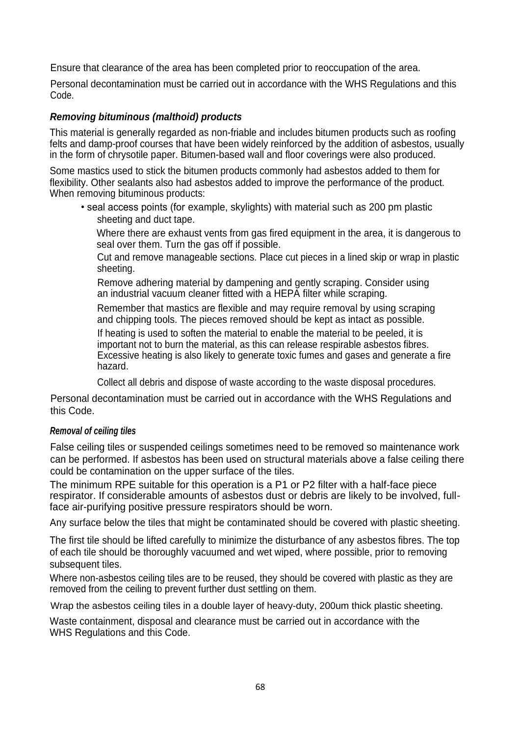Ensure that clearance of the area has been completed prior to reoccupation of the area.

Personal decontamination must be carried out in accordance with the WHS Regulations and this Code.

### *Removing bituminous (malthoid) products*

This material is generally regarded as non-friable and includes bitumen products such as roofing felts and damp-proof courses that have been widely reinforced by the addition of asbestos, usually in the form of chrysotile paper. Bitumen-based wall and floor coverings were also produced.

Some mastics used to stick the bitumen products commonly had asbestos added to them for flexibility. Other sealants also had asbestos added to improve the performance of the product. When removing bituminous products:

• seal access points (for example, skylights) with material such as 200 pm plastic sheeting and duct tape.

Where there are exhaust vents from gas fired equipment in the area, it is dangerous to seal over them. Turn the gas off if possible.

Cut and remove manageable sections. Place cut pieces in a lined skip or wrap in plastic sheeting.

Remove adhering material by dampening and gently scraping. Consider using an industrial vacuum cleaner fitted with a HEPA filter while scraping.

Remember that mastics are flexible and may require removal by using scraping and chipping tools. The pieces removed should be kept as intact as possible.

If heating is used to soften the material to enable the material to be peeled, it is important not to burn the material, as this can release respirable asbestos fibres. Excessive heating is also likely to generate toxic fumes and gases and generate a fire hazard.

Collect all debris and dispose of waste according to the waste disposal procedures.

Personal decontamination must be carried out in accordance with the WHS Regulations and this Code.

#### *Removal of ceiling tiles*

False ceiling tiles or suspended ceilings sometimes need to be removed so maintenance work can be performed. If asbestos has been used on structural materials above a false ceiling there could be contamination on the upper surface of the tiles.

The minimum RPE suitable for this operation is a P1 or P2 filter with a half-face piece respirator. If considerable amounts of asbestos dust or debris are likely to be involved, fullface air-purifying positive pressure respirators should be worn.

Any surface below the tiles that might be contaminated should be covered with plastic sheeting.

The first tile should be lifted carefully to minimize the disturbance of any asbestos fibres. The top of each tile should be thoroughly vacuumed and wet wiped, where possible, prior to removing subsequent tiles.

Where non-asbestos ceiling tiles are to be reused, they should be covered with plastic as they are removed from the ceiling to prevent further dust settling on them.

Wrap the asbestos ceiling tiles in a double layer of heavy-duty, 200um thick plastic sheeting.

Waste containment, disposal and clearance must be carried out in accordance with the WHS Regulations and this Code.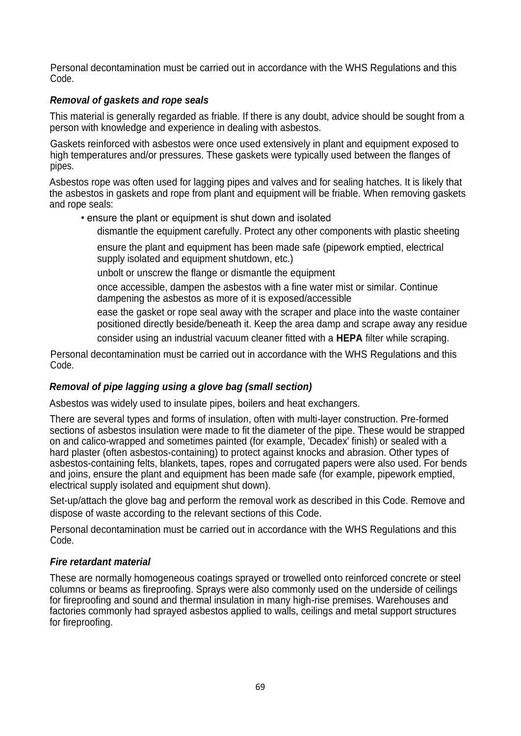Personal decontamination must be carried out in accordance with the WHS Regulations and this Code.

### *Removal of gaskets and rope seals*

This material is generally regarded as friable. If there is any doubt, advice should be sought from a person with knowledge and experience in dealing with asbestos.

Gaskets reinforced with asbestos were once used extensively in plant and equipment exposed to high temperatures and/or pressures. These gaskets were typically used between the flanges of pipes.

Asbestos rope was often used for lagging pipes and valves and for sealing hatches. It is likely that the asbestos in gaskets and rope from plant and equipment will be friable. When removing gaskets and rope seals:

- ensure the plant or equipment is shut down and isolated
	- dismantle the equipment carefully. Protect any other components with plastic sheeting

ensure the plant and equipment has been made safe (pipework emptied, electrical supply isolated and equipment shutdown, etc.)

unbolt or unscrew the flange or dismantle the equipment

once accessible, dampen the asbestos with a fine water mist or similar. Continue dampening the asbestos as more of it is exposed/accessible

ease the gasket or rope seal away with the scraper and place into the waste container positioned directly beside/beneath it. Keep the area damp and scrape away any residue consider using an industrial vacuum cleaner fitted with a **HEPA** filter while scraping.

Personal decontamination must be carried out in accordance with the WHS Regulations and this Code.

### *Removal of pipe lagging using a glove bag (small section)*

Asbestos was widely used to insulate pipes, boilers and heat exchangers.

There are several types and forms of insulation, often with multi-layer construction. Pre-formed sections of asbestos insulation were made to fit the diameter of the pipe. These would be strapped on and calico-wrapped and sometimes painted (for example, 'Decadex' finish) or sealed with a hard plaster (often asbestos-containing) to protect against knocks and abrasion. Other types of asbestos-containing felts, blankets, tapes, ropes and corrugated papers were also used. For bends and joins, ensure the plant and equipment has been made safe (for example, pipework emptied, electrical supply isolated and equipment shut down).

Set-up/attach the glove bag and perform the removal work as described in this Code. Remove and dispose of waste according to the relevant sections of this Code.

Personal decontamination must be carried out in accordance with the WHS Regulations and this Code.

### *Fire retardant material*

These are normally homogeneous coatings sprayed or trowelled onto reinforced concrete or steel columns or beams as fireproofing. Sprays were also commonly used on the underside of ceilings for fireproofing and sound and thermal insulation in many high-rise premises. Warehouses and factories commonly had sprayed asbestos applied to walls, ceilings and metal support structures for fireproofing.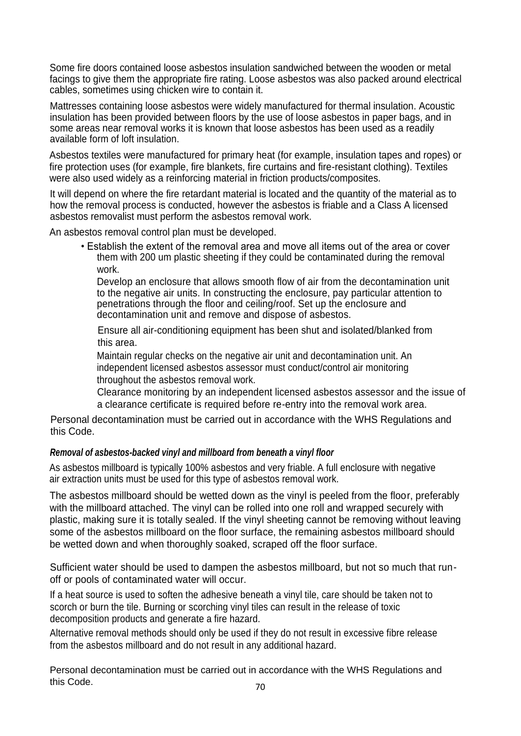Some fire doors contained loose asbestos insulation sandwiched between the wooden or metal facings to give them the appropriate fire rating. Loose asbestos was also packed around electrical cables, sometimes using chicken wire to contain it.

Mattresses containing loose asbestos were widely manufactured for thermal insulation. Acoustic insulation has been provided between floors by the use of loose asbestos in paper bags, and in some areas near removal works it is known that loose asbestos has been used as a readily available form of loft insulation.

Asbestos textiles were manufactured for primary heat (for example, insulation tapes and ropes) or fire protection uses (for example, fire blankets, fire curtains and fire-resistant clothing). Textiles were also used widely as a reinforcing material in friction products/composites.

It will depend on where the fire retardant material is located and the quantity of the material as to how the removal process is conducted, however the asbestos is friable and a Class A licensed asbestos removalist must perform the asbestos removal work.

An asbestos removal control plan must be developed.

• Establish the extent of the removal area and move all items out of the area or cover them with 200 um plastic sheeting if they could be contaminated during the removal work.

Develop an enclosure that allows smooth flow of air from the decontamination unit to the negative air units. In constructing the enclosure, pay particular attention to penetrations through the floor and ceiling/roof. Set up the enclosure and decontamination unit and remove and dispose of asbestos.

Ensure all air-conditioning equipment has been shut and isolated/blanked from this area.

Maintain regular checks on the negative air unit and decontamination unit. An independent licensed asbestos assessor must conduct/control air monitoring throughout the asbestos removal work.

Clearance monitoring by an independent licensed asbestos assessor and the issue of a clearance certificate is required before re-entry into the removal work area.

Personal decontamination must be carried out in accordance with the WHS Regulations and this Code.

### *Removal of asbestos-backed vinyl and millboard from beneath a vinyl floor*

As asbestos millboard is typically 100% asbestos and very friable. A full enclosure with negative air extraction units must be used for this type of asbestos removal work.

The asbestos millboard should be wetted down as the vinyl is peeled from the floor, preferably with the millboard attached. The vinyl can be rolled into one roll and wrapped securely with plastic, making sure it is totally sealed. If the vinyl sheeting cannot be removing without leaving some of the asbestos millboard on the floor surface, the remaining asbestos millboard should be wetted down and when thoroughly soaked, scraped off the floor surface.

Sufficient water should be used to dampen the asbestos millboard, but not so much that runoff or pools of contaminated water will occur.

If a heat source is used to soften the adhesive beneath a vinyl tile, care should be taken not to scorch or burn the tile. Burning or scorching vinyl tiles can result in the release of toxic decomposition products and generate a fire hazard.

Alternative removal methods should only be used if they do not result in excessive fibre release from the asbestos millboard and do not result in any additional hazard.

Personal decontamination must be carried out in accordance with the WHS Regulations and this Code.